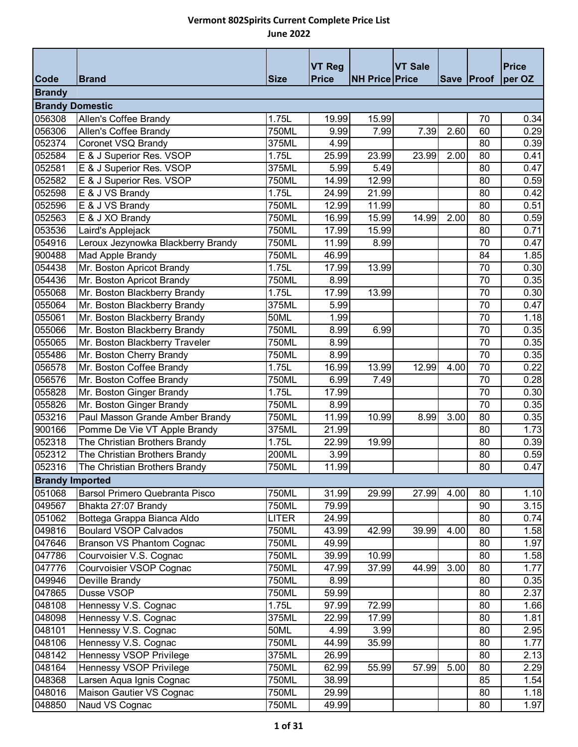| <b>Code</b>            | <b>Brand</b>                                | <b>Size</b>    | <b>VT Reg</b><br><b>Price</b> | <b>NH Price Price</b> | <b>VT Sale</b> |      | Save Proof | <b>Price</b><br>per OZ |
|------------------------|---------------------------------------------|----------------|-------------------------------|-----------------------|----------------|------|------------|------------------------|
| <b>Brandy</b>          |                                             |                |                               |                       |                |      |            |                        |
|                        |                                             |                |                               |                       |                |      |            |                        |
| <b>Brandy Domestic</b> |                                             |                |                               |                       |                |      |            |                        |
| 056308<br>056306       | Allen's Coffee Brandy                       | 1.75L<br>750ML | 19.99<br>9.99                 | 15.99<br>7.99         | 7.39           | 2.60 | 70<br>60   | 0.34<br>0.29           |
| 052374                 | Allen's Coffee Brandy<br>Coronet VSQ Brandy | 375ML          | 4.99                          |                       |                |      | 80         | 0.39                   |
| 052584                 | E & J Superior Res. VSOP                    | 1.75L          | 25.99                         | 23.99                 | 23.99          | 2.00 | 80         | 0.41                   |
| 052581                 | E & J Superior Res. VSOP                    | 375ML          | 5.99                          | 5.49                  |                |      | 80         | 0.47                   |
| 052582                 | E & J Superior Res. VSOP                    | 750ML          | 14.99                         | 12.99                 |                |      | 80         | 0.59                   |
| 052598                 | E & J VS Brandy                             | 1.75L          | 24.99                         | 21.99                 |                |      | 80         | 0.42                   |
| 052596                 | E & J VS Brandy                             | 750ML          | 12.99                         | 11.99                 |                |      | 80         | 0.51                   |
| 052563                 |                                             |                |                               |                       |                | 2.00 |            |                        |
|                        | E & J XO Brandy                             | 750ML<br>750ML | 16.99                         | 15.99                 | 14.99          |      | 80         | 0.59                   |
| 053536<br>054916       | Laird's Applejack                           | 750ML          | 17.99<br>11.99                | 15.99                 |                |      | 80<br>70   | 0.71                   |
|                        | Leroux Jezynowka Blackberry Brandy          |                |                               | 8.99                  |                |      | 84         | 0.47                   |
| 900488                 | Mad Apple Brandy                            | 750ML          | 46.99                         |                       |                |      | 70         | 1.85                   |
| 054438                 | Mr. Boston Apricot Brandy                   | 1.75L          | 17.99                         | 13.99                 |                |      |            | 0.30                   |
| 054436                 | Mr. Boston Apricot Brandy                   | 750ML          | 8.99                          |                       |                |      | 70         | 0.35                   |
| 055068                 | Mr. Boston Blackberry Brandy                | 1.75L<br>375ML | 17.99                         | 13.99                 |                |      | 70<br>70   | 0.30                   |
| 055064                 | Mr. Boston Blackberry Brandy                |                | 5.99                          |                       |                |      |            | 0.47                   |
| 055061                 | Mr. Boston Blackberry Brandy                | 50ML           | 1.99                          |                       |                |      | 70         | 1.18                   |
| 055066                 | Mr. Boston Blackberry Brandy                | 750ML          | 8.99                          | 6.99                  |                |      | 70         | 0.35                   |
| 055065                 | Mr. Boston Blackberry Traveler              | 750ML          | 8.99                          |                       |                |      | 70         | 0.35                   |
| 055486                 | Mr. Boston Cherry Brandy                    | 750ML          | 8.99                          |                       |                |      | 70         | 0.35                   |
| 056578                 | Mr. Boston Coffee Brandy                    | 1.75L          | 16.99                         | 13.99                 | 12.99          | 4.00 | 70         | 0.22                   |
| 056576                 | Mr. Boston Coffee Brandy                    | 750ML          | 6.99                          | 7.49                  |                |      | 70         | 0.28                   |
| 055828                 | Mr. Boston Ginger Brandy                    | 1.75L          | 17.99                         |                       |                |      | 70         | 0.30                   |
| 055826                 | Mr. Boston Ginger Brandy                    | 750ML          | 8.99                          |                       |                |      | 70         | 0.35                   |
| 053216                 | Paul Masson Grande Amber Brandy             | 750ML          | 11.99                         | 10.99                 | 8.99           | 3.00 | 80         | 0.35                   |
| 900166                 | Pomme De Vie VT Apple Brandy                | 375ML          | 21.99                         |                       |                |      | 80         | 1.73                   |
| 052318                 | The Christian Brothers Brandy               | 1.75L          | 22.99                         | 19.99                 |                |      | 80         | 0.39                   |
| 052312                 | The Christian Brothers Brandy               | 200ML          | 3.99                          |                       |                |      | 80         | 0.59                   |
| 052316                 | The Christian Brothers Brandy               | 750ML          | 11.99                         |                       |                |      | 80         | 0.47                   |
| <b>Brandy Imported</b> |                                             |                |                               |                       |                |      |            |                        |
| 051068                 | Barsol Primero Quebranta Pisco              | 750ML          | 31.99                         | 29.99                 | 27.99          | 4.00 | 80         | 1.10                   |
| 049567                 | Bhakta 27:07 Brandy                         | 750ML          | 79.99                         |                       |                |      | 90         | 3.15                   |
| 051062                 | Bottega Grappa Bianca Aldo                  | <b>LITER</b>   | 24.99                         |                       |                |      | 80         | 0.74                   |
| 049816                 | <b>Boulard VSOP Calvados</b>                | 750ML          | 43.99                         | 42.99                 | 39.99          | 4.00 | 80         | 1.58                   |
| 047646                 | <b>Branson VS Phantom Cognac</b>            | 750ML          | 49.99                         |                       |                |      | 80         | 1.97                   |
| 047786                 | Courvoisier V.S. Cognac                     | 750ML          | 39.99                         | 10.99                 |                |      | 80         | 1.58                   |
| 047776                 | Courvoisier VSOP Cognac                     | 750ML          | 47.99                         | 37.99                 | 44.99          | 3.00 | 80         | 1.77                   |
| 049946                 | Deville Brandy                              | 750ML          | 8.99                          |                       |                |      | 80         | 0.35                   |
| 047865                 | Dusse VSOP                                  | 750ML          | 59.99                         |                       |                |      | 80         | 2.37                   |
| 048108                 | Hennessy V.S. Cognac                        | 1.75L          | 97.99                         | 72.99                 |                |      | 80         | 1.66                   |
| 048098                 | Hennessy V.S. Cognac                        | 375ML          | 22.99                         | 17.99                 |                |      | 80         | 1.81                   |
| 048101                 | Hennessy V.S. Cognac                        | 50ML           | 4.99                          | 3.99                  |                |      | 80         | 2.95                   |
| 048106                 | Hennessy V.S. Cognac                        | 750ML          | 44.99                         | 35.99                 |                |      | 80         | 1.77                   |
| 048142                 | Hennessy VSOP Privilege                     | 375ML          | 26.99                         |                       |                |      | 80         | 2.13                   |
| 048164                 | Hennessy VSOP Privilege                     | 750ML          | 62.99                         | 55.99                 | 57.99          | 5.00 | 80         | 2.29                   |
| 048368                 | Larsen Aqua Ignis Cognac                    | 750ML          | 38.99                         |                       |                |      | 85         | 1.54                   |
| 048016                 | Maison Gautier VS Cognac                    | 750ML          | 29.99                         |                       |                |      | 80         | 1.18                   |
| 048850                 | Naud VS Cognac                              | 750ML          | 49.99                         |                       |                |      | 80         | 1.97                   |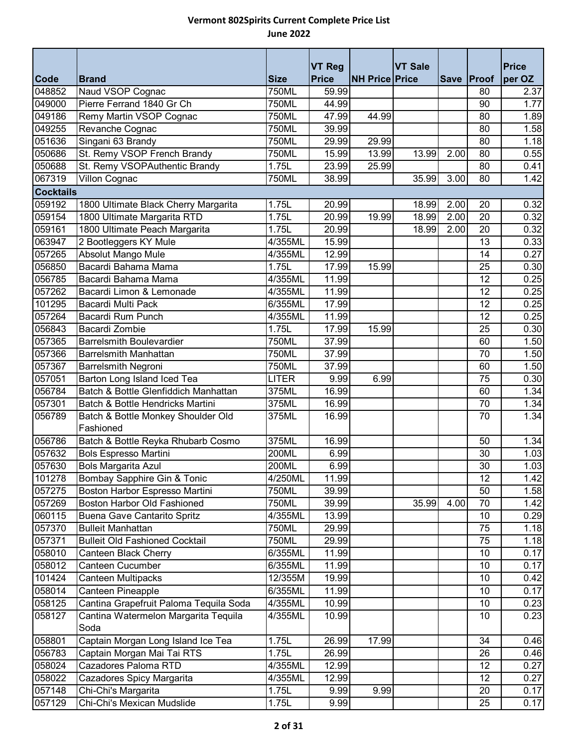|                       |                                               |                      | <b>VT Reg</b>  |                       | <b>VT Sale</b> |             |                 | <b>Price</b>      |
|-----------------------|-----------------------------------------------|----------------------|----------------|-----------------------|----------------|-------------|-----------------|-------------------|
| <b>Code</b><br>048852 | <b>Brand</b>                                  | <b>Size</b><br>750ML | <b>Price</b>   | <b>NH Price Price</b> |                | <b>Save</b> | Proof           | per OZ            |
| 049000                | Naud VSOP Cognac<br>Pierre Ferrand 1840 Gr Ch | 750ML                | 59.99<br>44.99 |                       |                |             | 80<br>90        | 2.37              |
| 049186                |                                               | 750ML                |                | 44.99                 |                |             | 80              | 1.77              |
| 049255                | Remy Martin VSOP Cognac                       | 750ML                | 47.99<br>39.99 |                       |                |             | 80              | 1.89<br>1.58      |
| 051636                | Revanche Cognac<br>Singani 63 Brandy          | 750ML                | 29.99          | 29.99                 |                |             | 80              | 1.18              |
| 050686                | St. Remy VSOP French Brandy                   | 750ML                | 15.99          | 13.99                 | 13.99          | 2.00        | 80              | 0.55              |
| 050688                | St. Remy VSOPAuthentic Brandy                 | 1.75L                | 23.99          | 25.99                 |                |             | 80              | 0.41              |
| 067319                | Villon Cognac                                 | 750ML                | 38.99          |                       | 35.99          | 3.00        | 80              | 1.42              |
| <b>Cocktails</b>      |                                               |                      |                |                       |                |             |                 |                   |
| 059192                | 1800 Ultimate Black Cherry Margarita          | 1.75L                | 20.99          |                       | 18.99          | 2.00        | 20              | 0.32              |
| 059154                | 1800 Ultimate Margarita RTD                   | 1.75L                | 20.99          | 19.99                 | 18.99          | 2.00        | 20              | 0.32              |
| 059161                | 1800 Ultimate Peach Margarita                 | 1.75L                | 20.99          |                       | 18.99          | 2.00        | 20              | 0.32              |
| 063947                | 2 Bootleggers KY Mule                         | 4/355ML              | 15.99          |                       |                |             | 13              | 0.33              |
| 057265                | Absolut Mango Mule                            | 4/355ML              | 12.99          |                       |                |             | 14              | 0.27              |
| 056850                | Bacardi Bahama Mama                           | 1.75L                | 17.99          | 15.99                 |                |             | 25              | 0.30              |
| 056785                | Bacardi Bahama Mama                           | 4/355ML              | 11.99          |                       |                |             | $\overline{12}$ | 0.25              |
| 057262                | Bacardi Limon & Lemonade                      | 4/355ML              | 11.99          |                       |                |             | 12              | 0.25              |
| 101295                | Bacardi Multi Pack                            | 6/355ML              | 17.99          |                       |                |             | 12              | 0.25              |
| 057264                | Bacardi Rum Punch                             | 4/355ML              | 11.99          |                       |                |             | 12              | 0.25              |
| 056843                | Bacardi Zombie                                | 1.75L                | 17.99          | 15.99                 |                |             | 25              | 0.30              |
| 057365                | <b>Barrelsmith Boulevardier</b>               | <b>750ML</b>         | 37.99          |                       |                |             | 60              | 1.50              |
| 057366                | <b>Barrelsmith Manhattan</b>                  | 750ML                | 37.99          |                       |                |             | 70              | 1.50              |
| 057367                | <b>Barrelsmith Negroni</b>                    | 750ML                | 37.99          |                       |                |             | 60              | 1.50              |
| 057051                | Barton Long Island Iced Tea                   | <b>LITER</b>         | 9.99           | 6.99                  |                |             | 75              | 0.30              |
| 056784                | Batch & Bottle Glenfiddich Manhattan          | 375ML                | 16.99          |                       |                |             | 60              | 1.34              |
| 057301                | Batch & Bottle Hendricks Martini              | 375ML                | 16.99          |                       |                |             | $\overline{70}$ | 1.34              |
| 056789                | Batch & Bottle Monkey Shoulder Old            | 375ML                | 16.99          |                       |                |             | 70              | 1.34              |
|                       | Fashioned                                     |                      |                |                       |                |             |                 |                   |
| 056786                | Batch & Bottle Reyka Rhubarb Cosmo            | 375ML                | 16.99          |                       |                |             | 50              | 1.34              |
| 057632                | <b>Bols Espresso Martini</b>                  | 200ML                | 6.99           |                       |                |             | 30              | 1.03              |
| 057630                | Bols Margarita Azul                           | 200ML                | 6.99           |                       |                |             | 30              | 1.03              |
| 101278                | Bombay Sapphire Gin & Tonic                   | 4/250ML              | 11.99          |                       |                |             | 12              | 1.42              |
| 057275                | Boston Harbor Espresso Martini                | 750ML                | 39.99          |                       |                |             | 50              | 1.58              |
| 057269                | Boston Harbor Old Fashioned                   | 750ML                | 39.99          |                       | 35.99          | 4.00        | 70              | 1.42              |
| 060115                | Buena Gave Cantarito Spritz                   | $\overline{4}/355ML$ | 13.99          |                       |                |             | 10              | 0.29              |
| 057370                | <b>Bulleit Manhattan</b>                      | 750ML                | 29.99          |                       |                |             | 75              | 1.18              |
| 057371                | <b>Bulleit Old Fashioned Cocktail</b>         | 750ML                | 29.99          |                       |                |             | 75              | 1.18              |
| 058010                | Canteen Black Cherry                          | 6/355ML              | 11.99          |                       |                |             | 10              | 0.17              |
| 058012                | <b>Canteen Cucumber</b>                       | 6/355ML              | 11.99          |                       |                |             | 10              | 0.17              |
| 101424                | Canteen Multipacks                            | 12/355M              | 19.99          |                       |                |             | 10              | 0.42              |
| 058014                | Canteen Pineapple                             | 6/355ML              | 11.99          |                       |                |             | 10              | 0.17              |
| 058125                | Cantina Grapefruit Paloma Tequila Soda        | 4/355ML              | 10.99          |                       |                |             | 10              | 0.23              |
| 058127                | Cantina Watermelon Margarita Tequila<br>Soda  | 4/355ML              | 10.99          |                       |                |             | 10              | 0.23              |
| 058801                | Captain Morgan Long Island Ice Tea            | 1.75L                | 26.99          | 17.99                 |                |             | 34              | $\overline{0.46}$ |
| 056783                | Captain Morgan Mai Tai RTS                    | 1.75L                | 26.99          |                       |                |             | 26              | 0.46              |
| 058024                | Cazadores Paloma RTD                          | 4/355ML              | 12.99          |                       |                |             | 12              | 0.27              |
| 058022                | Cazadores Spicy Margarita                     | 4/355ML              | 12.99          |                       |                |             | 12              | 0.27              |
| 057148                | Chi-Chi's Margarita                           | 1.75L                | 9.99           | 9.99                  |                |             | 20              | 0.17              |
| 057129                | Chi-Chi's Mexican Mudslide                    | 1.75L                | 9.99           |                       |                |             | 25              | 0.17              |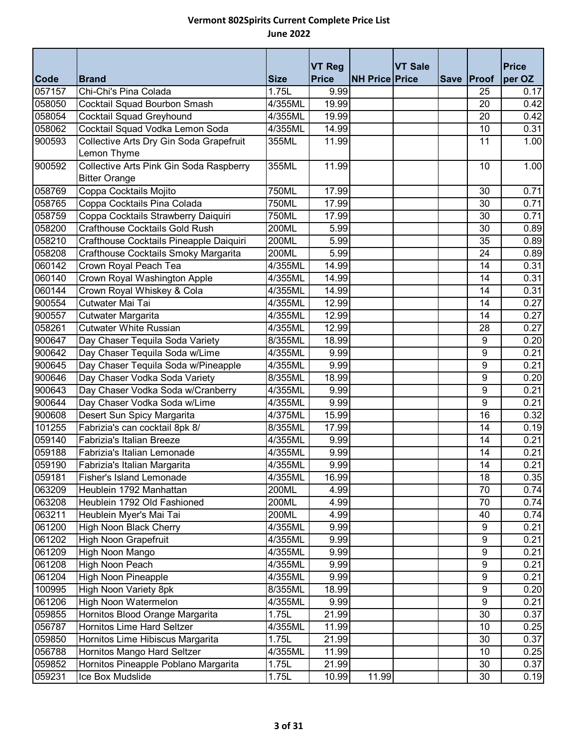| <b>Code</b> |                                         |                      | <b>VT Reg</b> | <b>NH Price Price</b> | <b>VT Sale</b> |             | Proof | <b>Price</b><br>per OZ |
|-------------|-----------------------------------------|----------------------|---------------|-----------------------|----------------|-------------|-------|------------------------|
| 057157      | <b>Brand</b><br>Chi-Chi's Pina Colada   | <b>Size</b><br>1.75L | Price<br>9.99 |                       |                | <b>Save</b> | 25    | 0.17                   |
| 058050      | <b>Cocktail Squad Bourbon Smash</b>     | $4/355$ ML           | 19.99         |                       |                |             | 20    | 0.42                   |
| 058054      | Cocktail Squad Greyhound                | 4/355ML              | 19.99         |                       |                |             | 20    | 0.42                   |
| 058062      | Cocktail Squad Vodka Lemon Soda         | 4/355ML              | 14.99         |                       |                |             | 10    | 0.31                   |
| 900593      | Collective Arts Dry Gin Soda Grapefruit | 355ML                | 11.99         |                       |                |             | 11    | 1.00                   |
|             | Lemon Thyme                             |                      |               |                       |                |             |       |                        |
| 900592      | Collective Arts Pink Gin Soda Raspberry | 355ML                | 11.99         |                       |                |             | 10    | 1.00                   |
|             | <b>Bitter Orange</b>                    |                      |               |                       |                |             |       |                        |
| 058769      | Coppa Cocktails Mojito                  | 750ML                | 17.99         |                       |                |             | 30    | 0.71                   |
| 058765      | Coppa Cocktails Pina Colada             | 750ML                | 17.99         |                       |                |             | 30    | 0.71                   |
| 058759      | Coppa Cocktails Strawberry Daiquiri     | 750ML                | 17.99         |                       |                |             | 30    | 0.71                   |
| 058200      | <b>Crafthouse Cocktails Gold Rush</b>   | 200ML                | 5.99          |                       |                |             | 30    | 0.89                   |
| 058210      | Crafthouse Cocktails Pineapple Daiquiri | 200ML                | 5.99          |                       |                |             | 35    | 0.89                   |
| 058208      | Crafthouse Cocktails Smoky Margarita    | 200ML                | 5.99          |                       |                |             | 24    | 0.89                   |
| 060142      | Crown Royal Peach Tea                   | 4/355ML              | 14.99         |                       |                |             | 14    | 0.31                   |
| 060140      | Crown Royal Washington Apple            | 4/355ML              | 14.99         |                       |                |             | 14    | 0.31                   |
| 060144      | Crown Royal Whiskey & Cola              | 4/355ML              | 14.99         |                       |                |             | 14    | 0.31                   |
| 900554      | Cutwater Mai Tai                        | 4/355ML              | 12.99         |                       |                |             | 14    | 0.27                   |
| 900557      | Cutwater Margarita                      | 4/355ML              | 12.99         |                       |                |             | 14    | 0.27                   |
| 058261      | <b>Cutwater White Russian</b>           | 4/355ML              | 12.99         |                       |                |             | 28    | 0.27                   |
| 900647      | Day Chaser Tequila Soda Variety         | 8/355ML              | 18.99         |                       |                |             | 9     | 0.20                   |
| 900642      | Day Chaser Tequila Soda w/Lime          | $4/355$ ML           | 9.99          |                       |                |             | 9     | 0.21                   |
| 900645      | Day Chaser Tequila Soda w/Pineapple     | 4/355ML              | 9.99          |                       |                |             | 9     | 0.21                   |
| 900646      | Day Chaser Vodka Soda Variety           | 8/355ML              | 18.99         |                       |                |             | $9\,$ | 0.20                   |
| 900643      | Day Chaser Vodka Soda w/Cranberry       | 4/355ML              | 9.99          |                       |                |             | 9     | 0.21                   |
| 900644      | Day Chaser Vodka Soda w/Lime            | 4/355ML              | 9.99          |                       |                |             | 9     | 0.21                   |
| 900608      | Desert Sun Spicy Margarita              | 4/375ML              | 15.99         |                       |                |             | 16    | 0.32                   |
| 101255      | Fabrizia's can cocktail 8pk 8/          | 8/355ML              | 17.99         |                       |                |             | 14    | 0.19                   |
| 059140      | Fabrizia's Italian Breeze               | 4/355ML              | 9.99          |                       |                |             | 14    | 0.21                   |
| 059188      | Fabrizia's Italian Lemonade             | 4/355ML              | 9.99          |                       |                |             | 14    | 0.21                   |
| 059190      | Fabrizia's Italian Margarita            | 4/355ML              | 9.99          |                       |                |             | 14    | 0.21                   |
| 059181      | Fisher's Island Lemonade                | 4/355ML              | 16.99         |                       |                |             | 18    | 0.35                   |
| 063209      | Heublein 1792 Manhattan                 | 200ML                | 4.99          |                       |                |             | 70    | 0.74                   |
| 063208      | Heublein 1792 Old Fashioned             | 200ML                | 4.99          |                       |                |             | 70    | 0.74                   |
| 063211      | Heublein Myer's Mai Tai                 | 200ML                | 4.99          |                       |                |             | 40    | 0.74                   |
| 061200      | <b>High Noon Black Cherry</b>           | 4/355ML              | 9.99          |                       |                |             | 9     | 0.21                   |
| 061202      | High Noon Grapefruit                    | 4/355ML              | 9.99          |                       |                |             | 9     | 0.21                   |
| 061209      | High Noon Mango                         | 4/355ML              | 9.99          |                       |                |             | 9     | 0.21                   |
| 061208      | High Noon Peach                         | 4/355ML              | 9.99          |                       |                |             | 9     | 0.21                   |
| 061204      | <b>High Noon Pineapple</b>              | 4/355ML              | 9.99          |                       |                |             | 9     | 0.21                   |
| 100995      | <b>High Noon Variety 8pk</b>            | 8/355ML              | 18.99         |                       |                |             | 9     | 0.20                   |
| 061206      | High Noon Watermelon                    | 4/355ML              | 9.99          |                       |                |             | 9     | 0.21                   |
| 059855      | Hornitos Blood Orange Margarita         | 1.75L                | 21.99         |                       |                |             | 30    | 0.37                   |
| 056787      | Hornitos Lime Hard Seltzer              | 4/355ML              | 11.99         |                       |                |             | 10    | 0.25                   |
| 059850      | Hornitos Lime Hibiscus Margarita        | 1.75L                | 21.99         |                       |                |             | 30    | 0.37                   |
| 056788      | Hornitos Mango Hard Seltzer             | 4/355ML              | 11.99         |                       |                |             | 10    | 0.25                   |
| 059852      | Hornitos Pineapple Poblano Margarita    | 1.75L                | 21.99         |                       |                |             | 30    | 0.37                   |
| 059231      | Ice Box Mudslide                        | 1.75L                | 10.99         | 11.99                 |                |             | 30    | 0.19                   |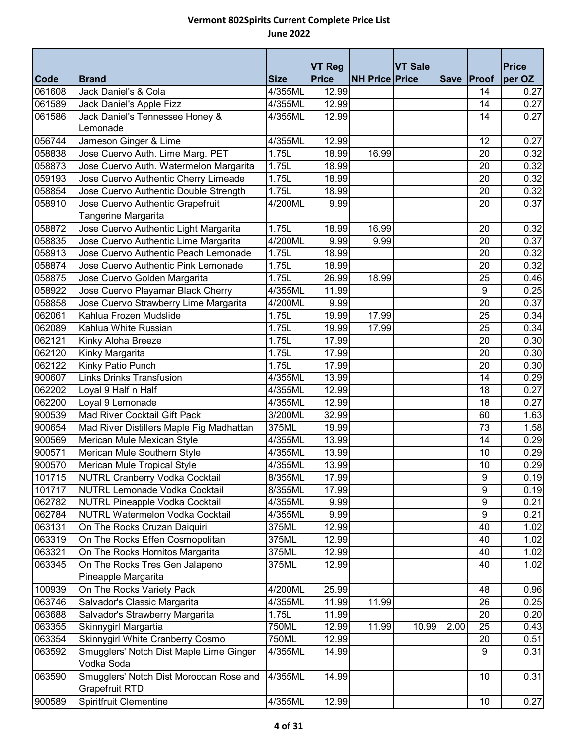| <b>Code</b> | <b>Brand</b>                                                     | <b>Size</b> | <b>VT Reg</b><br><b>Price</b> | <b>NH Price Price</b> | <b>VT Sale</b> |      | Save Proof       | <b>Price</b><br>per OZ |
|-------------|------------------------------------------------------------------|-------------|-------------------------------|-----------------------|----------------|------|------------------|------------------------|
| 061608      | Jack Daniel's & Cola                                             | 4/355ML     | 12.99                         |                       |                |      | 14               | 0.27                   |
| 061589      | Jack Daniel's Apple Fizz                                         | 4/355ML     | 12.99                         |                       |                |      | 14               | 0.27                   |
| 061586      | Jack Daniel's Tennessee Honey &                                  | 4/355ML     | 12.99                         |                       |                |      | 14               | 0.27                   |
|             | Lemonade                                                         |             |                               |                       |                |      |                  |                        |
| 056744      | Jameson Ginger & Lime                                            | 4/355ML     | 12.99                         |                       |                |      | 12               | 0.27                   |
| 058838      | Jose Cuervo Auth. Lime Marg. PET                                 | 1.75L       | 18.99                         | 16.99                 |                |      | 20               | 0.32                   |
| 058873      | Jose Cuervo Auth. Watermelon Margarita                           | 1.75L       | 18.99                         |                       |                |      | 20               | 0.32                   |
| 059193      | Jose Cuervo Authentic Cherry Limeade                             | 1.75L       | 18.99                         |                       |                |      | 20               | 0.32                   |
| 058854      | Jose Cuervo Authentic Double Strength                            | 1.75L       | 18.99                         |                       |                |      | 20               | 0.32                   |
| 058910      | Jose Cuervo Authentic Grapefruit                                 | 4/200ML     | 9.99                          |                       |                |      | 20               | 0.37                   |
|             | Tangerine Margarita                                              |             |                               |                       |                |      |                  |                        |
| 058872      | Jose Cuervo Authentic Light Margarita                            | 1.75L       | 18.99                         | 16.99                 |                |      | 20               | 0.32                   |
| 058835      | Jose Cuervo Authentic Lime Margarita                             | 4/200ML     | 9.99                          | 9.99                  |                |      | 20               | 0.37                   |
| 058913      | Jose Cuervo Authentic Peach Lemonade                             | 1.75L       | 18.99                         |                       |                |      | 20               | 0.32                   |
| 058874      | Jose Cuervo Authentic Pink Lemonade                              | 1.75L       | 18.99                         |                       |                |      | 20               | 0.32                   |
| 058875      | Jose Cuervo Golden Margarita                                     | 1.75L       | 26.99                         | 18.99                 |                |      | 25               | 0.46                   |
| 058922      | Jose Cuervo Playamar Black Cherry                                | 4/355ML     | 11.99                         |                       |                |      | 9                | 0.25                   |
| 058858      | Jose Cuervo Strawberry Lime Margarita                            | 4/200ML     | 9.99                          |                       |                |      | 20               | 0.37                   |
| 062061      | Kahlua Frozen Mudslide                                           | 1.75L       | 19.99                         | 17.99                 |                |      | 25               | 0.34                   |
| 062089      | Kahlua White Russian                                             | 1.75L       | 19.99                         | 17.99                 |                |      | 25               | 0.34                   |
| 062121      | Kinky Aloha Breeze                                               | 1.75L       | 17.99                         |                       |                |      | 20               | 0.30                   |
| 062120      | Kinky Margarita                                                  | 1.75L       | 17.99                         |                       |                |      | 20               | 0.30                   |
| 062122      | Kinky Patio Punch                                                | 1.75L       | 17.99                         |                       |                |      | 20               | 0.30                   |
| 900607      | <b>Links Drinks Transfusion</b>                                  | 4/355ML     | 13.99                         |                       |                |      | 14               | 0.29                   |
| 062202      | Loyal 9 Half n Half                                              | 4/355ML     | 12.99                         |                       |                |      | 18               | 0.27                   |
| 062200      | Loyal 9 Lemonade                                                 | 4/355ML     | 12.99                         |                       |                |      | 18               | 0.27                   |
| 900539      | Mad River Cocktail Gift Pack                                     | 3/200ML     | 32.99                         |                       |                |      | 60               | 1.63                   |
| 900654      | Mad River Distillers Maple Fig Madhattan                         | 375ML       | 19.99                         |                       |                |      | 73               | 1.58                   |
| 900569      | Merican Mule Mexican Style                                       | 4/355ML     | 13.99                         |                       |                |      | 14               | 0.29                   |
| 900571      | Merican Mule Southern Style                                      | 4/355ML     | 13.99                         |                       |                |      | 10               | 0.29                   |
| 900570      | Merican Mule Tropical Style                                      | 4/355ML     | 13.99                         |                       |                |      | 10               | 0.29                   |
| 101715      | <b>NUTRL Cranberry Vodka Cocktail</b>                            | 8/355ML     | 17.99                         |                       |                |      | 9                | 0.19                   |
| 101717      | <b>NUTRL Lemonade Vodka Cocktail</b>                             | 8/355ML     | 17.99                         |                       |                |      | 9                | 0.19                   |
| 062782      | <b>NUTRL Pineapple Vodka Cocktail</b>                            | 4/355ML     | 9.99                          |                       |                |      | $\boldsymbol{9}$ | 0.21                   |
| 062784      | <b>NUTRL Watermelon Vodka Cocktail</b>                           | 4/355ML     | 9.99                          |                       |                |      | 9                | 0.21                   |
| 063131      | On The Rocks Cruzan Daiquiri                                     | 375ML       | 12.99                         |                       |                |      | 40               | 1.02                   |
| 063319      | On The Rocks Effen Cosmopolitan                                  | 375ML       | 12.99                         |                       |                |      | 40               | 1.02                   |
| 063321      | On The Rocks Hornitos Margarita                                  | 375ML       | 12.99                         |                       |                |      | 40               | 1.02                   |
| 063345      | On The Rocks Tres Gen Jalapeno                                   | 375ML       | 12.99                         |                       |                |      | 40               | 1.02                   |
|             | Pineapple Margarita                                              |             |                               |                       |                |      |                  |                        |
| 100939      | On The Rocks Variety Pack                                        | 4/200ML     | 25.99                         |                       |                |      | 48               | 0.96                   |
| 063746      | Salvador's Classic Margarita                                     | 4/355ML     | 11.99                         | 11.99                 |                |      | 26               | 0.25                   |
| 063688      | Salvador's Strawberry Margarita                                  | 1.75L       | 11.99                         |                       |                |      | 20               | 0.20                   |
| 063355      | Skinnygirl Margartia                                             | 750ML       | 12.99                         | 11.99                 | 10.99          | 2.00 | 25               | 0.43                   |
| 063354      | Skinnygirl White Cranberry Cosmo                                 | 750ML       | 12.99                         |                       |                |      | 20               | 0.51                   |
| 063592      | Smugglers' Notch Dist Maple Lime Ginger<br>Vodka Soda            | 4/355ML     | 14.99                         |                       |                |      | 9                | 0.31                   |
|             |                                                                  |             |                               |                       |                |      |                  |                        |
| 063590      | Smugglers' Notch Dist Moroccan Rose and<br><b>Grapefruit RTD</b> | 4/355ML     | 14.99                         |                       |                |      | 10               | 0.31                   |
| 900589      | Spiritfruit Clementine                                           | 4/355ML     | 12.99                         |                       |                |      | 10               | 0.27                   |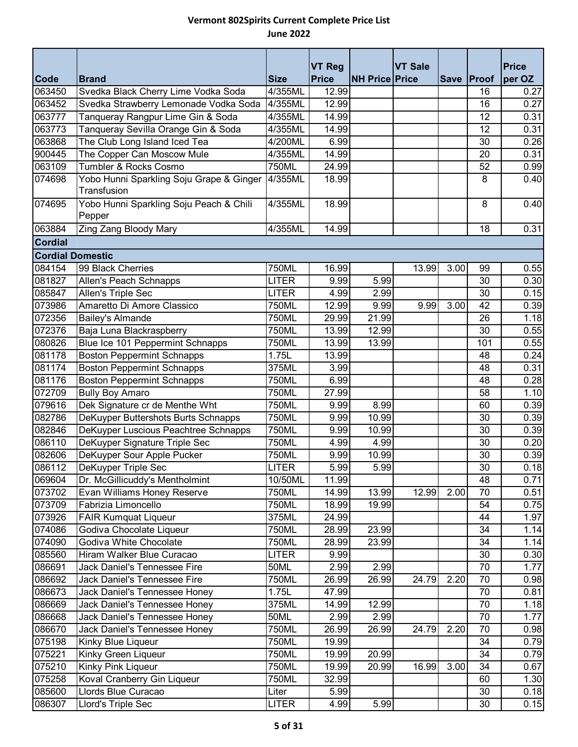|                         |                                                             |                    | <b>VT Reg</b>  |                       | <b>VT Sale</b> |      |            | <b>Price</b> |
|-------------------------|-------------------------------------------------------------|--------------------|----------------|-----------------------|----------------|------|------------|--------------|
| Code                    | <b>Brand</b>                                                | <b>Size</b>        | <b>Price</b>   | <b>NH Price Price</b> |                |      | Save Proof | per OZ       |
| 063450<br>063452        | Svedka Black Cherry Lime Vodka Soda                         | 4/355ML            | 12.99<br>12.99 |                       |                |      | 16         | 0.27         |
|                         | Svedka Strawberry Lemonade Vodka Soda                       | 4/355ML            |                |                       |                |      | 16         | 0.27         |
| 063777                  | Tanqueray Rangpur Lime Gin & Soda                           | 4/355ML            | 14.99          |                       |                |      | 12         | 0.31         |
| 063773<br>063868        | Tanqueray Sevilla Orange Gin & Soda                         | 4/355ML            | 14.99          |                       |                |      | 12         | 0.31         |
| 900445                  | The Club Long Island Iced Tea<br>The Copper Can Moscow Mule | 4/200ML<br>4/355ML | 6.99<br>14.99  |                       |                |      | 30<br>20   | 0.26<br>0.31 |
| 063109                  | Tumbler & Rocks Cosmo                                       | 750ML              |                |                       |                |      |            |              |
| 074698                  |                                                             | 4/355ML            | 24.99<br>18.99 |                       |                |      | 52<br>8    | 0.99<br>0.40 |
|                         | Yobo Hunni Sparkling Soju Grape & Ginger<br>Transfusion     |                    |                |                       |                |      |            |              |
| 074695                  | Yobo Hunni Sparkling Soju Peach & Chili<br>Pepper           | 4/355ML            | 18.99          |                       |                |      | 8          | 0.40         |
| 063884                  | Zing Zang Bloody Mary                                       | 4/355ML            | 14.99          |                       |                |      | 18         | 0.31         |
| <b>Cordial</b>          |                                                             |                    |                |                       |                |      |            |              |
| <b>Cordial Domestic</b> |                                                             |                    |                |                       |                |      |            |              |
| 084154                  | 99 Black Cherries                                           | 750ML              | 16.99          |                       | 13.99          | 3.00 | 99         | 0.55         |
| 081827                  | Allen's Peach Schnapps                                      | <b>LITER</b>       | 9.99           | 5.99                  |                |      | 30         | 0.30         |
| 085847                  | Allen's Triple Sec                                          | LITER              | 4.99           | 2.99                  |                |      | 30         | 0.15         |
| 073986                  | Amaretto Di Amore Classico                                  | 750ML              | 12.99          | 9.99                  | 9.99           | 3.00 | 42         | 0.39         |
| 072356                  | <b>Bailey's Almande</b>                                     | 750ML              | 29.99          | $\overline{2}1.99$    |                |      | 26         | 1.18         |
| 072376                  | Baja Luna Blackraspberry                                    | 750ML              | 13.99          | 12.99                 |                |      | 30         | 0.55         |
| 080826                  | Blue Ice 101 Peppermint Schnapps                            | 750ML              | 13.99          | 13.99                 |                |      | 101        | 0.55         |
| 081178                  | <b>Boston Peppermint Schnapps</b>                           | 1.75L              | 13.99          |                       |                |      | 48         | 0.24         |
| 081174                  | <b>Boston Peppermint Schnapps</b>                           | 375ML              | 3.99           |                       |                |      | 48         | 0.31         |
| 081176                  | <b>Boston Peppermint Schnapps</b>                           | 750ML              | 6.99           |                       |                |      | 48         | 0.28         |
| 072709                  | <b>Bully Boy Amaro</b>                                      | 750ML              | 27.99          |                       |                |      | 58         | 1.10         |
| 079616                  | Dek Signature cr de Menthe Wht                              | 750ML              | 9.99           | 8.99                  |                |      | 60         | 0.39         |
| 082786                  | DeKuyper Buttershots Burts Schnapps                         | 750ML              | 9.99           | 10.99                 |                |      | 30         | 0.39         |
| 082846                  | DeKuyper Luscious Peachtree Schnapps                        | 750ML              | 9.99           | 10.99                 |                |      | 30         | 0.39         |
| 086110                  | DeKuyper Signature Triple Sec                               | 750ML              | 4.99           | 4.99                  |                |      | 30         | 0.20         |
| 082606                  | DeKuyper Sour Apple Pucker                                  | 750ML              | 9.99           | 10.99                 |                |      | 30         | 0.39         |
| 086112                  | DeKuyper Triple Sec                                         | <b>LITER</b>       | 5.99           | 5.99                  |                |      | 30         | 0.18         |
| 069604                  | Dr. McGillicuddy's Mentholmint                              | 10/50ML            | 11.99          |                       |                |      | 48         | 0.71         |
| 073702                  | Evan Williams Honey Reserve                                 | 750ML              | 14.99          | 13.99                 | 12.99          | 2.00 | 70         | 0.51         |
| 073709                  | Fabrizia Limoncello                                         | 750ML              | 18.99          | 19.99                 |                |      | 54         | 0.75         |
| 073926                  | <b>FAIR Kumquat Liqueur</b>                                 | 375ML              | 24.99          |                       |                |      | 44         | 1.97         |
| 074086                  | Godiva Chocolate Liqueur                                    | 750ML              | 28.99          | 23.99                 |                |      | 34         | 1.14         |
| 074090                  | Godiva White Chocolate                                      | 750ML              | 28.99          | 23.99                 |                |      | 34         | 1.14         |
| 085560                  | Hiram Walker Blue Curacao                                   | <b>LITER</b>       | 9.99           |                       |                |      | 30         | 0.30         |
| 086691                  | Jack Daniel's Tennessee Fire                                | 50ML               | 2.99           | 2.99                  |                |      | 70         | 1.77         |
| 086692                  | Jack Daniel's Tennessee Fire                                | 750ML              | 26.99          | 26.99                 | 24.79          | 2.20 | 70         | 0.98         |
| 086673                  | Jack Daniel's Tennessee Honey                               | 1.75L              | 47.99          |                       |                |      | 70         | 0.81         |
| 086669                  | Jack Daniel's Tennessee Honey                               | 375ML              | 14.99          | 12.99                 |                |      | 70         | 1.18         |
| 086668                  | Jack Daniel's Tennessee Honey                               | 50ML               | 2.99           | 2.99                  |                |      | 70         | 1.77         |
| 086670                  | Jack Daniel's Tennessee Honey                               | 750ML              | 26.99          | 26.99                 | 24.79          | 2.20 | 70         | 0.98         |
| 075198                  | Kinky Blue Liqueur                                          | 750ML              | 19.99          |                       |                |      | 34         | 0.79         |
| 075221                  | Kinky Green Liqueur                                         | 750ML              | 19.99          | 20.99                 |                |      | 34         | 0.79         |
| 075210                  | Kinky Pink Liqueur                                          | 750ML              | 19.99          | 20.99                 | 16.99          | 3.00 | 34         | 0.67         |
| 075258                  | Koval Cranberry Gin Liqueur                                 | 750ML              | 32.99          |                       |                |      | 60         | 1.30         |
| 085600                  | Llords Blue Curacao                                         | Liter              | 5.99           |                       |                |      | 30         | 0.18         |
| 086307                  | Llord's Triple Sec                                          | <b>LITER</b>       | 4.99           | 5.99                  |                |      | 30         | 0.15         |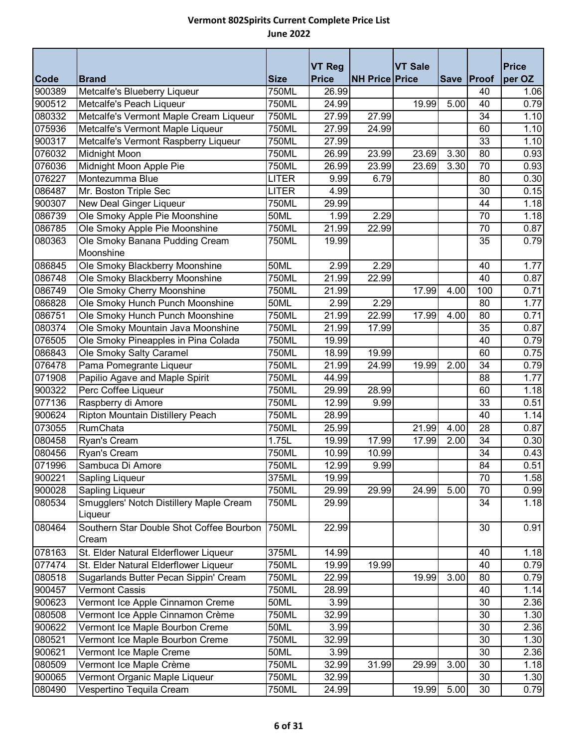|                  |                                                                                |                | <b>VT Reg</b>  |                       | <b>VT Sale</b> |      |                 | <b>Price</b> |
|------------------|--------------------------------------------------------------------------------|----------------|----------------|-----------------------|----------------|------|-----------------|--------------|
| <b>Code</b>      | <b>Brand</b>                                                                   | <b>Size</b>    | <b>Price</b>   | <b>NH Price Price</b> |                |      | Save Proof      | per OZ       |
| 900389           | Metcalfe's Blueberry Liqueur                                                   | 750ML          | 26.99          |                       |                |      | 40              | 1.06         |
| 900512           | Metcalfe's Peach Liqueur                                                       | 750ML          | 24.99          |                       | 19.99          | 5.00 | 40              | 0.79         |
| 080332           | Metcalfe's Vermont Maple Cream Liqueur                                         | 750ML          | 27.99          | 27.99                 |                |      | 34              | 1.10         |
| 075936           | Metcalfe's Vermont Maple Liqueur                                               | 750ML          | 27.99          | 24.99                 |                |      | 60              | 1.10         |
| 900317           | Metcalfe's Vermont Raspberry Liqueur                                           | 750ML          | 27.99          |                       |                |      | 33              | 1.10         |
| 076032           | Midnight Moon                                                                  | 750ML          | 26.99          | 23.99                 | 23.69          | 3.30 | 80              | 0.93         |
| 076036           | Midnight Moon Apple Pie                                                        | 750ML          | 26.99          | 23.99                 | 23.69          | 3.30 | $\overline{70}$ | 0.93         |
| 076227           | Montezumma Blue                                                                | <b>LITER</b>   | 9.99           | 6.79                  |                |      | 80              | 0.30         |
| 086487           | Mr. Boston Triple Sec                                                          | <b>LITER</b>   | 4.99           |                       |                |      | 30              | 0.15         |
| 900307           | New Deal Ginger Liqueur                                                        | 750ML          | 29.99          |                       |                |      | 44              | 1.18         |
| 086739           | Ole Smoky Apple Pie Moonshine                                                  | <b>50ML</b>    | 1.99           | 2.29                  |                |      | 70              | 1.18         |
| 086785           | Ole Smoky Apple Pie Moonshine                                                  | 750ML          | 21.99          | 22.99                 |                |      | $\overline{70}$ | 0.87         |
| 080363           | Ole Smoky Banana Pudding Cream                                                 | 750ML          | 19.99          |                       |                |      | 35              | 0.79         |
|                  | Moonshine                                                                      |                |                |                       |                |      |                 |              |
| 086845           | Ole Smoky Blackberry Moonshine                                                 | <b>50ML</b>    | 2.99           | 2.29                  |                |      | 40              | 1.77         |
| 086748           | Ole Smoky Blackberry Moonshine                                                 | 750ML          | 21.99          | 22.99                 |                |      | 40              | 0.87         |
| 086749           | Ole Smoky Cherry Moonshine                                                     | 750ML          | 21.99          |                       | 17.99          | 4.00 | 100             | 0.71         |
| 086828           | Ole Smoky Hunch Punch Moonshine                                                | 50ML           | 2.99           | 2.29                  |                |      | 80              | 1.77         |
| 086751           | Ole Smoky Hunch Punch Moonshine                                                | 750ML          | 21.99          | 22.99                 | 17.99          | 4.00 | 80              | 0.71         |
| 080374           | Ole Smoky Mountain Java Moonshine                                              | 750ML          | 21.99          | 17.99                 |                |      | 35              | 0.87         |
| 076505           | Ole Smoky Pineapples in Pina Colada                                            | 750ML          | 19.99          |                       |                |      | 40              | 0.79         |
| 086843           | Ole Smoky Salty Caramel                                                        | 750ML          | 18.99          | 19.99                 |                |      | 60              | 0.75         |
| 076478           | Pama Pomegrante Liqueur                                                        | 750ML          | 21.99          | 24.99                 | 19.99          | 2.00 | 34              | 0.79         |
| 071908           | Papilio Agave and Maple Spirit                                                 | 750ML          | 44.99          |                       |                |      | 88              | 1.77         |
| 900322           | Perc Coffee Liqueur                                                            | 750ML          | 29.99          | 28.99                 |                |      | 60              | 1.18         |
| 077136           | Raspberry di Amore                                                             | 750ML          | 12.99          | 9.99                  |                |      | 33              | 0.51         |
| 900624           | Ripton Mountain Distillery Peach                                               | <b>750ML</b>   | 28.99          |                       |                |      | 40              | 1.14         |
| 073055           | RumChata                                                                       | 750ML          | 25.99          |                       | 21.99          | 4.00 | 28              | 0.87         |
| 080458           | Ryan's Cream                                                                   | 1.75L          | 19.99          | 17.99                 | 17.99          | 2.00 | 34              | 0.30         |
| 080456           | Ryan's Cream                                                                   | 750ML          | 10.99          | 10.99                 |                |      | 34              | 0.43         |
| 071996           | Sambuca Di Amore                                                               | <b>750ML</b>   | 12.99          | 9.99                  |                |      | 84              | 0.51         |
| 900221           | <b>Sapling Liqueur</b>                                                         | 375ML          | 19.99          |                       |                |      | 70              | 1.58         |
| 900028           | Sapling Liqueur                                                                | 750ML          | 29.99          | 29.99                 | 24.99          | 5.00 | 70              | 0.99         |
| 080534           | Smugglers' Notch Distillery Maple Cream                                        | 750ML          | 29.99          |                       |                |      | 34              | 1.18         |
|                  | Liqueur                                                                        |                |                |                       |                |      |                 |              |
| 080464           | Southern Star Double Shot Coffee Bourbon                                       | 750ML          | 22.99          |                       |                |      | 30              | 0.91         |
|                  | Cream                                                                          |                |                |                       |                |      | 40              |              |
| 078163<br>077474 | St. Elder Natural Elderflower Liqueur<br>St. Elder Natural Elderflower Liqueur | 375ML<br>750ML | 14.99<br>19.99 | 19.99                 |                |      | 40              | 1.18         |
| 080518           | Sugarlands Butter Pecan Sippin' Cream                                          | 750ML          | 22.99          |                       | 19.99          | 3.00 | 80              | 0.79<br>0.79 |
| 900457           | <b>Vermont Cassis</b>                                                          | 750ML          | 28.99          |                       |                |      | 40              | 1.14         |
| 900623           | Vermont Ice Apple Cinnamon Creme                                               | 50ML           | 3.99           |                       |                |      | 30              | 2.36         |
| 080508           | Vermont Ice Apple Cinnamon Crème                                               | 750ML          | 32.99          |                       |                |      | 30              | 1.30         |
| 900622           | Vermont Ice Maple Bourbon Creme                                                | 50ML           | 3.99           |                       |                |      | 30              | 2.36         |
| 080521           | Vermont Ice Maple Bourbon Creme                                                | 750ML          | 32.99          |                       |                |      | 30              | 1.30         |
| 900621           | Vermont Ice Maple Creme                                                        | 50ML           | 3.99           |                       |                |      | 30              | 2.36         |
| 080509           | Vermont Ice Maple Crème                                                        | 750ML          | 32.99          | 31.99                 | 29.99          | 3.00 | 30              | 1.18         |
| 900065           | Vermont Organic Maple Liqueur                                                  | 750ML          | 32.99          |                       |                |      | 30              | 1.30         |
| 080490           | Vespertino Tequila Cream                                                       | 750ML          | 24.99          |                       | 19.99          | 5.00 | 30              | 0.79         |
|                  |                                                                                |                |                |                       |                |      |                 |              |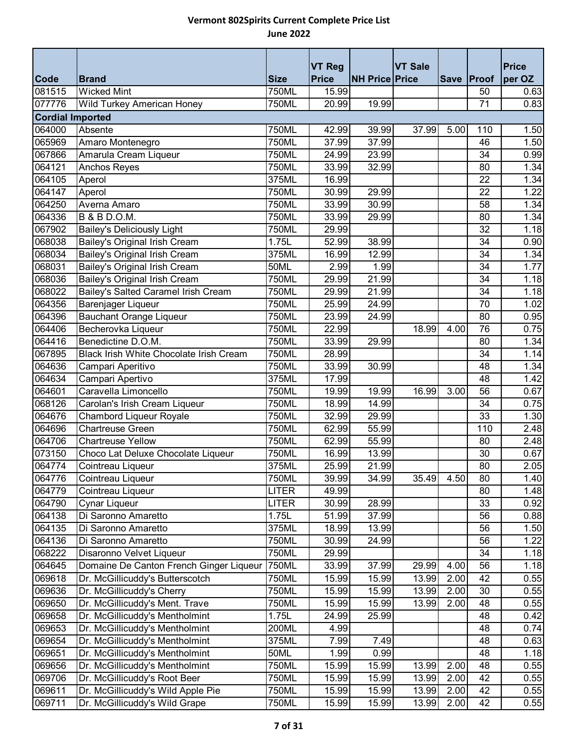|                         |                                         |              | <b>VT Reg</b> |                       | <b>VT Sale</b> |      |                 | <b>Price</b> |
|-------------------------|-----------------------------------------|--------------|---------------|-----------------------|----------------|------|-----------------|--------------|
| <b>Code</b>             | <b>Brand</b>                            | <b>Size</b>  | <b>Price</b>  | <b>NH Price Price</b> |                |      | Save Proof      | per OZ       |
| 081515                  | <b>Wicked Mint</b>                      | 750ML        | 15.99         |                       |                |      | 50              | 0.63         |
| 077776                  | Wild Turkey American Honey              | <b>750ML</b> | 20.99         | 19.99                 |                |      | $\overline{71}$ | 0.83         |
| <b>Cordial Imported</b> |                                         |              |               |                       |                |      |                 |              |
| 064000                  | Absente                                 | 750ML        | 42.99         | 39.99                 | 37.99          | 5.00 | 110             | 1.50         |
| 065969                  | Amaro Montenegro                        | 750ML        | 37.99         | 37.99                 |                |      | 46              | 1.50         |
| 067866                  | Amarula Cream Liqueur                   | 750ML        | 24.99         | 23.99                 |                |      | 34              | 0.99         |
| 064121                  | Anchos Reyes                            | 750ML        | 33.99         | 32.99                 |                |      | 80              | 1.34         |
| 064105                  | Aperol                                  | 375ML        | 16.99         |                       |                |      | 22              | 1.34         |
| 064147                  | Aperol                                  | 750ML        | 30.99         | 29.99                 |                |      | 22              | 1.22         |
| 064250                  | Averna Amaro                            | 750ML        | 33.99         | 30.99                 |                |      | 58              | 1.34         |
| 064336                  | <b>B &amp; B D.O.M.</b>                 | 750ML        | 33.99         | 29.99                 |                |      | 80              | 1.34         |
| 067902                  | <b>Bailey's Deliciously Light</b>       | 750ML        | 29.99         |                       |                |      | 32              | 1.18         |
| 068038                  | Bailey's Original Irish Cream           | 1.75L        | 52.99         | 38.99                 |                |      | 34              | 0.90         |
| 068034                  | Bailey's Original Irish Cream           | 375ML        | 16.99         | 12.99                 |                |      | 34              | 1.34         |
| 068031                  | Bailey's Original Irish Cream           | <b>50ML</b>  | 2.99          | 1.99                  |                |      | 34              | 1.77         |
| 068036                  | Bailey's Original Irish Cream           | 750ML        | 29.99         | 21.99                 |                |      | 34              | 1.18         |
| 068022                  | Bailey's Salted Caramel Irish Cream     | 750ML        | 29.99         | 21.99                 |                |      | 34              | 1.18         |
| 064356                  | Barenjager Liqueur                      | 750ML        | 25.99         | 24.99                 |                |      | 70              | 1.02         |
| 064396                  | <b>Bauchant Orange Liqueur</b>          | 750ML        | 23.99         | 24.99                 |                |      | 80              | 0.95         |
| 064406                  | Becherovka Liqueur                      | 750ML        | 22.99         |                       | 18.99          | 4.00 | 76              | 0.75         |
| 064416                  | Benedictine D.O.M.                      | 750ML        | 33.99         | 29.99                 |                |      | 80              | 1.34         |
| 067895                  | Black Irish White Chocolate Irish Cream | 750ML        | 28.99         |                       |                |      | 34              | 1.14         |
| 064636                  | Campari Aperitivo                       | 750ML        | 33.99         | 30.99                 |                |      | 48              | 1.34         |
| 064634                  | Campari Apertivo                        | 375ML        | 17.99         |                       |                |      | 48              | 1.42         |
| 064601                  | Caravella Limoncello                    | 750ML        | 19.99         | 19.99                 | 16.99          | 3.00 | 56              | 0.67         |
| 068126                  | Carolan's Irish Cream Liqueur           | 750ML        | 18.99         | 14.99                 |                |      | 34              | 0.75         |
| 064676                  | Chambord Liqueur Royale                 | 750ML        | 32.99         | 29.99                 |                |      | 33              | 1.30         |
| 064696                  | <b>Chartreuse Green</b>                 | <b>750ML</b> | 62.99         | 55.99                 |                |      | 110             | 2.48         |
| 064706                  | <b>Chartreuse Yellow</b>                | 750ML        | 62.99         | 55.99                 |                |      | 80              | 2.48         |
| 073150                  | Choco Lat Deluxe Chocolate Liqueur      | 750ML        | 16.99         | 13.99                 |                |      | 30              | 0.67         |
| 064774                  | Cointreau Liqueur                       | 375ML        | 25.99         | 21.99                 |                |      | 80              | 2.05         |
| 064776                  | Cointreau Liqueur                       | 750ML        | 39.99         | 34.99                 | 35.49          | 4.50 | 80              | 1.40         |
| 064779                  | Cointreau Liqueur                       | <b>LITER</b> | 49.99         |                       |                |      | 80              | 1.48         |
| 064790                  | Cynar Liqueur                           | <b>LITER</b> | 30.99         | 28.99                 |                |      | 33              | 0.92         |
| 064138                  | Di Saronno Amaretto                     | 1.75L        | 51.99         | 37.99                 |                |      | 56              | 0.88         |
| 064135                  | Di Saronno Amaretto                     | 375ML        | 18.99         | 13.99                 |                |      | 56              | 1.50         |
| 064136                  | Di Saronno Amaretto                     | 750ML        | 30.99         | 24.99                 |                |      | 56              | 1.22         |
| 068222                  | Disaronno Velvet Liqueur                | 750ML        | 29.99         |                       |                |      | 34              | 1.18         |
| 064645                  | Domaine De Canton French Ginger Liqueur | 750ML        | 33.99         | 37.99                 | 29.99          | 4.00 | 56              | 1.18         |
| 069618                  | Dr. McGillicuddy's Butterscotch         | 750ML        | 15.99         | 15.99                 | 13.99          | 2.00 | 42              | 0.55         |
| 069636                  | Dr. McGillicuddy's Cherry               | 750ML        | 15.99         | 15.99                 | 13.99          | 2.00 | 30              | 0.55         |
| 069650                  | Dr. McGillicuddy's Ment. Trave          | 750ML        | 15.99         | 15.99                 | 13.99          | 2.00 | 48              | 0.55         |
| 069658                  | Dr. McGillicuddy's Mentholmint          | 1.75L        | 24.99         | 25.99                 |                |      | 48              | 0.42         |
| 069653                  | Dr. McGillicuddy's Mentholmint          | 200ML        | 4.99          |                       |                |      | 48              | 0.74         |
| 069654                  | Dr. McGillicuddy's Mentholmint          | 375ML        | 7.99          | 7.49                  |                |      | 48              | 0.63         |
| 069651                  | Dr. McGillicuddy's Mentholmint          | 50ML         | 1.99          | 0.99                  |                |      | 48              | 1.18         |
| 069656                  | Dr. McGillicuddy's Mentholmint          | 750ML        | 15.99         | 15.99                 | 13.99          | 2.00 | 48              | 0.55         |
| 069706                  | Dr. McGillicuddy's Root Beer            | 750ML        | 15.99         | 15.99                 | 13.99          | 2.00 | 42              | 0.55         |
| 069611                  | Dr. McGillicuddy's Wild Apple Pie       | 750ML        | 15.99         | 15.99                 | 13.99          | 2.00 | 42              | 0.55         |
| 069711                  | Dr. McGillicuddy's Wild Grape           | 750ML        | 15.99         | 15.99                 | 13.99          | 2.00 | 42              | 0.55         |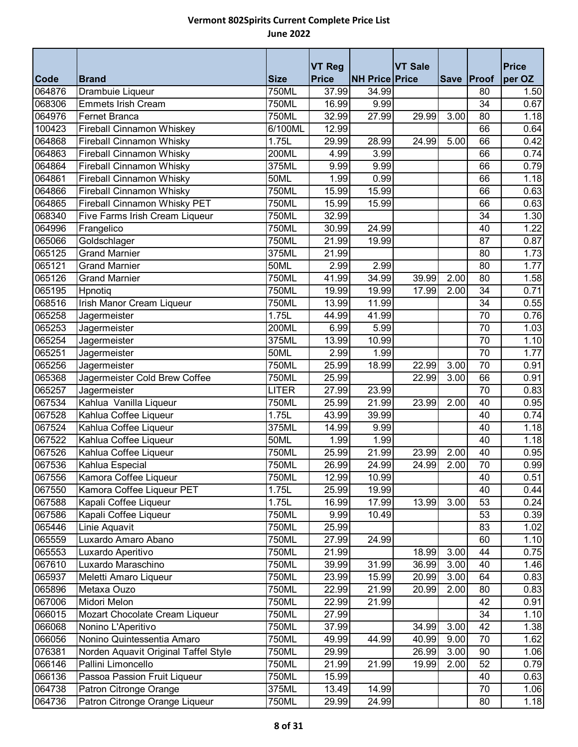|             |                                      |                     | <b>VT Reg</b> |                       | <b>VT Sale</b> |             |                 | <b>Price</b> |
|-------------|--------------------------------------|---------------------|---------------|-----------------------|----------------|-------------|-----------------|--------------|
| <b>Code</b> | <b>Brand</b>                         | <b>Size</b>         | <b>Price</b>  | <b>NH Price Price</b> |                | <b>Save</b> | Proof           | per OZ       |
| 064876      | Drambuie Liqueur                     | 750ML               | 37.99         | 34.99                 |                |             | 80              | 1.50         |
| 068306      | <b>Emmets Irish Cream</b>            | 750ML               | 16.99         | 9.99                  |                |             | 34              | 0.67         |
| 064976      | <b>Fernet Branca</b>                 | 750ML               | 32.99         | 27.99                 | 29.99          | 3.00        | 80              | 1.18         |
| 100423      | Fireball Cinnamon Whiskey            | 6/100ML             | 12.99         |                       |                |             | 66              | 0.64         |
| 064868      | Fireball Cinnamon Whisky             | 1.75L               | 29.99         | 28.99                 | 24.99          | 5.00        | 66              | 0.42         |
| 064863      | <b>Fireball Cinnamon Whisky</b>      | 200ML               | 4.99          | 3.99                  |                |             | 66              | 0.74         |
| 064864      | Fireball Cinnamon Whisky             | 375ML               | 9.99          | 9.99                  |                |             | 66              | 0.79         |
| 064861      | <b>Fireball Cinnamon Whisky</b>      | 50ML                | 1.99          | 0.99                  |                |             | 66              | 1.18         |
| 064866      | Fireball Cinnamon Whisky             | 750ML               | 15.99         | 15.99                 |                |             | 66              | 0.63         |
| 064865      | Fireball Cinnamon Whisky PET         | 750ML               | 15.99         | 15.99                 |                |             | 66              | 0.63         |
| 068340      | Five Farms Irish Cream Liqueur       | 750ML               | 32.99         |                       |                |             | 34              | 1.30         |
| 064996      | Frangelico                           | 750ML               | 30.99         | 24.99                 |                |             | 40              | 1.22         |
| 065066      | Goldschlager                         | 750ML               | 21.99         | 19.99                 |                |             | 87              | 0.87         |
| 065125      | Grand Marnier                        | 375ML               | 21.99         |                       |                |             | 80              | 1.73         |
| 065121      | <b>Grand Marnier</b>                 | 50ML                | 2.99          | 2.99                  |                |             | 80              | 1.77         |
| 065126      | <b>Grand Marnier</b>                 | 750ML               | 41.99         | 34.99                 | 39.99          | 2.00        | 80              | 1.58         |
| 065195      | Hpnotiq                              | 750ML               | 19.99         | 19.99                 | 17.99          | 2.00        | 34              | 0.71         |
| 068516      | Irish Manor Cream Liqueur            | 750ML               | 13.99         | 11.99                 |                |             | 34              | 0.55         |
| 065258      | Jagermeister                         | 1.75L               | 44.99         | 41.99                 |                |             | 70              | 0.76         |
| 065253      | Jagermeister                         | 200ML               | 6.99          | 5.99                  |                |             | 70              | 1.03         |
| 065254      | Jagermeister                         | 375ML               | 13.99         | 10.99                 |                |             | 70              | 1.10         |
| 065251      | Jagermeister                         | 50ML                | 2.99          | 1.99                  |                |             | $\overline{70}$ | 1.77         |
| 065256      | Jagermeister                         | 750ML               | 25.99         | 18.99                 | 22.99          | 3.00        | 70              | 0.91         |
| 065368      | Jagermeister Cold Brew Coffee        | 750ML               | 25.99         |                       | 22.99          | 3.00        | 66              | 0.91         |
| 065257      | Jagermeister                         | <b>LITER</b>        | 27.99         | 23.99                 |                |             | 70              | 0.83         |
| 067534      | Kahlua Vanilla Liqueur               | 750ML               | 25.99         | 21.99                 | 23.99          | 2.00        | 40              | 0.95         |
| 067528      | Kahlua Coffee Liqueur                | 1.75L               | 43.99         | 39.99                 |                |             | 40              | 0.74         |
| 067524      | Kahlua Coffee Liqueur                | 375ML               | 14.99         | 9.99                  |                |             | 40              | 1.18         |
| 067522      | Kahlua Coffee Liqueur                | 50ML                | 1.99          | 1.99                  |                |             | 40              | 1.18         |
| 067526      | Kahlua Coffee Liqueur                | 750ML               | 25.99         | 21.99                 | 23.99          | 2.00        | 40              | 0.95         |
| 067536      | Kahlua Especial                      | 750ML               | 26.99         | 24.99                 | 24.99          | 2.00        | 70              | 0.99         |
| 067556      | Kamora Coffee Liqueur                | $\overline{750}$ ML | 12.99         | 10.99                 |                |             | 40              | 0.51         |
| 067550      | Kamora Coffee Liqueur PET            | 1.75L               | 25.99         | 19.99                 |                |             | 40              | 0.44         |
| 067588      | Kapali Coffee Liqueur                | 1.75L               | 16.99         | 17.99                 | 13.99          | 3.00        | 53              | 0.24         |
| 067586      | Kapali Coffee Liqueur                | 750ML               | 9.99          | 10.49                 |                |             | 53              | 0.39         |
| 065446      | Linie Aquavit                        | 750ML               | 25.99         |                       |                |             | 83              | 1.02         |
| 065559      | Luxardo Amaro Abano                  | 750ML               | 27.99         | 24.99                 |                |             | 60              | 1.10         |
| 065553      | Luxardo Aperitivo                    | 750ML               | 21.99         |                       | 18.99          | 3.00        | 44              | 0.75         |
| 067610      | Luxardo Maraschino                   | 750ML               | 39.99         | 31.99                 | 36.99          | 3.00        | 40              | 1.46         |
| 065937      | Meletti Amaro Liqueur                | 750ML               | 23.99         | 15.99                 | 20.99          | 3.00        | 64              | 0.83         |
| 065896      | Metaxa Ouzo                          | 750ML               | 22.99         | 21.99                 | 20.99          | 2.00        | 80              | 0.83         |
| 067006      | Midori Melon                         | 750ML               | 22.99         | 21.99                 |                |             | 42              | 0.91         |
| 066015      | Mozart Chocolate Cream Liqueur       | 750ML               | 27.99         |                       |                |             | 34              | 1.10         |
| 066068      | Nonino L'Aperitivo                   | 750ML               | 37.99         |                       | 34.99          | 3.00        | 42              | 1.38         |
| 066056      | Nonino Quintessentia Amaro           | 750ML               | 49.99         | 44.99                 | 40.99          | 9.00        | 70              | 1.62         |
| 076381      | Norden Aquavit Original Taffel Style | 750ML               | 29.99         |                       | 26.99          | 3.00        | 90              | 1.06         |
| 066146      | Pallini Limoncello                   | 750ML               | 21.99         | 21.99                 | 19.99          | 2.00        | 52              | 0.79         |
| 066136      | Passoa Passion Fruit Liqueur         | 750ML               | 15.99         |                       |                |             | 40              | 0.63         |
| 064738      | Patron Citronge Orange               | 375ML               | 13.49         | 14.99                 |                |             | 70              | 1.06         |
| 064736      | Patron Citronge Orange Liqueur       | 750ML               | 29.99         | 24.99                 |                |             | 80              | 1.18         |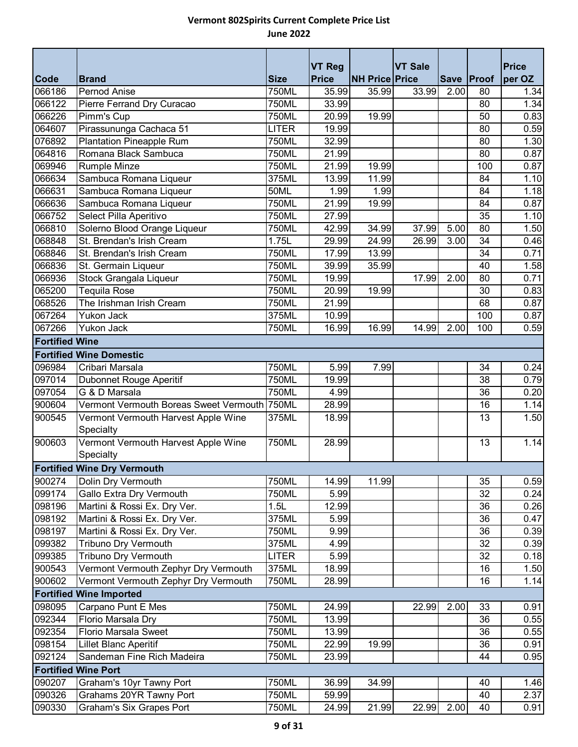|                                |                                                  |                     | <b>VT Reg</b> |                       | <b>VT Sale</b>     |      |                 | <b>Price</b> |  |
|--------------------------------|--------------------------------------------------|---------------------|---------------|-----------------------|--------------------|------|-----------------|--------------|--|
| Code                           | <b>Brand</b>                                     | <b>Size</b>         | <b>Price</b>  | <b>NH Price Price</b> |                    |      | Save Proof      | per OZ       |  |
| 066186                         | Pernod Anise                                     | 750ML               | 35.99         | 35.99                 | $33.\overline{99}$ | 2.00 | 80              | 1.34         |  |
| 066122                         | Pierre Ferrand Dry Curacao                       | 750ML               | 33.99         |                       |                    |      | 80              | 1.34         |  |
| 066226                         | Pimm's Cup                                       | 750ML               | 20.99         | 19.99                 |                    |      | 50              | 0.83         |  |
| 064607                         | Pirassununga Cachaca 51                          | <b>LITER</b>        | 19.99         |                       |                    |      | 80              | 0.59         |  |
| 076892                         | <b>Plantation Pineapple Rum</b>                  | 750ML               | 32.99         |                       |                    |      | 80              | 1.30         |  |
| 064816                         | Romana Black Sambuca                             | 750ML               | 21.99         |                       |                    |      | 80              | 0.87         |  |
| 069946                         | <b>Rumple Minze</b>                              | 750ML               | 21.99         | 19.99                 |                    |      | 100             | 0.87         |  |
| 066634                         | Sambuca Romana Liqueur                           | 375ML               | 13.99         | 11.99                 |                    |      | 84              | 1.10         |  |
| 066631                         | Sambuca Romana Liqueur                           | 50ML                | 1.99          | 1.99                  |                    |      | 84              | 1.18         |  |
| 066636                         | Sambuca Romana Liqueur                           | 750ML               | 21.99         | 19.99                 |                    |      | 84              | 0.87         |  |
| 066752                         | Select Pilla Aperitivo                           | 750ML               | 27.99         |                       |                    |      | 35              | 1.10         |  |
| 066810                         | Solerno Blood Orange Liqueur                     | 750ML               | 42.99         | 34.99                 | 37.99              | 5.00 | 80              | 1.50         |  |
| 068848                         | St. Brendan's Irish Cream                        | 1.75L               | 29.99         | 24.99                 | 26.99              | 3.00 | 34              | 0.46         |  |
| 068846                         | St. Brendan's Irish Cream                        | 750ML               | 17.99         | 13.99                 |                    |      | 34              | 0.71         |  |
| 066836                         | St. Germain Liqueur                              | 750ML               | 39.99         | 35.99                 |                    |      | 40              | 1.58         |  |
| 066936                         | Stock Grangala Liqueur                           | 750ML               | 19.99         |                       | 17.99              | 2.00 | 80              | 0.71         |  |
| 065200                         | <b>Tequila Rose</b>                              | 750ML               | 20.99         | 19.99                 |                    |      | 30              | 0.83         |  |
| 068526                         | The Irishman Irish Cream                         | 750ML               | 21.99         |                       |                    |      | 68              | 0.87         |  |
| 067264                         | <b>Yukon Jack</b>                                | 375ML               | 10.99         |                       |                    |      | 100             | 0.87         |  |
| 067266                         | Yukon Jack                                       | 750ML               | 16.99         | 16.99                 | 14.99              | 2.00 | 100             | 0.59         |  |
| <b>Fortified Wine</b>          |                                                  |                     |               |                       |                    |      |                 |              |  |
| <b>Fortified Wine Domestic</b> |                                                  |                     |               |                       |                    |      |                 |              |  |
| 096984                         | Cribari Marsala                                  | 750ML               | 5.99          | 7.99                  |                    |      | 34              | 0.24         |  |
| 097014                         | <b>Dubonnet Rouge Aperitif</b>                   | $\overline{750}$ ML | 19.99         |                       |                    |      | 38              | 0.79         |  |
| 097054                         | G & D Marsala                                    | 750ML               | 4.99          |                       |                    |      | 36              | 0.20         |  |
| 900604                         | Vermont Vermouth Boreas Sweet Vermouth 750ML     |                     | 28.99         |                       |                    |      | 16              | 1.14         |  |
| 900545                         | Vermont Vermouth Harvest Apple Wine<br>Specialty | 375ML               | 18.99         |                       |                    |      | 13              | 1.50         |  |
| 900603                         | Vermont Vermouth Harvest Apple Wine<br>Specialty | <b>750ML</b>        | 28.99         |                       |                    |      | $\overline{13}$ | 1.14         |  |
|                                | <b>Fortified Wine Dry Vermouth</b>               |                     |               |                       |                    |      |                 |              |  |
| 900274                         | Dolin Dry Vermouth                               | 750ML               | 14.99         | 11.99                 |                    |      | 35              | 0.59         |  |
| 099174                         | <b>Gallo Extra Dry Vermouth</b>                  | 750ML               | 5.99          |                       |                    |      | 32              | 0.24         |  |
| 098196                         | Martini & Rossi Ex. Dry Ver.                     | 1.5L                | 12.99         |                       |                    |      | 36              | 0.26         |  |
| 098192                         | Martini & Rossi Ex. Dry Ver.                     | 375ML               | 5.99          |                       |                    |      | 36              | 0.47         |  |
| 098197                         | Martini & Rossi Ex. Dry Ver.                     | 750ML               | 9.99          |                       |                    |      | 36              | 0.39         |  |
| 099382                         | Tribuno Dry Vermouth                             | 375ML               | 4.99          |                       |                    |      | 32              | 0.39         |  |
| 099385                         | <b>Tribuno Dry Vermouth</b>                      | <b>LITER</b>        | 5.99          |                       |                    |      | 32              | 0.18         |  |
| 900543                         | Vermont Vermouth Zephyr Dry Vermouth             | 375ML               | 18.99         |                       |                    |      | 16              | 1.50         |  |
| 900602                         | Vermont Vermouth Zephyr Dry Vermouth             | 750ML               | 28.99         |                       |                    |      | 16              | 1.14         |  |
|                                | <b>Fortified Wine Imported</b>                   |                     |               |                       |                    |      |                 |              |  |
| 098095                         | Carpano Punt E Mes                               | 750ML               | 24.99         |                       | 22.99              | 2.00 | 33              | 0.91         |  |
| 092344                         | Florio Marsala Dry                               | 750ML               | 13.99         |                       |                    |      | 36              | 0.55         |  |
| 092354                         | Florio Marsala Sweet                             | 750ML               | 13.99         |                       |                    |      | 36              | 0.55         |  |
| 098154                         | Lillet Blanc Aperitif                            | 750ML               | 22.99         | 19.99                 |                    |      | 36              | 0.91         |  |
| 092124                         | Sandeman Fine Rich Madeira                       | 750ML               | 23.99         |                       |                    |      | 44              | 0.95         |  |
|                                | <b>Fortified Wine Port</b>                       |                     |               |                       |                    |      |                 |              |  |
| 090207                         | Graham's 10yr Tawny Port                         | 750ML               | 36.99         | 34.99                 |                    |      | 40              |              |  |
| 090326                         | Grahams 20YR Tawny Port                          | 750ML               | 59.99         |                       |                    |      | 40              | 1.46<br>2.37 |  |
| 090330                         | Graham's Six Grapes Port                         | 750ML               | 24.99         | 21.99                 | 22.99              | 2.00 | 40              | 0.91         |  |
|                                |                                                  |                     |               |                       |                    |      |                 |              |  |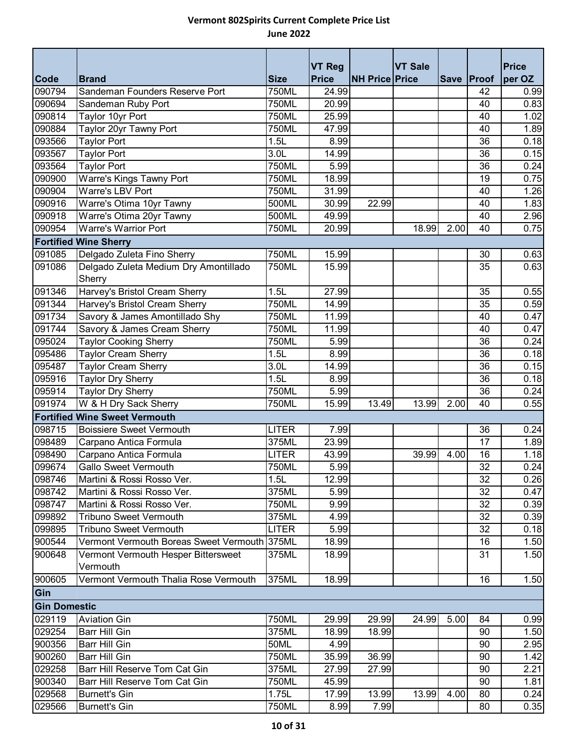|                     |                                                 |                  | <b>VT Reg</b> |                       | <b>VT Sale</b> |      |              | <b>Price</b> |
|---------------------|-------------------------------------------------|------------------|---------------|-----------------------|----------------|------|--------------|--------------|
| <b>Code</b>         | <b>Brand</b>                                    | <b>Size</b>      | <b>Price</b>  | <b>NH Price Price</b> |                |      | Save   Proof | per OZ       |
| 090794              | Sandeman Founders Reserve Port                  | 750ML            | 24.99         |                       |                |      | 42           | 0.99         |
| 090694              | Sandeman Ruby Port                              | 750ML            | 20.99         |                       |                |      | 40           | 0.83         |
| 090814              | Taylor 10yr Port                                | 750ML            | 25.99         |                       |                |      | 40           | 1.02         |
| 090884              | Taylor 20yr Tawny Port                          | 750ML            | 47.99         |                       |                |      | 40           | 1.89         |
| 093566              | <b>Taylor Port</b>                              | 1.5L             | 8.99          |                       |                |      | 36           | 0.18         |
| 093567              | <b>Taylor Port</b>                              | 3.0 <sub>L</sub> | 14.99         |                       |                |      | 36           | 0.15         |
| 093564              | <b>Taylor Port</b>                              | <b>750ML</b>     | 5.99          |                       |                |      | 36           | 0.24         |
| 090900              | Warre's Kings Tawny Port                        | 750ML            | 18.99         |                       |                |      | 19           | 0.75         |
| 090904              | Warre's LBV Port                                | 750ML            | 31.99         |                       |                |      | 40           | 1.26         |
| 090916              | Warre's Otima 10yr Tawny                        | 500ML            | 30.99         | 22.99                 |                |      | 40           | 1.83         |
| 090918              | Warre's Otima 20yr Tawny                        | 500ML            | 49.99         |                       |                |      | 40           | 2.96         |
| 090954              | <b>Warre's Warrior Port</b>                     | 750ML            | 20.99         |                       | 18.99          | 2.00 | 40           | 0.75         |
|                     | <b>Fortified Wine Sherry</b>                    |                  |               |                       |                |      |              |              |
| 091085              | Delgado Zuleta Fino Sherry                      | 750ML            | 15.99         |                       |                |      | 30           | 0.63         |
| 091086              | Delgado Zuleta Medium Dry Amontillado<br>Sherry | 750ML            | 15.99         |                       |                |      | 35           | 0.63         |
| 091346              | Harvey's Bristol Cream Sherry                   | 1.5L             | 27.99         |                       |                |      | 35           | 0.55         |
| 091344              | Harvey's Bristol Cream Sherry                   | 750ML            | 14.99         |                       |                |      | 35           | 0.59         |
| 091734              | Savory & James Amontillado Shy                  | <b>750ML</b>     | 11.99         |                       |                |      | 40           | 0.47         |
| 091744              | Savory & James Cream Sherry                     | 750ML            | 11.99         |                       |                |      | 40           | 0.47         |
| 095024              | <b>Taylor Cooking Sherry</b>                    | <b>750ML</b>     | 5.99          |                       |                |      | 36           | 0.24         |
| 095486              | <b>Taylor Cream Sherry</b>                      | 1.5L             | 8.99          |                       |                |      | 36           | 0.18         |
| 095487              | <b>Taylor Cream Sherry</b>                      | 3.0L             | 14.99         |                       |                |      | 36           | 0.15         |
| 095916              | <b>Taylor Dry Sherry</b>                        | 1.5L             | 8.99          |                       |                |      | 36           | 0.18         |
| 095914              | <b>Taylor Dry Sherry</b>                        | 750ML            | 5.99          |                       |                |      | 36           | 0.24         |
| 091974              | W & H Dry Sack Sherry                           | 750ML            | 15.99         | 13.49                 | 13.99          | 2.00 | 40           | 0.55         |
|                     | <b>Fortified Wine Sweet Vermouth</b>            |                  |               |                       |                |      |              |              |
| 098715              | <b>Boissiere Sweet Vermouth</b>                 | <b>LITER</b>     | 7.99          |                       |                |      | 36           | 0.24         |
| 098489              | Carpano Antica Formula                          | 375ML            | 23.99         |                       |                |      | 17           | 1.89         |
| 098490              | Carpano Antica Formula                          | <b>LITER</b>     | 43.99         |                       | 39.99          | 4.00 | 16           | 1.18         |
| 099674              | <b>Gallo Sweet Vermouth</b>                     | <b>750ML</b>     | 5.99          |                       |                |      | 32           | 0.24         |
| 098746              | Martini & Rossi Rosso Ver.                      | 1.5L             | 12.99         |                       |                |      | 32           | 0.26         |
| 098742              | Martini & Rossi Rosso Ver.                      | 375ML            | 5.99          |                       |                |      | 32           | 0.47         |
| 098747              | Martini & Rossi Rosso Ver.                      | 750ML            | 9.99          |                       |                |      | 32           | 0.39         |
| 099892              | <b>Tribuno Sweet Vermouth</b>                   | 375ML            | 4.99          |                       |                |      | 32           | 0.39         |
| 099895              | <b>Tribuno Sweet Vermouth</b>                   | <b>LITER</b>     | 5.99          |                       |                |      | 32           | 0.18         |
| 900544              | Vermont Vermouth Boreas Sweet Vermouth 375ML    |                  | 18.99         |                       |                |      | 16           | 1.50         |
| 900648              | Vermont Vermouth Hesper Bittersweet             | 375ML            | 18.99         |                       |                |      | 31           | 1.50         |
|                     | Vermouth                                        |                  |               |                       |                |      |              |              |
| 900605              | Vermont Vermouth Thalia Rose Vermouth           | 375ML            | 18.99         |                       |                |      | 16           | 1.50         |
| Gin                 |                                                 |                  |               |                       |                |      |              |              |
| <b>Gin Domestic</b> |                                                 |                  |               |                       |                |      |              |              |
| 029119              | <b>Aviation Gin</b>                             | 750ML            | 29.99         | 29.99                 | 24.99          | 5.00 | 84           | 0.99         |
| 029254              | Barr Hill Gin                                   | 375ML            | 18.99         | 18.99                 |                |      | 90           | 1.50         |
| 900356              | Barr Hill Gin                                   | <b>50ML</b>      | 4.99          |                       |                |      | 90           | 2.95         |
| 900260              | Barr Hill Gin                                   | 750ML            | 35.99         | 36.99                 |                |      | 90           | 1.42         |
| 029258              | Barr Hill Reserve Tom Cat Gin                   | 375ML            | 27.99         | 27.99                 |                |      | 90           | 2.21         |
| 900340              | Barr Hill Reserve Tom Cat Gin                   | 750ML            | 45.99         |                       |                |      | 90           | 1.81         |
| 029568              | <b>Burnett's Gin</b>                            | 1.75L            | 17.99         | 13.99                 | 13.99          | 4.00 | 80           | 0.24         |
| 029566              | <b>Burnett's Gin</b>                            | 750ML            | 8.99          | 7.99                  |                |      | 80           | 0.35         |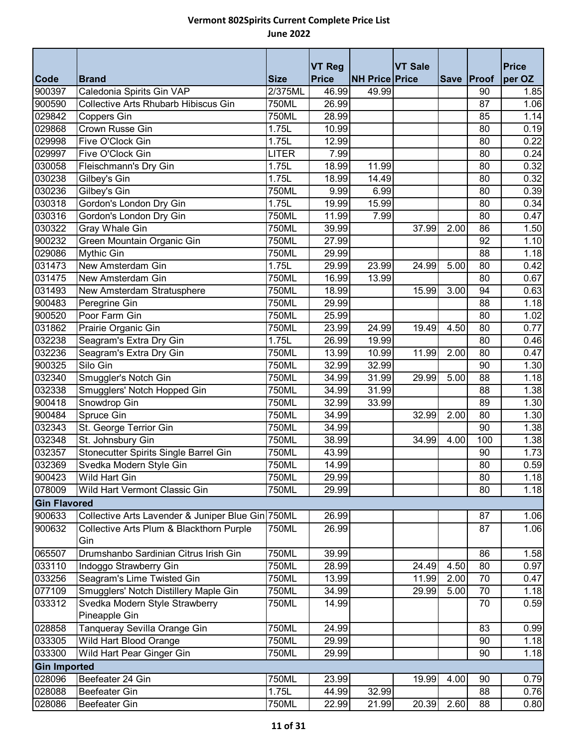|                     |                                                   |              | <b>VT Reg</b> |                       | <b>VT Sale</b> |      |              | <b>Price</b> |
|---------------------|---------------------------------------------------|--------------|---------------|-----------------------|----------------|------|--------------|--------------|
| <b>Code</b>         | <b>Brand</b>                                      | <b>Size</b>  | <b>Price</b>  | <b>NH Price Price</b> |                |      | Save   Proof | per OZ       |
| 900397              | Caledonia Spirits Gin VAP                         | 2/375ML      | 46.99         | 49.99                 |                |      | 90           | 1.85         |
| 900590              | <b>Collective Arts Rhubarb Hibiscus Gin</b>       | 750ML        | 26.99         |                       |                |      | 87           | 1.06         |
| 029842              | Coppers Gin                                       | 750ML        | 28.99         |                       |                |      | 85           | 1.14         |
| 029868              | Crown Russe Gin                                   | 1.75L        | 10.99         |                       |                |      | 80           | 0.19         |
| 029998              | Five O'Clock Gin                                  | 1.75L        | 12.99         |                       |                |      | 80           | 0.22         |
| 029997              | Five O'Clock Gin                                  | <b>LITER</b> | 7.99          |                       |                |      | 80           | 0.24         |
| 030058              | Fleischmann's Dry Gin                             | 1.75L        | 18.99         | 11.99                 |                |      | 80           | 0.32         |
| 030238              | Gilbey's Gin                                      | 1.75L        | 18.99         | 14.49                 |                |      | 80           | 0.32         |
| 030236              | Gilbey's Gin                                      | 750ML        | 9.99          | 6.99                  |                |      | 80           | 0.39         |
| 030318              | Gordon's London Dry Gin                           | 1.75L        | 19.99         | 15.99                 |                |      | 80           | 0.34         |
| 030316              | Gordon's London Dry Gin                           | 750ML        | 11.99         | 7.99                  |                |      | 80           | 0.47         |
| 030322              | Gray Whale Gin                                    | 750ML        | 39.99         |                       | 37.99          | 2.00 | 86           | 1.50         |
| 900232              | Green Mountain Organic Gin                        | 750ML        | 27.99         |                       |                |      | 92           | 1.10         |
| 029086              | Mythic Gin                                        | 750ML        | 29.99         |                       |                |      | 88           | 1.18         |
| 031473              | New Amsterdam Gin                                 | 1.75L        | 29.99         | 23.99                 | 24.99          | 5.00 | 80           | 0.42         |
| 031475              | New Amsterdam Gin                                 | 750ML        | 16.99         | 13.99                 |                |      | 80           | 0.67         |
| 031493              | New Amsterdam Stratusphere                        | 750ML        | 18.99         |                       | 15.99          | 3.00 | 94           | 0.63         |
| 900483              | Peregrine Gin                                     | 750ML        | 29.99         |                       |                |      | 88           | 1.18         |
| 900520              | Poor Farm Gin                                     | 750ML        | 25.99         |                       |                |      | 80           | 1.02         |
| 031862              | Prairie Organic Gin                               | 750ML        | 23.99         | 24.99                 | 19.49          | 4.50 | 80           | 0.77         |
| 032238              | Seagram's Extra Dry Gin                           | 1.75L        | 26.99         | 19.99                 |                |      | 80           | 0.46         |
| 032236              | Seagram's Extra Dry Gin                           | 750ML        | 13.99         | 10.99                 | 11.99          | 2.00 | 80           | 0.47         |
| 900325              | Silo Gin                                          | 750ML        | 32.99         | 32.99                 |                |      | 90           | 1.30         |
| 032340              | Smuggler's Notch Gin                              | 750ML        | 34.99         | 31.99                 | 29.99          | 5.00 | 88           | 1.18         |
| 032338              | Smugglers' Notch Hopped Gin                       | 750ML        | 34.99         | 31.99                 |                |      | 88           | 1.38         |
| 900418              | Snowdrop Gin                                      | 750ML        | 32.99         | 33.99                 |                |      | 89           | 1.30         |
| 900484              | Spruce Gin                                        | 750ML        | 34.99         |                       | 32.99          | 2.00 | 80           | 1.30         |
| 032343              | St. George Terrior Gin                            | <b>750ML</b> | 34.99         |                       |                |      | 90           | 1.38         |
| 032348              | St. Johnsbury Gin                                 | 750ML        | 38.99         |                       | 34.99          | 4.00 | 100          | 1.38         |
| 032357              | Stonecutter Spirits Single Barrel Gin             | 750ML        | 43.99         |                       |                |      | 90           | 1.73         |
| 032369              | Svedka Modern Style Gin                           | 750ML        | 14.99         |                       |                |      | 80           | 0.59         |
| 900423              | <b>Wild Hart Gin</b>                              | <b>750ML</b> | 29.99         |                       |                |      | 80           | 1.18         |
| 078009              | Wild Hart Vermont Classic Gin                     | 750ML        | 29.99         |                       |                |      | 80           | 1.18         |
| <b>Gin Flavored</b> |                                                   |              |               |                       |                |      |              |              |
| 900633              | Collective Arts Lavender & Juniper Blue Gin 750ML |              | 26.99         |                       |                |      | 87           | 1.06         |
| 900632              | Collective Arts Plum & Blackthorn Purple<br>Gin   | 750ML        | 26.99         |                       |                |      | 87           | 1.06         |
| 065507              | Drumshanbo Sardinian Citrus Irish Gin             | 750ML        | 39.99         |                       |                |      | 86           | 1.58         |
| 033110              | Indoggo Strawberry Gin                            | 750ML        | 28.99         |                       | 24.49          | 4.50 | 80           | 0.97         |
| 033256              | Seagram's Lime Twisted Gin                        | 750ML        | 13.99         |                       | 11.99          | 2.00 | 70           | 0.47         |
| 077109              | Smugglers' Notch Distillery Maple Gin             | 750ML        | 34.99         |                       | 29.99          | 5.00 | 70           | 1.18         |
| 033312              | Svedka Modern Style Strawberry<br>Pineapple Gin   | 750ML        | 14.99         |                       |                |      | 70           | 0.59         |
| 028858              | Tanqueray Sevilla Orange Gin                      | 750ML        | 24.99         |                       |                |      | 83           | 0.99         |
| 033305              | Wild Hart Blood Orange                            | 750ML        | 29.99         |                       |                |      | 90           | 1.18         |
| 033300              | Wild Hart Pear Ginger Gin                         | 750ML        | 29.99         |                       |                |      | 90           | 1.18         |
| <b>Gin Imported</b> |                                                   |              |               |                       |                |      |              |              |
| 028096              | Beefeater 24 Gin                                  | 750ML        | 23.99         |                       | 19.99          | 4.00 | 90           | 0.79         |
| 028088              | <b>Beefeater Gin</b>                              | 1.75L        | 44.99         | 32.99                 |                |      | 88           | 0.76         |
| 028086              | <b>Beefeater Gin</b>                              | 750ML        | 22.99         | 21.99                 | 20.39          | 2.60 | 88           | 0.80         |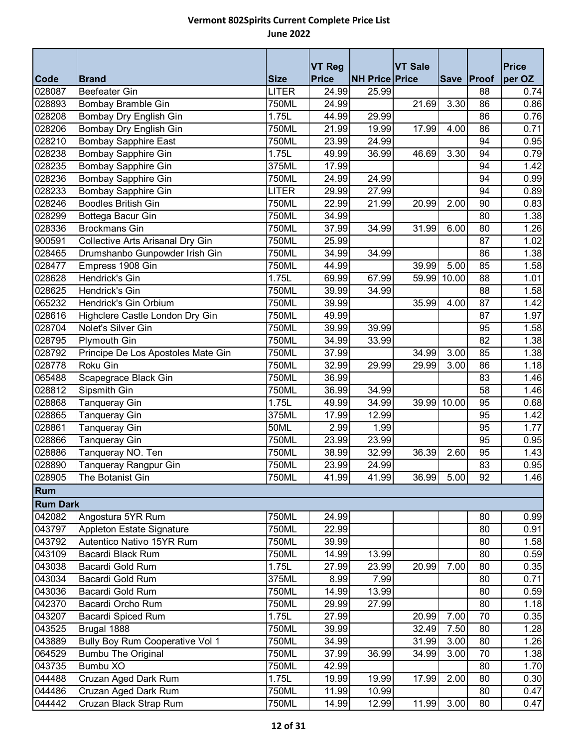| <b>Code</b>     | <b>Brand</b>                           | <b>Size</b>  | <b>VT Reg</b><br><b>Price</b> | <b>NH Price Price</b> | <b>VT Sale</b> |            | Save Proof | <b>Price</b><br>per OZ |
|-----------------|----------------------------------------|--------------|-------------------------------|-----------------------|----------------|------------|------------|------------------------|
| 028087          | <b>Beefeater Gin</b>                   | <b>LITER</b> | 24.99                         | 25.99                 |                |            | 88         | 0.74                   |
| 028893          | Bombay Bramble Gin                     | 750ML        | 24.99                         |                       | 21.69          | 3.30       | 86         | 0.86                   |
| 028208          | Bombay Dry English Gin                 | 1.75L        | 44.99                         | 29.99                 |                |            | 86         | 0.76                   |
| 028206          | Bombay Dry English Gin                 | 750ML        | 21.99                         | 19.99                 | 17.99          | 4.00       | 86         | 0.71                   |
| 028210          | <b>Bombay Sapphire East</b>            | 750ML        | 23.99                         | 24.99                 |                |            | 94         | 0.95                   |
| 028238          | Bombay Sapphire Gin                    | 1.75L        | 49.99                         | 36.99                 | 46.69          | 3.30       | 94         | 0.79                   |
| 028235          | <b>Bombay Sapphire Gin</b>             | 375ML        | 17.99                         |                       |                |            | 94         | 1.42                   |
| 028236          | Bombay Sapphire Gin                    | 750ML        | 24.99                         | 24.99                 |                |            | 94         | 0.99                   |
| 028233          | <b>Bombay Sapphire Gin</b>             | <b>LITER</b> | 29.99                         | 27.99                 |                |            | 94         | 0.89                   |
| 028246          | <b>Boodles British Gin</b>             | 750ML        | 22.99                         | 21.99                 | 20.99          | 2.00       | 90         | 0.83                   |
| 028299          | Bottega Bacur Gin                      | 750ML        | 34.99                         |                       |                |            | 80         | 1.38                   |
| 028336          | <b>Brockmans Gin</b>                   | 750ML        | 37.99                         | 34.99                 | 31.99          | 6.00       | 80         | 1.26                   |
| 900591          | Collective Arts Arisanal Dry Gin       | 750ML        | 25.99                         |                       |                |            | 87         | 1.02                   |
| 028465          | Drumshanbo Gunpowder Irish Gin         | 750ML        | 34.99                         | 34.99                 |                |            | 86         | 1.38                   |
| 028477          | Empress 1908 Gin                       | 750ML        | 44.99                         |                       | 39.99          | 5.00       | 85         | 1.58                   |
| 028628          | Hendrick's Gin                         | 1.75L        | 69.99                         | 67.99                 | 59.99          | 10.00      | 88         | 1.01                   |
| 028625          | Hendrick's Gin                         | 750ML        | 39.99                         | 34.99                 |                |            | 88         | 1.58                   |
| 065232          | Hendrick's Gin Orbium                  | 750ML        | 39.99                         |                       | 35.99          | 4.00       | 87         | 1.42                   |
| 028616          | Highclere Castle London Dry Gin        | 750ML        | 49.99                         |                       |                |            | 87         | 1.97                   |
| 028704          | Nolet's Silver Gin                     | 750ML        | 39.99                         | 39.99                 |                |            | 95         | 1.58                   |
| 028795          | <b>Plymouth Gin</b>                    | 750ML        | 34.99                         | 33.99                 |                |            | 82         | 1.38                   |
| 028792          | Principe De Los Apostoles Mate Gin     | 750ML        | 37.99                         |                       | 34.99          | 3.00       | 85         | 1.38                   |
| 028778          | Roku Gin                               | 750ML        | 32.99                         | 29.99                 | 29.99          | 3.00       | 86         | 1.18                   |
| 065488          | Scapegrace Black Gin                   | 750ML        | 36.99                         |                       |                |            | 83         | 1.46                   |
| 028812          | Sipsmith Gin                           | 750ML        | 36.99                         | 34.99                 |                |            | 58         | 1.46                   |
| 028868          | Tanqueray Gin                          | 1.75L        | 49.99                         | 34.99                 | 39.99          | 10.00      | 95         | 0.68                   |
| 028865          | Tanqueray Gin                          | 375ML        | 17.99                         | 12.99                 |                |            | 95         | 1.42                   |
| 028861          | Tanqueray Gin                          | 50ML         | 2.99                          | 1.99                  |                |            | 95         | 1.77                   |
| 028866          | Tanqueray Gin                          | 750ML        | 23.99                         | 23.99                 |                |            | 95         | 0.95                   |
| 028886          | Tanqueray NO. Ten                      | 750ML        | 38.99                         | 32.99                 | 36.39          | 2.60       | 95         | 1.43                   |
| 028890          | Tanqueray Rangpur Gin                  | 750ML        | 23.99                         | 24.99                 |                |            | 83         | 0.95                   |
| 028905          | The Botanist Gin                       | 750ML        | 41.99                         | 41.99                 |                | 36.99 5.00 | 92         | 1.46                   |
| Rum             |                                        |              |                               |                       |                |            |            |                        |
| <b>Rum Dark</b> |                                        |              |                               |                       |                |            |            |                        |
| 042082          | Angostura 5YR Rum                      | 750ML        | 24.99                         |                       |                |            | 80         | 0.99                   |
| 043797          | <b>Appleton Estate Signature</b>       | 750ML        | 22.99                         |                       |                |            | 80         | 0.91                   |
| 043792          | Autentico Nativo 15YR Rum              | 750ML        | 39.99                         |                       |                |            | 80         | 1.58                   |
| 043109          | Bacardi Black Rum                      | 750ML        | 14.99                         | 13.99                 |                |            | 80         | 0.59                   |
| 043038          | Bacardi Gold Rum                       | 1.75L        | 27.99                         | 23.99                 | 20.99          | 7.00       | 80         | 0.35                   |
| 043034          | Bacardi Gold Rum                       | 375ML        | 8.99                          | 7.99                  |                |            | 80         | 0.71                   |
| 043036          | Bacardi Gold Rum                       | 750ML        | 14.99                         | 13.99                 |                |            | 80         | 0.59                   |
| 042370          | Bacardi Orcho Rum                      | 750ML        | 29.99                         | 27.99                 |                |            | 80         | 1.18                   |
| 043207          | <b>Bacardi Spiced Rum</b>              | 1.75L        | 27.99                         |                       | 20.99          | 7.00       | 70         | 0.35                   |
| 043525          | Brugal 1888                            | 750ML        | 39.99                         |                       | 32.49          | 7.50       | 80         | 1.28                   |
| 043889          | <b>Bully Boy Rum Cooperative Vol 1</b> | 750ML        | 34.99                         |                       | 31.99          | 3.00       | 80         | 1.26                   |
| 064529          | <b>Bumbu The Original</b>              | 750ML        | 37.99                         | 36.99                 | 34.99          | 3.00       | 70         | 1.38                   |
| 043735          | Bumbu XO                               | 750ML        | 42.99                         |                       |                |            | 80         | 1.70                   |
| 044488          | Cruzan Aged Dark Rum                   | 1.75L        | 19.99                         | 19.99                 | 17.99          | 2.00       | 80         | 0.30                   |
| 044486          | Cruzan Aged Dark Rum                   | 750ML        | 11.99                         | 10.99                 |                |            | 80         | 0.47                   |
| 044442          | Cruzan Black Strap Rum                 | 750ML        | 14.99                         | 12.99                 | 11.99          | 3.00       | 80         | 0.47                   |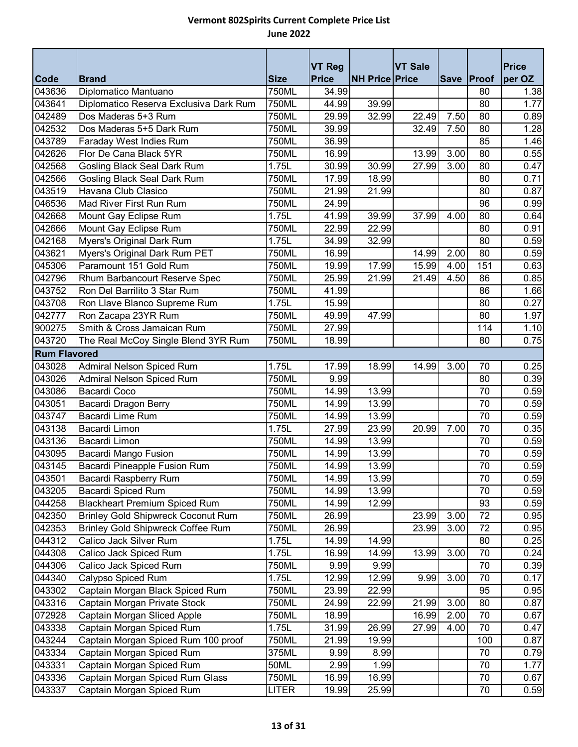|                     |                                           |             | <b>VT Reg</b> |                       | <b>VT Sale</b> |      |              | <b>Price</b> |  |
|---------------------|-------------------------------------------|-------------|---------------|-----------------------|----------------|------|--------------|--------------|--|
| Code                | <b>Brand</b>                              | <b>Size</b> | <b>Price</b>  | <b>NH Price Price</b> |                |      | Save   Proof | per OZ       |  |
| 043636              | Diplomatico Mantuano                      | 750ML       | 34.99         |                       |                |      | 80           | 1.38         |  |
| 043641              | Diplomatico Reserva Exclusiva Dark Rum    | 750ML       | 44.99         | 39.99                 |                |      | 80           | 1.77         |  |
| 042489              | Dos Maderas 5+3 Rum                       | 750ML       | 29.99         | 32.99                 | 22.49          | 7.50 | 80           | 0.89         |  |
| 042532              | Dos Maderas 5+5 Dark Rum                  | 750ML       | 39.99         |                       | 32.49          | 7.50 | 80           | 1.28         |  |
| 043789              | Faraday West Indies Rum                   | 750ML       | 36.99         |                       |                |      | 85           | 1.46         |  |
| 042626              | Flor De Cana Black 5YR                    | 750ML       | 16.99         |                       | 13.99          | 3.00 | 80           | 0.55         |  |
| 042568              | Gosling Black Seal Dark Rum               | 1.75L       | 30.99         | 30.99                 | 27.99          | 3.00 | 80           | 0.47         |  |
| 042566              | <b>Gosling Black Seal Dark Rum</b>        | 750ML       | 17.99         | 18.99                 |                |      | 80           | 0.71         |  |
| 043519              | Havana Club Clasico                       | 750ML       | 21.99         | 21.99                 |                |      | 80           | 0.87         |  |
| 046536              | Mad River First Run Rum                   | 750ML       | 24.99         |                       |                |      | 96           | 0.99         |  |
| 042668              | Mount Gay Eclipse Rum                     | 1.75L       | 41.99         | 39.99                 | 37.99          | 4.00 | 80           | 0.64         |  |
| 042666              | Mount Gay Eclipse Rum                     | 750ML       | 22.99         | 22.99                 |                |      | 80           | 0.91         |  |
| 042168              | Myers's Original Dark Rum                 | 1.75L       | 34.99         | 32.99                 |                |      | 80           | 0.59         |  |
| 043621              | Myers's Original Dark Rum PET             | 750ML       | 16.99         |                       | 14.99          | 2.00 | 80           | 0.59         |  |
| 045306              | Paramount 151 Gold Rum                    | 750ML       | 19.99         | 17.99                 | 15.99          | 4.00 | 151          | 0.63         |  |
| 042796              | Rhum Barbancourt Reserve Spec             | 750ML       | 25.99         | 21.99                 | 21.49          | 4.50 | 86           | 0.85         |  |
| 043752              | Ron Del Barrilito 3 Star Rum              | 750ML       | 41.99         |                       |                |      | 86           | 1.66         |  |
| 043708              | Ron Llave Blanco Supreme Rum              | 1.75L       | 15.99         |                       |                |      | 80           | 0.27         |  |
| 042777              | Ron Zacapa 23YR Rum                       | 750ML       | 49.99         | 47.99                 |                |      | 80           | 1.97         |  |
| 900275              | Smith & Cross Jamaican Rum                | 750ML       | 27.99         |                       |                |      | 114          | 1.10         |  |
| 043720              | The Real McCoy Single Blend 3YR Rum       | 750ML       | 18.99         |                       |                |      | 80           | 0.75         |  |
| <b>Rum Flavored</b> |                                           |             |               |                       |                |      |              |              |  |
| 043028              | Admiral Nelson Spiced Rum                 | 1.75L       | 17.99         | 18.99                 | 14.99          | 3.00 | 70           | 0.25         |  |
| 043026              | <b>Admiral Nelson Spiced Rum</b>          | 750ML       | 9.99          |                       |                |      | 80           | 0.39         |  |
| 043086              | <b>Bacardi Coco</b>                       | 750ML       | 14.99         | 13.99                 |                |      | 70           | 0.59         |  |
| 043051              | Bacardi Dragon Berry                      | 750ML       | 14.99         | 13.99                 |                |      | 70           | 0.59         |  |
| 043747              | <b>Bacardi Lime Rum</b>                   | 750ML       | 14.99         | 13.99                 |                |      | 70           | 0.59         |  |
| 043138              | Bacardi Limon                             | 1.75L       | 27.99         | 23.99                 | 20.99          | 7.00 | 70           | 0.35         |  |
| 043136              | <b>Bacardi Limon</b>                      | 750ML       | 14.99         | 13.99                 |                |      | 70           | 0.59         |  |
| 043095              | Bacardi Mango Fusion                      | 750ML       | 14.99         | 13.99                 |                |      | 70           | 0.59         |  |
| 043145              | Bacardi Pineapple Fusion Rum              | 750ML       | 14.99         | 13.99                 |                |      | 70           | 0.59         |  |
| 043501              | <b>Bacardi Raspberry Rum</b>              | 750ML       | 14.99         | 13.99                 |                |      | 70           | 0.59         |  |
| 043205              | <b>Bacardi Spiced Rum</b>                 | 750ML       | 14.99         | 13.99                 |                |      | 70           | 0.59         |  |
| 044258              | <b>Blackheart Premium Spiced Rum</b>      | 750ML       | 14.99         | 12.99                 |                |      | 93           | 0.59         |  |
| 042350              | <b>Brinley Gold Shipwreck Coconut Rum</b> | 750ML       | 26.99         |                       | 23.99          | 3.00 | 72           | 0.95         |  |
| 042353              | <b>Brinley Gold Shipwreck Coffee Rum</b>  | 750ML       | 26.99         |                       | 23.99          | 3.00 | 72           | 0.95         |  |
| 044312              | Calico Jack Silver Rum                    | 1.75L       | 14.99         | 14.99                 |                |      | 80           | 0.25         |  |
| 044308              | Calico Jack Spiced Rum                    | 1.75L       | 16.99         | 14.99                 | 13.99          | 3.00 | 70           | 0.24         |  |
| 044306              | Calico Jack Spiced Rum                    | 750ML       | 9.99          | 9.99                  |                |      | 70           | 0.39         |  |
| 044340              | Calypso Spiced Rum                        | 1.75L       | 12.99         | 12.99                 | 9.99           | 3.00 | 70           | 0.17         |  |
| 043302              | Captain Morgan Black Spiced Rum           | 750ML       | 23.99         | 22.99                 |                |      | 95           | 0.95         |  |
| 043316              | Captain Morgan Private Stock              | 750ML       | 24.99         | 22.99                 | 21.99          | 3.00 | 80           | 0.87         |  |
| 072928              | Captain Morgan Sliced Apple               | 750ML       | 18.99         |                       | 16.99          | 2.00 | 70           | 0.67         |  |
| 043338              | Captain Morgan Spiced Rum                 | 1.75L       | 31.99         | 26.99                 | 27.99          | 4.00 | 70           | 0.47         |  |
| 043244              | Captain Morgan Spiced Rum 100 proof       | 750ML       | 21.99         | 19.99                 |                |      | 100          | 0.87         |  |
| 043334              | Captain Morgan Spiced Rum                 | 375ML       | 9.99          | 8.99                  |                |      | 70           | 0.79         |  |
| 043331              | Captain Morgan Spiced Rum                 | 50ML        | 2.99          | 1.99                  |                |      | 70           | 1.77         |  |
| 043336              | Captain Morgan Spiced Rum Glass           | 750ML       | 16.99         | 16.99                 |                |      | 70           | 0.67         |  |
| 043337              | Captain Morgan Spiced Rum                 | LITER       | 19.99         | 25.99                 |                |      | 70           | 0.59         |  |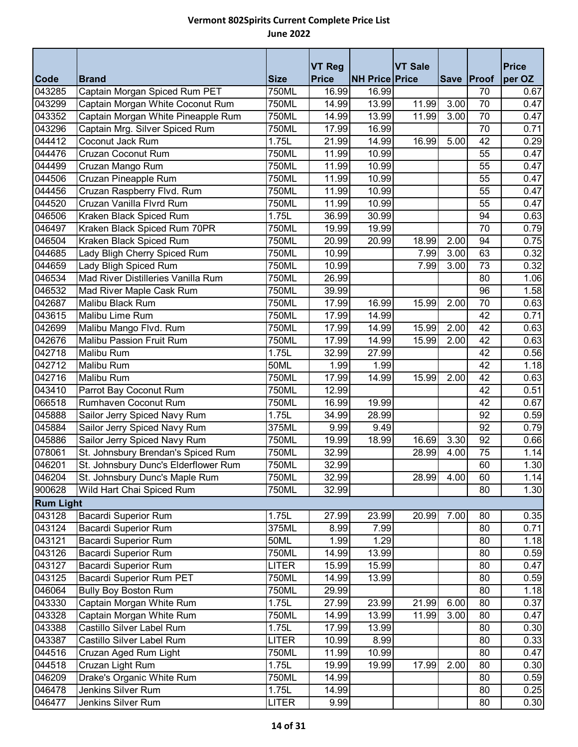|                  |                                                    |                | <b>VT Reg</b>  |                       | <b>VT Sale</b> |            |          | <b>Price</b> |
|------------------|----------------------------------------------------|----------------|----------------|-----------------------|----------------|------------|----------|--------------|
| Code             | <b>Brand</b>                                       | <b>Size</b>    | <b>Price</b>   | <b>NH Price Price</b> |                | Save Proof |          | per OZ       |
| 043285           | Captain Morgan Spiced Rum PET                      | 750ML          | 16.99          | 16.99                 |                |            | 70       | 0.67         |
| 043299           | Captain Morgan White Coconut Rum                   | 750ML          | 14.99          | 13.99                 | 11.99          | 3.00       | 70       | 0.47         |
| 043352           | Captain Morgan White Pineapple Rum                 | 750ML          | 14.99          | 13.99                 | 11.99          | 3.00       | 70       | 0.47         |
| 043296<br>044412 | Captain Mrg. Silver Spiced Rum<br>Coconut Jack Rum | 750ML<br>1.75L | 17.99<br>21.99 | 16.99<br>14.99        | 16.99          | 5.00       | 70<br>42 | 0.71<br>0.29 |
| 044476           | Cruzan Coconut Rum                                 | 750ML          | 11.99          | 10.99                 |                |            | 55       | 0.47         |
| 044499           | Cruzan Mango Rum                                   | 750ML          | 11.99          | 10.99                 |                |            | 55       | 0.47         |
| 044506           | Cruzan Pineapple Rum                               | 750ML          | 11.99          | 10.99                 |                |            | 55       | 0.47         |
| 044456           | Cruzan Raspberry Flvd. Rum                         | 750ML          | 11.99          | 10.99                 |                |            | 55       | 0.47         |
| 044520           | Cruzan Vanilla Flvrd Rum                           | <b>750ML</b>   | 11.99          | 10.99                 |                |            | 55       | 0.47         |
| 046506           | Kraken Black Spiced Rum                            | 1.75L          | 36.99          | 30.99                 |                |            | 94       | 0.63         |
| 046497           | Kraken Black Spiced Rum 70PR                       | 750ML          | 19.99          | 19.99                 |                |            | 70       | 0.79         |
| 046504           | Kraken Black Spiced Rum                            | <b>750ML</b>   | 20.99          | 20.99                 | 18.99          | 2.00       | 94       | 0.75         |
| 044685           | Lady Bligh Cherry Spiced Rum                       | 750ML          | 10.99          |                       | 7.99           | 3.00       | 63       | 0.32         |
| 044659           | Lady Bligh Spiced Rum                              | 750ML          | 10.99          |                       | 7.99           | 3.00       | 73       | 0.32         |
| 046534           | Mad River Distilleries Vanilla Rum                 | 750ML          | 26.99          |                       |                |            | 80       | 1.06         |
| 046532           | Mad River Maple Cask Rum                           | 750ML          | 39.99          |                       |                |            | 96       | 1.58         |
| 042687           | Malibu Black Rum                                   | 750ML          | 17.99          | 16.99                 | 15.99          | 2.00       | 70       | 0.63         |
| 043615           | Malibu Lime Rum                                    | 750ML          | 17.99          | 14.99                 |                |            | 42       | 0.71         |
| 042699           | Malibu Mango Flvd. Rum                             | 750ML          | 17.99          | 14.99                 | 15.99          | 2.00       | 42       | 0.63         |
| 042676           | Malibu Passion Fruit Rum                           | 750ML          | 17.99          | 14.99                 | 15.99          | 2.00       | 42       | 0.63         |
| 042718           | Malibu Rum                                         | 1.75L          | 32.99          | 27.99                 |                |            | 42       | 0.56         |
| 042712           | <b>Malibu Rum</b>                                  | 50ML           | 1.99           | 1.99                  |                |            | 42       | 1.18         |
| 042716           | Malibu Rum                                         | 750ML          | 17.99          | 14.99                 | 15.99          | 2.00       | 42       | 0.63         |
| 043410           | Parrot Bay Coconut Rum                             | 750ML          | 12.99          |                       |                |            | 42       | 0.51         |
| 066518           | Rumhaven Coconut Rum                               | 750ML          | 16.99          | 19.99                 |                |            | 42       | 0.67         |
| 045888           | Sailor Jerry Spiced Navy Rum                       | 1.75L          | 34.99          | 28.99                 |                |            | 92       | 0.59         |
| 045884           | Sailor Jerry Spiced Navy Rum                       | 375ML          | 9.99           | 9.49                  |                |            | 92       | 0.79         |
| 045886           | Sailor Jerry Spiced Navy Rum                       | 750ML          | 19.99          | 18.99                 | 16.69          | 3.30       | 92       | 0.66         |
| 078061           | St. Johnsbury Brendan's Spiced Rum                 | 750ML          | 32.99          |                       | 28.99          | 4.00       | 75       | 1.14         |
| 046201           | St. Johnsbury Dunc's Elderflower Rum               | 750ML          | 32.99          |                       |                |            | 60       | 1.30         |
| 046204           | St. Johnsbury Dunc's Maple Rum                     | 750ML          | 32.99          |                       | 28.99          | 4.00       | 60       | 1.14         |
| 900628           | Wild Hart Chai Spiced Rum                          | 750ML          | 32.99          |                       |                |            | 80       | 1.30         |
| <b>Rum Light</b> |                                                    |                |                |                       |                |            |          |              |
| 043128           | <b>Bacardi Superior Rum</b>                        | 1.75L          | 27.99          | 23.99                 | 20.99          | 7.00       | 80       | 0.35         |
| 043124           | <b>Bacardi Superior Rum</b>                        | 375ML          | 8.99           | 7.99                  |                |            | 80       | 0.71         |
| 043121           | <b>Bacardi Superior Rum</b>                        | 50ML           | 1.99           | 1.29                  |                |            | 80       | 1.18         |
| 043126           | <b>Bacardi Superior Rum</b>                        | 750ML          | 14.99          | 13.99                 |                |            | 80       | 0.59         |
| 043127           | <b>Bacardi Superior Rum</b>                        | <b>LITER</b>   | 15.99          | 15.99                 |                |            | 80       | 0.47         |
| 043125           | Bacardi Superior Rum PET                           | 750ML          | 14.99          | 13.99                 |                |            | 80       | 0.59         |
| 046064           | <b>Bully Boy Boston Rum</b>                        | 750ML          | 29.99          |                       |                |            | 80       | 1.18         |
| 043330           | Captain Morgan White Rum                           | 1.75L          | 27.99          | 23.99                 | 21.99          | 6.00       | 80       | 0.37         |
| 043328           | Captain Morgan White Rum                           | 750ML          | 14.99          | 13.99                 | 11.99          | 3.00       | 80       | 0.47         |
| 043388           | Castillo Silver Label Rum                          | 1.75L          | 17.99          | 13.99                 |                |            | 80       | 0.30         |
| 043387           | Castillo Silver Label Rum                          | <b>LITER</b>   | 10.99          | 8.99                  |                |            | 80       | 0.33         |
| 044516           | Cruzan Aged Rum Light                              | 750ML          | 11.99          | 10.99                 |                |            | 80       | 0.47         |
| 044518           | Cruzan Light Rum                                   | 1.75L          | 19.99          | 19.99                 | 17.99          | 2.00       | 80       | 0.30         |
| 046209           | Drake's Organic White Rum                          | 750ML          | 14.99          |                       |                |            | 80       | 0.59         |
| 046478           | Jenkins Silver Rum                                 | 1.75L          | 14.99          |                       |                |            | 80       | 0.25         |
| 046477           | Jenkins Silver Rum                                 | <b>LITER</b>   | 9.99           |                       |                |            | 80       | 0.30         |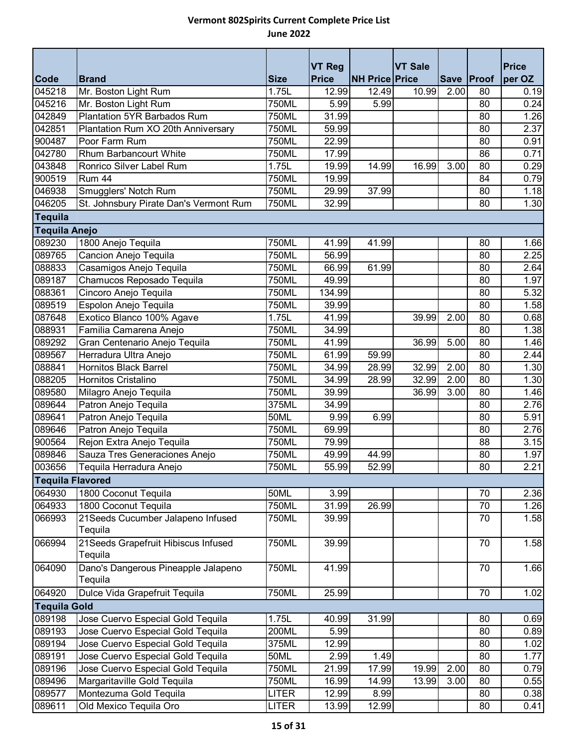| <b>Code</b>             |                                        | <b>Size</b>  | <b>VT Reg</b><br><b>Price</b> | <b>NH Price Price</b> | <b>VT Sale</b> |      | Save   Proof | <b>Price</b><br>per OZ |  |
|-------------------------|----------------------------------------|--------------|-------------------------------|-----------------------|----------------|------|--------------|------------------------|--|
| 045218                  | <b>Brand</b><br>Mr. Boston Light Rum   | 1.75L        | 12.99                         | 12.49                 | 10.99          | 2.00 | 80           | 0.19                   |  |
| 045216                  | Mr. Boston Light Rum                   | 750ML        | 5.99                          | 5.99                  |                |      | 80           | 0.24                   |  |
| 042849                  | Plantation 5YR Barbados Rum            | 750ML        | 31.99                         |                       |                |      | 80           | 1.26                   |  |
| 042851                  | Plantation Rum XO 20th Anniversary     | 750ML        | 59.99                         |                       |                |      | 80           | 2.37                   |  |
| 900487                  | Poor Farm Rum                          | 750ML        | 22.99                         |                       |                |      | 80           | 0.91                   |  |
| 042780                  | Rhum Barbancourt White                 | 750ML        | 17.99                         |                       |                |      | 86           | 0.71                   |  |
| 043848                  | Ronrico Silver Label Rum               | 1.75L        | 19.99                         | 14.99                 | 16.99          | 3.00 | 80           | 0.29                   |  |
| 900519                  | Rum 44                                 | 750ML        | 19.99                         |                       |                |      | 84           | 0.79                   |  |
| 046938                  | Smugglers' Notch Rum                   | 750ML        | 29.99                         | 37.99                 |                |      | 80           | 1.18                   |  |
| 046205                  | St. Johnsbury Pirate Dan's Vermont Rum | 750ML        | 32.99                         |                       |                |      | 80           | 1.30                   |  |
| <b>Tequila</b>          |                                        |              |                               |                       |                |      |              |                        |  |
| <b>Tequila Anejo</b>    |                                        |              |                               |                       |                |      |              |                        |  |
| 089230                  | 1800 Anejo Tequila                     | 750ML        | 41.99                         | 41.99                 |                |      | 80           | 1.66                   |  |
| 089765                  | Cancion Anejo Tequila                  | 750ML        | 56.99                         |                       |                |      | 80           | 2.25                   |  |
| 088833                  | Casamigos Anejo Tequila                | 750ML        | 66.99                         | 61.99                 |                |      | 80           | 2.64                   |  |
| 089187                  | Chamucos Reposado Tequila              | 750ML        | 49.99                         |                       |                |      | 80           | 1.97                   |  |
| 088361                  | Cincoro Anejo Tequila                  | 750ML        | 134.99                        |                       |                |      | 80           | 5.32                   |  |
| 089519                  | Espolon Anejo Tequila                  | 750ML        | 39.99                         |                       |                |      | 80           | 1.58                   |  |
| 087648                  | Exotico Blanco 100% Agave              | 1.75L        | 41.99                         |                       | 39.99          | 2.00 | 80           | 0.68                   |  |
| 088931                  | Familia Camarena Anejo                 | 750ML        | 34.99                         |                       |                |      | 80           | 1.38                   |  |
| 089292                  | Gran Centenario Anejo Tequila          | 750ML        | 41.99                         |                       | 36.99          | 5.00 | 80           | 1.46                   |  |
| 089567                  | Herradura Ultra Anejo                  | 750ML        | 61.99                         | 59.99                 |                |      | 80           | 2.44                   |  |
| 088841                  | <b>Hornitos Black Barrel</b>           | 750ML        | 34.99                         | 28.99                 | 32.99          | 2.00 | 80           | 1.30                   |  |
| 088205                  | Hornitos Cristalino                    | 750ML        | 34.99                         | 28.99                 | 32.99          | 2.00 | 80           | 1.30                   |  |
| 089580                  | Milagro Anejo Tequila                  | 750ML        | 39.99                         |                       | 36.99          | 3.00 | 80           | 1.46                   |  |
| 089644                  | Patron Anejo Tequila                   | 375ML        | 34.99                         |                       |                |      | 80           | 2.76                   |  |
| 089641                  | Patron Anejo Tequila                   | 50ML         | 9.99                          | 6.99                  |                |      | 80           | 5.91                   |  |
| 089646                  | Patron Anejo Tequila                   | 750ML        | 69.99                         |                       |                |      | 80           | 2.76                   |  |
| 900564                  | Rejon Extra Anejo Tequila              | 750ML        | 79.99                         |                       |                |      | 88           | 3.15                   |  |
| 089846                  | Sauza Tres Generaciones Anejo          | 750ML        | 49.99                         | 44.99                 |                |      | 80           | 1.97                   |  |
| 003656                  | Tequila Herradura Anejo                | 750ML        | 55.99                         | 52.99                 |                |      | 80           | 2.21                   |  |
| <b>Tequila Flavored</b> |                                        |              |                               |                       |                |      |              |                        |  |
| 064930                  | 1800 Coconut Tequila                   | 50ML         | 3.99                          |                       |                |      | 70           | 2.36                   |  |
| 064933                  | 1800 Coconut Tequila                   | 750ML        | 31.99                         | 26.99                 |                |      | 70           | 1.26                   |  |
| 066993                  | 21 Seeds Cucumber Jalapeno Infused     | 750ML        | 39.99                         |                       |                |      | 70           | 1.58                   |  |
|                         | Tequila                                |              |                               |                       |                |      |              |                        |  |
| 066994                  | 21 Seeds Grapefruit Hibiscus Infused   | 750ML        | 39.99                         |                       |                |      | 70           | 1.58                   |  |
|                         | Tequila                                |              |                               |                       |                |      |              |                        |  |
| 064090                  | Dano's Dangerous Pineapple Jalapeno    | 750ML        | 41.99                         |                       |                |      | 70           | 1.66                   |  |
|                         | Tequila                                |              |                               |                       |                |      |              |                        |  |
| 064920                  | Dulce Vida Grapefruit Tequila          | 750ML        | 25.99                         |                       |                |      | 70           | 1.02                   |  |
| <b>Tequila Gold</b>     |                                        |              |                               |                       |                |      |              |                        |  |
| 089198                  | Jose Cuervo Especial Gold Tequila      | 1.75L        | 40.99                         | 31.99                 |                |      | 80           | 0.69                   |  |
| 089193                  | Jose Cuervo Especial Gold Tequila      | 200ML        | 5.99                          |                       |                |      | 80           | 0.89                   |  |
| 089194                  | Jose Cuervo Especial Gold Tequila      | 375ML        | 12.99                         |                       |                |      | 80           | 1.02                   |  |
| 089191                  | Jose Cuervo Especial Gold Tequila      | 50ML         | 2.99                          | 1.49                  |                |      | 80           | 1.77                   |  |
| 089196                  | Jose Cuervo Especial Gold Tequila      | 750ML        | 21.99                         | 17.99                 | 19.99          | 2.00 | 80           | 0.79                   |  |
| 089496                  | Margaritaville Gold Tequila            | 750ML        | 16.99                         | 14.99                 | 13.99          | 3.00 | 80           | 0.55                   |  |
| 089577                  | Montezuma Gold Tequila                 | <b>LITER</b> | 12.99                         | 8.99                  |                |      | 80           | 0.38                   |  |
| 089611                  | Old Mexico Tequila Oro                 | <b>LITER</b> | 13.99                         | 12.99                 |                |      | 80           | 0.41                   |  |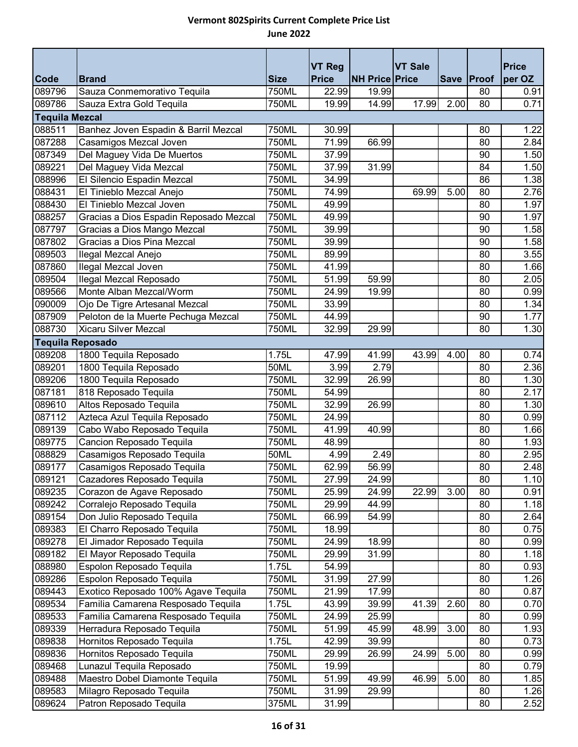|                       |                                        |              | <b>VT Reg</b>      |                       | <b>VT Sale</b> |      |            | <b>Price</b> |
|-----------------------|----------------------------------------|--------------|--------------------|-----------------------|----------------|------|------------|--------------|
| <b>Code</b>           | <b>Brand</b>                           | <b>Size</b>  | <b>Price</b>       | <b>NH Price Price</b> |                |      | Save Proof | per OZ       |
| 089796                | Sauza Conmemorativo Tequila            | 750ML        | 22.99              | 19.99                 |                |      | 80         | 0.91         |
| 089786                | Sauza Extra Gold Tequila               | 750ML        | 19.99              | 14.99                 | 17.99          | 2.00 | 80         | 0.71         |
| <b>Tequila Mezcal</b> |                                        |              |                    |                       |                |      |            |              |
| 088511                | Banhez Joven Espadin & Barril Mezcal   | 750ML        | 30.99              |                       |                |      | 80         | 1.22         |
| 087288                | Casamigos Mezcal Joven                 | 750ML        | 71.99              | 66.99                 |                |      | 80         | 2.84         |
| 087349                | Del Maguey Vida De Muertos             | <b>750ML</b> | 37.99              |                       |                |      | 90         | 1.50         |
| 089221                | Del Maguey Vida Mezcal                 | 750ML        | 37.99              | 31.99                 |                |      | 84         | 1.50         |
| 088996                | El Silencio Espadin Mezcal             | <b>750ML</b> | 34.99              |                       |                |      | 86         | 1.38         |
| 088431                | El Tinieblo Mezcal Anejo               | 750ML        | 74.99              |                       | 69.99          | 5.00 | 80         | 2.76         |
| 088430                | El Tinieblo Mezcal Joven               | 750ML        | 49.99              |                       |                |      | 80         | 1.97         |
| 088257                | Gracias a Dios Espadin Reposado Mezcal | 750ML        | 49.99              |                       |                |      | 90         | 1.97         |
| 087797                | Gracias a Dios Mango Mezcal            | 750ML        | 39.99              |                       |                |      | 90         | 1.58         |
| 087802                | Gracias a Dios Pina Mezcal             | 750ML        | 39.99              |                       |                |      | 90         | 1.58         |
| 089503                | Ilegal Mezcal Anejo                    | 750ML        | 89.99              |                       |                |      | 80         | 3.55         |
| 087860                | Ilegal Mezcal Joven                    | 750ML        | 41.99              |                       |                |      | 80         | 1.66         |
| 089504                | Ilegal Mezcal Reposado                 | 750ML        | 51.99              | 59.99                 |                |      | 80         | 2.05         |
| 089566                | Monte Alban Mezcal/Worm                | 750ML        | 24.99              | 19.99                 |                |      | 80         | 0.99         |
| 090009                | Ojo De Tigre Artesanal Mezcal          | 750ML        | 33.99              |                       |                |      | 80         | 1.34         |
| 087909                | Peloton de la Muerte Pechuga Mezcal    | 750ML        | 44.99              |                       |                |      | 90         | 1.77         |
| 088730                | <b>Xicaru Silver Mezcal</b>            | 750ML        | 32.99              | 29.99                 |                |      | 80         | 1.30         |
| Tequila Reposado      |                                        |              |                    |                       |                |      |            |              |
| 089208                | 1800 Tequila Reposado                  | 1.75L        | 47.99              | 41.99                 | 43.99          | 4.00 | 80         | 0.74         |
| 089201                | 1800 Tequila Reposado                  | 50ML         | 3.99               | 2.79                  |                |      | 80         | 2.36         |
| 089206                | 1800 Tequila Reposado                  | 750ML        | 32.99              | 26.99                 |                |      | 80         | 1.30         |
| 087181                | 818 Reposado Tequila                   | 750ML        | $\overline{5}4.99$ |                       |                |      | 80         | 2.17         |
| 089610                | Altos Reposado Tequila                 | 750ML        | 32.99              | 26.99                 |                |      | 80         | 1.30         |
| 087112                | Azteca Azul Tequila Reposado           | 750ML        | 24.99              |                       |                |      | 80         | 0.99         |
| 089139                | Cabo Wabo Reposado Tequila             | 750ML        | 41.99              | 40.99                 |                |      | 80         | 1.66         |
| 089775                | Cancion Reposado Tequila               | 750ML        | 48.99              |                       |                |      | 80         | 1.93         |
| 088829                | Casamigos Reposado Tequila             | 50ML         | 4.99               | 2.49                  |                |      | 80         | 2.95         |
| 089177                | Casamigos Reposado Tequila             | 750ML        | 62.99              | 56.99                 |                |      | 80         | 2.48         |
| 089121                | Cazadores Reposado Tequila             | 750ML        | 27.99              | 24.99                 |                |      | 80         | 1.10         |
| 089235                | Corazon de Agave Reposado              | 750ML        | 25.99              | 24.99                 | 22.99          | 3.00 | 80         | 0.91         |
| 089242                | Corralejo Reposado Tequila             | 750ML        | 29.99              | 44.99                 |                |      | 80         | 1.18         |
| 089154                | Don Julio Reposado Tequila             | 750ML        | 66.99              | 54.99                 |                |      | 80         | 2.64         |
| 089383                | El Charro Reposado Tequila             | 750ML        | 18.99              |                       |                |      | 80         | 0.75         |
| 089278                | El Jimador Reposado Tequila            | 750ML        | 24.99              | 18.99                 |                |      | 80         | 0.99         |
| 089182                | El Mayor Reposado Tequila              | 750ML        | 29.99              | 31.99                 |                |      | 80         | 1.18         |
| 088980                | Espolon Reposado Tequila               | 1.75L        | 54.99              |                       |                |      | 80         | 0.93         |
| 089286                | Espolon Reposado Tequila               | 750ML        | 31.99              | 27.99                 |                |      | 80         | 1.26         |
| 089443                | Exotico Reposado 100% Agave Tequila    | 750ML        | 21.99              | 17.99                 |                |      | 80         | 0.87         |
| 089534                | Familia Camarena Resposado Tequila     | 1.75L        | 43.99              | 39.99                 | 41.39          | 2.60 | 80         | 0.70         |
| 089533                | Familia Camarena Resposado Tequila     | 750ML        | 24.99              | 25.99                 |                |      | 80         | 0.99         |
| 089339                | Herradura Reposado Tequila             | 750ML        | 51.99              | 45.99                 | 48.99          | 3.00 | 80         | 1.93         |
| 089838                | Hornitos Reposado Tequila              | 1.75L        | 42.99              | 39.99                 |                |      | 80         | 0.73         |
| 089836                | Hornitos Reposado Tequila              | 750ML        | 29.99              | 26.99                 | 24.99          | 5.00 | 80         | 0.99         |
| 089468                | Lunazul Tequila Reposado               | 750ML        | 19.99              |                       |                |      | 80         | 0.79         |
| 089488                | Maestro Dobel Diamonte Tequila         | 750ML        | 51.99              | 49.99                 | 46.99          | 5.00 | 80         | 1.85         |
| 089583                | Milagro Reposado Tequila               | 750ML        | 31.99              | 29.99                 |                |      | 80         | 1.26         |
| 089624                | Patron Reposado Tequila                | 375ML        | 31.99              |                       |                |      | 80         | 2.52         |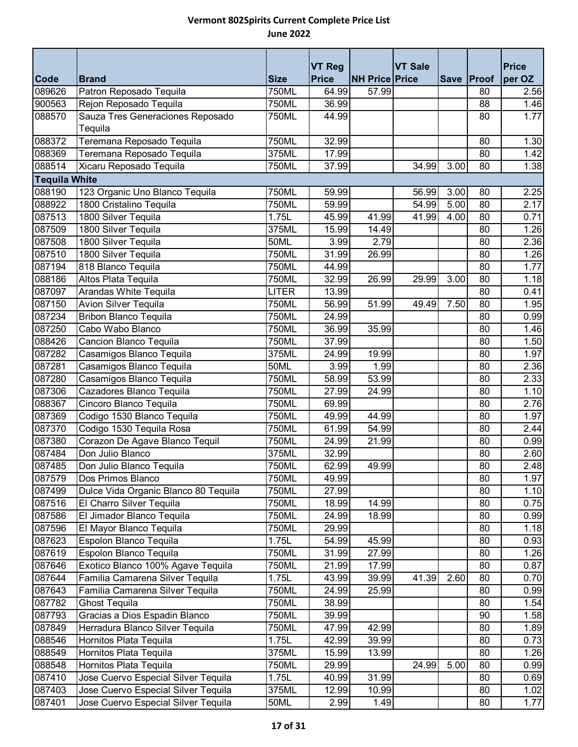| <b>Code</b>          | <b>Brand</b>                         | <b>Size</b>         | <b>VT Reg</b><br><b>Price</b> | <b>NH Price Price</b> | <b>VT Sale</b> | <b>Save</b> | Proof | <b>Price</b><br>per OZ |
|----------------------|--------------------------------------|---------------------|-------------------------------|-----------------------|----------------|-------------|-------|------------------------|
| 089626               | Patron Reposado Tequila              | 750ML               | 64.99                         | 57.99                 |                |             | 80    | 2.56                   |
| 900563               | Rejon Reposado Tequila               | $\overline{750}$ ML | 36.99                         |                       |                |             | 88    | 1.46                   |
| 088570               | Sauza Tres Generaciones Reposado     | 750ML               | 44.99                         |                       |                |             | 80    | 1.77                   |
|                      | Tequila                              |                     |                               |                       |                |             |       |                        |
| 088372               | Teremana Reposado Tequila            | 750ML               | 32.99                         |                       |                |             | 80    | 1.30                   |
| 088369               | Teremana Reposado Tequila            | 375ML               | 17.99                         |                       |                |             | 80    | 1.42                   |
| 088514               | Xicaru Reposado Tequila              | <b>750ML</b>        | 37.99                         |                       | 34.99          | 3.00        | 80    | 1.38                   |
| <b>Tequila White</b> |                                      |                     |                               |                       |                |             |       |                        |
| 088190               | 123 Organic Uno Blanco Tequila       | 750ML               | 59.99                         |                       | 56.99          | 3.00        | 80    | 2.25                   |
| 088922               | 1800 Cristalino Tequila              | 750ML               | 59.99                         |                       | 54.99          | 5.00        | 80    | 2.17                   |
| 087513               | 1800 Silver Tequila                  | 1.75L               | 45.99                         | $\overline{4}1.99$    | 41.99          | 4.00        | 80    | 0.71                   |
| 087509               | 1800 Silver Tequila                  | 375ML               | 15.99                         | 14.49                 |                |             | 80    | 1.26                   |
| 087508               | 1800 Silver Tequila                  | 50ML                | 3.99                          | 2.79                  |                |             | 80    | 2.36                   |
| 087510               | 1800 Silver Tequila                  | 750ML               | 31.99                         | 26.99                 |                |             | 80    | 1.26                   |
| 087194               | 818 Blanco Tequila                   | 750ML               | 44.99                         |                       |                |             | 80    | 1.77                   |
| 088186               | Altos Plata Tequila                  | 750ML               | 32.99                         | 26.99                 | 29.99          | 3.00        | 80    | 1.18                   |
| 087097               | Arandas White Tequila                | <b>LITER</b>        | 13.99                         |                       |                |             | 80    | 0.41                   |
| 087150               | <b>Avion Silver Tequila</b>          | 750ML               | 56.99                         | 51.99                 | 49.49          | 7.50        | 80    | 1.95                   |
| 087234               | <b>Bribon Blanco Tequila</b>         | 750ML               | 24.99                         |                       |                |             | 80    | 0.99                   |
| 087250               | Cabo Wabo Blanco                     | 750ML               | 36.99                         | 35.99                 |                |             | 80    | 1.46                   |
| 088426               | Cancion Blanco Tequila               | 750ML               | 37.99                         |                       |                |             | 80    | 1.50                   |
| 087282               | Casamigos Blanco Tequila             | 375ML               | 24.99                         | 19.99                 |                |             | 80    | 1.97                   |
| 087281               | Casamigos Blanco Tequila             | 50ML                | 3.99                          | 1.99                  |                |             | 80    | 2.36                   |
| 087280               | Casamigos Blanco Tequila             | 750ML               | 58.99                         | 53.99                 |                |             | 80    | 2.33                   |
| 087306               | Cazadores Blanco Tequila             | 750ML               | 27.99                         | 24.99                 |                |             | 80    | 1.10                   |
| 088367               | Cincoro Blanco Tequila               | 750ML               | 69.99                         |                       |                |             | 80    | 2.76                   |
| 087369               | Codigo 1530 Blanco Tequila           | 750ML               | 49.99                         | 44.99                 |                |             | 80    | 1.97                   |
| 087370               | Codigo 1530 Tequila Rosa             | 750ML               | 61.99                         | 54.99                 |                |             | 80    | 2.44                   |
| 087380               | Corazon De Agave Blanco Tequil       | 750ML               | 24.99                         | 21.99                 |                |             | 80    | 0.99                   |
| 087484               | Don Julio Blanco                     | 375ML               | 32.99                         |                       |                |             | 80    | 2.60                   |
| 087485               | Don Julio Blanco Tequila             | 750ML               | 62.99                         | 49.99                 |                |             | 80    | 2.48                   |
| 087579               | Dos Primos Blanco                    | 750ML               | 49.99                         |                       |                |             | 80    | 1.97                   |
| 087499               | Dulce Vida Organic Blanco 80 Tequila | 750ML               | 27.99                         |                       |                |             | 80    | 1.10                   |
| 087516               | El Charro Silver Tequila             | 750ML               | 18.99                         | 14.99                 |                |             | 80    | 0.75                   |
| 087586               | El Jimador Blanco Tequila            | 750ML               | 24.99                         | 18.99                 |                |             | 80    | 0.99                   |
| 087596               | El Mayor Blanco Tequila              | 750ML               | 29.99                         |                       |                |             | 80    | 1.18                   |
| 087623               | Espolon Blanco Tequila               | 1.75L               | 54.99                         | 45.99                 |                |             | 80    | 0.93                   |
| 087619               | Espolon Blanco Tequila               | 750ML               | 31.99                         | 27.99                 |                |             | 80    | 1.26                   |
| 087646               | Exotico Blanco 100% Agave Tequila    | 750ML               | 21.99                         | 17.99                 |                |             | 80    | 0.87                   |
| 087644               | Familia Camarena Silver Tequila      | 1.75L               | 43.99                         | 39.99                 | 41.39          | 2.60        | 80    | 0.70                   |
| 087643               | Familia Camarena Silver Tequila      | 750ML               | 24.99                         | 25.99                 |                |             | 80    | 0.99                   |
| 087782               | Ghost Tequila                        | 750ML               | 38.99                         |                       |                |             | 80    | 1.54                   |
| 087793               | Gracias a Dios Espadin Blanco        | 750ML               | 39.99                         |                       |                |             | 90    | 1.58                   |
| 087849               | Herradura Blanco Silver Tequila      | 750ML               | 47.99                         | 42.99                 |                |             | 80    | 1.89                   |
| 088546               | Hornitos Plata Tequila               | 1.75L               | 42.99                         | 39.99                 |                |             | 80    | 0.73                   |
| 088549               | Hornitos Plata Tequila               | 375ML               | 15.99                         | 13.99                 |                |             | 80    | 1.26                   |
| 088548               | Hornitos Plata Tequila               | 750ML               | 29.99                         |                       | 24.99          | 5.00        | 80    | 0.99                   |
| 087410               | Jose Cuervo Especial Silver Tequila  | 1.75L               | 40.99                         | 31.99                 |                |             | 80    | 0.69                   |
| 087403               | Jose Cuervo Especial Silver Tequila  | 375ML               | 12.99                         | 10.99                 |                |             | 80    | 1.02                   |
| 087401               | Jose Cuervo Especial Silver Tequila  | 50ML                | 2.99                          | 1.49                  |                |             | 80    | 1.77                   |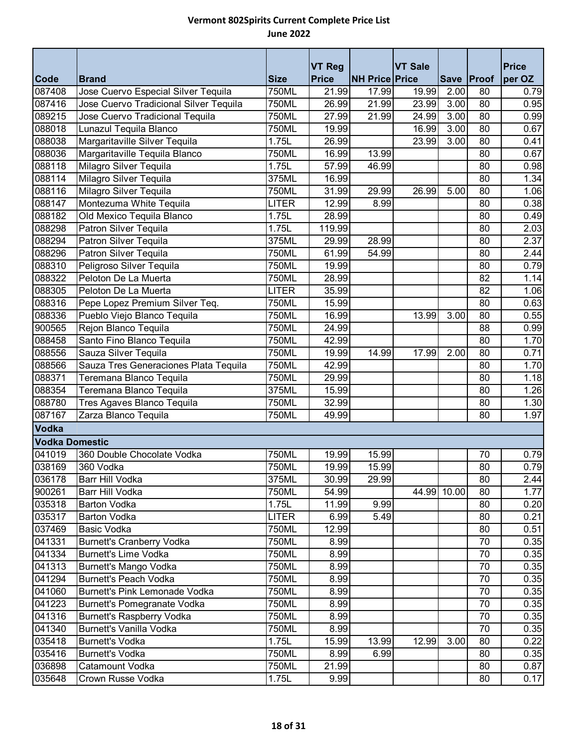|                       |                                        |              | <b>VT Reg</b> |                       | <b>VT Sale</b> |             |            | <b>Price</b> |
|-----------------------|----------------------------------------|--------------|---------------|-----------------------|----------------|-------------|------------|--------------|
| <b>Code</b>           | <b>Brand</b>                           | <b>Size</b>  | <b>Price</b>  | <b>NH Price Price</b> |                |             | Save Proof | per OZ       |
| 087408                | Jose Cuervo Especial Silver Tequila    | 750ML        | 21.99         | 17.99                 | 19.99          | 2.00        | 80         | 0.79         |
| 087416                | Jose Cuervo Tradicional Silver Tequila | <b>750ML</b> | 26.99         | 21.99                 | 23.99          | 3.00        | 80         | 0.95         |
| 089215                | Jose Cuervo Tradicional Tequila        | 750ML        | 27.99         | 21.99                 | 24.99          | 3.00        | 80         | 0.99         |
| 088018                | Lunazul Tequila Blanco                 | 750ML        | 19.99         |                       | 16.99          | 3.00        | 80         | 0.67         |
| 088038                | Margaritaville Silver Tequila          | 1.75L        | 26.99         |                       | 23.99          | 3.00        | 80         | 0.41         |
| 088036                | Margaritaville Tequila Blanco          | 750ML        | 16.99         | 13.99                 |                |             | 80         | 0.67         |
| 088118                | Milagro Silver Tequila                 | 1.75L        | 57.99         | 46.99                 |                |             | 80         | 0.98         |
| 088114                | Milagro Silver Tequila                 | 375ML        | 16.99         |                       |                |             | 80         | 1.34         |
| 088116                | Milagro Silver Tequila                 | 750ML        | 31.99         | 29.99                 | 26.99          | 5.00        | 80         | 1.06         |
| 088147                | Montezuma White Tequila                | <b>LITER</b> | 12.99         | 8.99                  |                |             | 80         | 0.38         |
| 088182                | Old Mexico Tequila Blanco              | 1.75L        | 28.99         |                       |                |             | 80         | 0.49         |
| 088298                | Patron Silver Tequila                  | 1.75L        | 119.99        |                       |                |             | 80         | 2.03         |
| 088294                | Patron Silver Tequila                  | 375ML        | 29.99         | 28.99                 |                |             | 80         | 2.37         |
| 088296                | Patron Silver Tequila                  | 750ML        | 61.99         | 54.99                 |                |             | 80         | 2.44         |
| 088310                | Peligroso Silver Tequila               | 750ML        | 19.99         |                       |                |             | 80         | 0.79         |
| 088322                | Peloton De La Muerta                   | 750ML        | 28.99         |                       |                |             | 82         | 1.14         |
| 088305                | Peloton De La Muerta                   | <b>LITER</b> | 35.99         |                       |                |             | 82         | 1.06         |
| 088316                | Pepe Lopez Premium Silver Teq.         | 750ML        | 15.99         |                       |                |             | 80         | 0.63         |
| 088336                | Pueblo Viejo Blanco Tequila            | 750ML        | 16.99         |                       | 13.99          | 3.00        | 80         | 0.55         |
| 900565                | Rejon Blanco Tequila                   | 750ML        | 24.99         |                       |                |             | 88         | 0.99         |
| 088458                | Santo Fino Blanco Tequila              | 750ML        | 42.99         |                       |                |             | 80         | 1.70         |
| 088556                | Sauza Silver Tequila                   | 750ML        | 19.99         | 14.99                 | 17.99          | 2.00        | 80         | 0.71         |
| 088566                | Sauza Tres Generaciones Plata Tequila  | 750ML        | 42.99         |                       |                |             | 80         | 1.70         |
| 088371                | Teremana Blanco Tequila                | 750ML        | 29.99         |                       |                |             | 80         | 1.18         |
| 088354                | Teremana Blanco Tequila                | 375ML        | 15.99         |                       |                |             | 80         | 1.26         |
| 088780                | Tres Agaves Blanco Tequila             | 750ML        | 32.99         |                       |                |             | 80         | 1.30         |
| 087167                | Zarza Blanco Tequila                   | 750ML        | 49.99         |                       |                |             | 80         | 1.97         |
| Vodka                 |                                        |              |               |                       |                |             |            |              |
| <b>Vodka Domestic</b> |                                        |              |               |                       |                |             |            |              |
| 041019                | 360 Double Chocolate Vodka             | 750ML        | 19.99         | 15.99                 |                |             | 70         | 0.79         |
| 038169                | 360 Vodka                              | 750ML        | 19.99         | 15.99                 |                |             | 80         | 0.79         |
| 036178                | Barr Hill Vodka                        | 375ML        | 30.99         | 29.99                 |                |             | 80         | 2.44         |
| 900261                | Barr Hill Vodka                        | 750ML        | 54.99         |                       |                | 44.99 10.00 | 80         | 1.77         |
| 035318                | <b>Barton Vodka</b>                    | 1.75L        | 11.99         | 9.99                  |                |             | 80         | 0.20         |
| 035317                | <b>Barton Vodka</b>                    | <b>LITER</b> | 6.99          | 5.49                  |                |             | 80         | 0.21         |
| 037469                | Basic Vodka                            | 750ML        | 12.99         |                       |                |             | 80         | 0.51         |
| 041331                | <b>Burnett's Cranberry Vodka</b>       | 750ML        | 8.99          |                       |                |             | 70         | 0.35         |
| 041334                | <b>Burnett's Lime Vodka</b>            | 750ML        | 8.99          |                       |                |             | 70         | 0.35         |
| 041313                | Burnett's Mango Vodka                  | 750ML        | 8.99          |                       |                |             | 70         | 0.35         |
| 041294                | <b>Burnett's Peach Vodka</b>           | 750ML        | 8.99          |                       |                |             | 70         | 0.35         |
| 041060                | <b>Burnett's Pink Lemonade Vodka</b>   | 750ML        | 8.99          |                       |                |             | 70         | 0.35         |
| 041223                | Burnett's Pomegranate Vodka            | 750ML        | 8.99          |                       |                |             | 70         | 0.35         |
| 041316                | <b>Burnett's Raspberry Vodka</b>       | 750ML        | 8.99          |                       |                |             | 70         | 0.35         |
| 041340                | Burnett's Vanilla Vodka                | 750ML        | 8.99          |                       |                |             | 70         | 0.35         |
| 035418                | <b>Burnett's Vodka</b>                 | 1.75L        | 15.99         | 13.99                 | 12.99          | 3.00        | 80         | 0.22         |
| 035416                | <b>Burnett's Vodka</b>                 | 750ML        | 8.99          | 6.99                  |                |             | 80         | 0.35         |
| 036898                | Catamount Vodka                        | 750ML        | 21.99         |                       |                |             | 80         | 0.87         |
| 035648                | Crown Russe Vodka                      | 1.75L        | 9.99          |                       |                |             | 80         | 0.17         |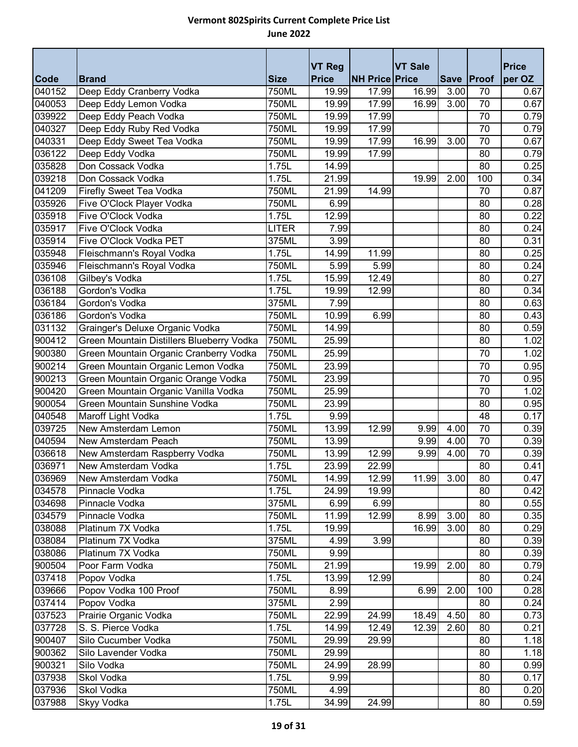|        |                                           |              | <b>VT Reg</b> |                       | <b>VT Sale</b> |      |                 | <b>Price</b> |
|--------|-------------------------------------------|--------------|---------------|-----------------------|----------------|------|-----------------|--------------|
| Code   | <b>Brand</b>                              | <b>Size</b>  | <b>Price</b>  | <b>NH Price Price</b> |                |      | Save   Proof    | per OZ       |
| 040152 | Deep Eddy Cranberry Vodka                 | 750ML        | 19.99         | 17.99                 | 16.99          | 3.00 | 70              | 0.67         |
| 040053 | Deep Eddy Lemon Vodka                     | <b>750ML</b> | 19.99         | 17.99                 | 16.99          | 3.00 | 70              | 0.67         |
| 039922 | Deep Eddy Peach Vodka                     | 750ML        | 19.99         | 17.99                 |                |      | 70              | 0.79         |
| 040327 | Deep Eddy Ruby Red Vodka                  | 750ML        | 19.99         | 17.99                 |                |      | 70              | 0.79         |
| 040331 | Deep Eddy Sweet Tea Vodka                 | 750ML        | 19.99         | 17.99                 | 16.99          | 3.00 | 70              | 0.67         |
| 036122 | Deep Eddy Vodka                           | 750ML        | 19.99         | 17.99                 |                |      | 80              | 0.79         |
| 035828 | Don Cossack Vodka                         | 1.75L        | 14.99         |                       |                |      | 80              | 0.25         |
| 039218 | Don Cossack Vodka                         | 1.75L        | 21.99         |                       | 19.99          | 2.00 | 100             | 0.34         |
| 041209 | <b>Firefly Sweet Tea Vodka</b>            | 750ML        | 21.99         | 14.99                 |                |      | 70              | 0.87         |
| 035926 | Five O'Clock Player Vodka                 | 750ML        | 6.99          |                       |                |      | 80              | 0.28         |
| 035918 | Five O'Clock Vodka                        | 1.75L        | 12.99         |                       |                |      | 80              | 0.22         |
| 035917 | Five O'Clock Vodka                        | <b>LITER</b> | 7.99          |                       |                |      | 80              | 0.24         |
| 035914 | Five O'Clock Vodka PET                    | 375ML        | 3.99          |                       |                |      | 80              | 0.31         |
| 035948 | Fleischmann's Royal Vodka                 | 1.75L        | 14.99         | 11.99                 |                |      | 80              | 0.25         |
| 035946 | Fleischmann's Royal Vodka                 | 750ML        | 5.99          | 5.99                  |                |      | 80              | 0.24         |
| 036108 | Gilbey's Vodka                            | 1.75L        | 15.99         | 12.49                 |                |      | 80              | 0.27         |
| 036188 | Gordon's Vodka                            | 1.75L        | 19.99         | 12.99                 |                |      | 80              | 0.34         |
| 036184 | Gordon's Vodka                            | 375ML        | 7.99          |                       |                |      | 80              | 0.63         |
| 036186 | Gordon's Vodka                            | 750ML        | 10.99         | 6.99                  |                |      | 80              | 0.43         |
| 031132 | Grainger's Deluxe Organic Vodka           | 750ML        | 14.99         |                       |                |      | 80              | 0.59         |
| 900412 | Green Mountain Distillers Blueberry Vodka | 750ML        | 25.99         |                       |                |      | 80              | 1.02         |
| 900380 | Green Mountain Organic Cranberry Vodka    | 750ML        | 25.99         |                       |                |      | 70              | 1.02         |
| 900214 | Green Mountain Organic Lemon Vodka        | 750ML        | 23.99         |                       |                |      | 70              | 0.95         |
| 900213 | Green Mountain Organic Orange Vodka       | 750ML        | 23.99         |                       |                |      | 70              | 0.95         |
| 900420 | Green Mountain Organic Vanilla Vodka      | 750ML        | 25.99         |                       |                |      | 70              | 1.02         |
| 900054 | Green Mountain Sunshine Vodka             | 750ML        | 23.99         |                       |                |      | 80              | 0.95         |
| 040548 | Maroff Light Vodka                        | 1.75L        | 9.99          |                       |                |      | 48              | 0.17         |
| 039725 | New Amsterdam Lemon                       | 750ML        | 13.99         | 12.99                 | 9.99           | 4.00 | 70              | 0.39         |
| 040594 | New Amsterdam Peach                       | 750ML        | 13.99         |                       | 9.99           | 4.00 | $\overline{70}$ | 0.39         |
| 036618 | New Amsterdam Raspberry Vodka             | 750ML        | 13.99         | 12.99                 | 9.99           | 4.00 | 70              | 0.39         |
| 036971 | New Amsterdam Vodka                       | 1.75L        | 23.99         | 22.99                 |                |      | 80              | 0.41         |
| 036969 | New Amsterdam Vodka                       | 750ML        | 14.99         | 12.99                 | 11.99          | 3.00 | 80              | 0.47         |
| 034578 | Pinnacle Vodka                            | 1.75L        | 24.99         | 19.99                 |                |      | 80              | 0.42         |
| 034698 | Pinnacle Vodka                            | 375ML        | 6.99          | 6.99                  |                |      | 80              | 0.55         |
| 034579 | Pinnacle Vodka                            | 750ML        | 11.99         | 12.99                 | 8.99           | 3.00 | 80              | 0.35         |
| 038088 | Platinum 7X Vodka                         | 1.75L        | 19.99         |                       | 16.99          | 3.00 | 80              | 0.29         |
| 038084 | Platinum 7X Vodka                         | 375ML        | 4.99          | 3.99                  |                |      | 80              | 0.39         |
| 038086 | Platinum 7X Vodka                         | 750ML        | 9.99          |                       |                |      | 80              | 0.39         |
| 900504 | Poor Farm Vodka                           | 750ML        | 21.99         |                       | 19.99          | 2.00 | 80              | 0.79         |
| 037418 | Popov Vodka                               | 1.75L        | 13.99         | 12.99                 |                |      | 80              | 0.24         |
| 039666 | Popov Vodka 100 Proof                     | 750ML        | 8.99          |                       | 6.99           | 2.00 | 100             | 0.28         |
| 037414 | Popov Vodka                               | 375ML        | 2.99          |                       |                |      | 80              | 0.24         |
| 037523 | Prairie Organic Vodka                     | 750ML        | 22.99         | 24.99                 | 18.49          | 4.50 | 80              | 0.73         |
| 037728 | S. S. Pierce Vodka                        | 1.75L        | 14.99         | 12.49                 | 12.39          | 2.60 | 80              | 0.21         |
| 900407 | Silo Cucumber Vodka                       | 750ML        | 29.99         | 29.99                 |                |      | 80              | 1.18         |
| 900362 | Silo Lavender Vodka                       | 750ML        | 29.99         |                       |                |      | 80              | 1.18         |
| 900321 | Silo Vodka                                | 750ML        | 24.99         | 28.99                 |                |      | 80              | 0.99         |
| 037938 | Skol Vodka                                | 1.75L        | 9.99          |                       |                |      | 80              | 0.17         |
| 037936 | Skol Vodka                                | 750ML        | 4.99          |                       |                |      | 80              | 0.20         |
| 037988 | Skyy Vodka                                | 1.75L        | 34.99         | 24.99                 |                |      | 80              | 0.59         |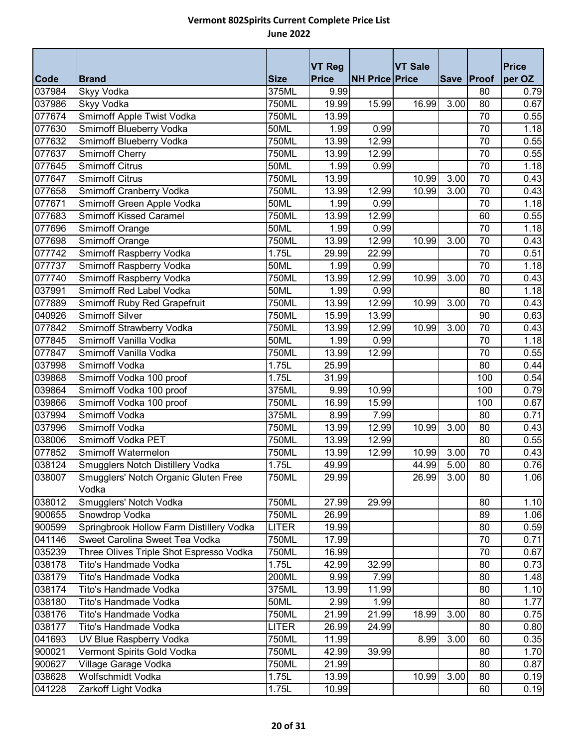|             |                                               |              | <b>VT Reg</b> |                       | <b>VT Sale</b> |             |                 | <b>Price</b> |
|-------------|-----------------------------------------------|--------------|---------------|-----------------------|----------------|-------------|-----------------|--------------|
| <b>Code</b> | <b>Brand</b>                                  | <b>Size</b>  | <b>Price</b>  | <b>NH Price Price</b> |                | <b>Save</b> | Proof           | per OZ       |
| 037984      | Skyy Vodka                                    | 375ML        | 9.99          |                       |                |             | 80              | 0.79         |
| 037986      | Skyy Vodka                                    | 750ML        | 19.99         | 15.99                 | 16.99          | 3.00        | 80              | 0.67         |
| 077674      | Smirnoff Apple Twist Vodka                    | 750ML        | 13.99         |                       |                |             | 70              | 0.55         |
| 077630      | Smirnoff Blueberry Vodka                      | 50ML         | 1.99          | 0.99                  |                |             | 70              | 1.18         |
| 077632      | Smirnoff Blueberry Vodka                      | 750ML        | 13.99         | 12.99                 |                |             | 70              | 0.55         |
| 077637      | <b>Smirnoff Cherry</b>                        | 750ML        | 13.99         | 12.99                 |                |             | 70              | 0.55         |
| 077645      | <b>Smirnoff Citrus</b>                        | 50ML         | 1.99          | 0.99                  |                |             | $\overline{70}$ | 1.18         |
| 077647      | <b>Smirnoff Citrus</b>                        | 750ML        | 13.99         |                       | 10.99          | 3.00        | 70              | 0.43         |
| 077658      | Smirnoff Cranberry Vodka                      | 750ML        | 13.99         | 12.99                 | 10.99          | 3.00        | 70              | 0.43         |
| 077671      | Smirnoff Green Apple Vodka                    | <b>50ML</b>  | 1.99          | 0.99                  |                |             | $\overline{70}$ | 1.18         |
| 077683      | <b>Smirnoff Kissed Caramel</b>                | 750ML        | 13.99         | 12.99                 |                |             | 60              | 0.55         |
| 077696      | Smirnoff Orange                               | 50ML         | 1.99          | 0.99                  |                |             | $\overline{70}$ | 1.18         |
| 077698      | Smirnoff Orange                               | 750ML        | 13.99         | 12.99                 | 10.99          | 3.00        | 70              | 0.43         |
| 077742      | Smirnoff Raspberry Vodka                      | 1.75L        | 29.99         | 22.99                 |                |             | 70              | 0.51         |
| 077737      | Smirnoff Raspberry Vodka                      | 50ML         | 1.99          | 0.99                  |                |             | 70              | 1.18         |
| 077740      | Smirnoff Raspberry Vodka                      | 750ML        | 13.99         | 12.99                 | 10.99          | 3.00        | 70              | 0.43         |
| 037991      | Smirnoff Red Label Vodka                      | 50ML         | 1.99          | 0.99                  |                |             | $\overline{80}$ | 1.18         |
| 077889      | Smirnoff Ruby Red Grapefruit                  | 750ML        | 13.99         | 12.99                 | 10.99          | 3.00        | 70              | 0.43         |
| 040926      | <b>Smirnoff Silver</b>                        | 750ML        | 15.99         | 13.99                 |                |             | 90              | 0.63         |
| 077842      | Smirnoff Strawberry Vodka                     | 750ML        | 13.99         | 12.99                 | 10.99          | 3.00        | $\overline{70}$ | 0.43         |
| 077845      | Smirnoff Vanilla Vodka                        | <b>50ML</b>  | 1.99          | 0.99                  |                |             | 70              | 1.18         |
| 077847      | Smirnoff Vanilla Vodka                        | <b>750ML</b> | 13.99         | 12.99                 |                |             | 70              | 0.55         |
| 037998      | Smirnoff Vodka                                | 1.75L        | 25.99         |                       |                |             | 80              | 0.44         |
| 039868      | Smirnoff Vodka 100 proof                      | 1.75L        | 31.99         |                       |                |             | 100             | 0.54         |
| 039864      | Smirnoff Vodka 100 proof                      | 375ML        | 9.99          | 10.99                 |                |             | 100             | 0.79         |
| 039866      | Smirnoff Vodka 100 proof                      | 750ML        | 16.99         | 15.99                 |                |             | 100             | 0.67         |
| 037994      | Smirnoff Vodka                                | 375ML        | 8.99          | 7.99                  |                |             | 80              | 0.71         |
| 037996      | Smirnoff Vodka                                | 750ML        | 13.99         | 12.99                 | 10.99          | 3.00        | 80              | 0.43         |
| 038006      | Smirnoff Vodka PET                            | 750ML        | 13.99         | 12.99                 |                |             | 80              | 0.55         |
| 077852      | <b>Smirnoff Watermelon</b>                    | 750ML        | 13.99         | 12.99                 | 10.99          | 3.00        | 70              | 0.43         |
| 038124      | Smugglers Notch Distillery Vodka              | 1.75L        | 49.99         |                       | 44.99          | 5.00        | 80              | 0.76         |
| 038007      | Smugglers' Notch Organic Gluten Free<br>Vodka | 750ML        | 29.99         |                       | 26.99          | 3.00        | 80              | 1.06         |
| 038012      | Smugglers' Notch Vodka                        | 750ML        | 27.99         | 29.99                 |                |             | 80              | 1.10         |
| 900655      | Snowdrop Vodka                                | 750ML        | 26.99         |                       |                |             | 89              | 1.06         |
| 900599      | Springbrook Hollow Farm Distillery Vodka      | <b>LITER</b> | 19.99         |                       |                |             | 80              | 0.59         |
| 041146      | Sweet Carolina Sweet Tea Vodka                | 750ML        | 17.99         |                       |                |             | 70              | 0.71         |
| 035239      | Three Olives Triple Shot Espresso Vodka       | 750ML        | 16.99         |                       |                |             | 70              | 0.67         |
| 038178      | Tito's Handmade Vodka                         | 1.75L        | 42.99         | 32.99                 |                |             | 80              | 0.73         |
| 038179      | Tito's Handmade Vodka                         | 200ML        | 9.99          | 7.99                  |                |             | 80              | 1.48         |
| 038174      | Tito's Handmade Vodka                         | 375ML        | 13.99         | 11.99                 |                |             | 80              | 1.10         |
| 038180      | Tito's Handmade Vodka                         | 50ML         | 2.99          | 1.99                  |                |             | 80              | 1.77         |
| 038176      | Tito's Handmade Vodka                         | 750ML        | 21.99         | 21.99                 | 18.99          | 3.00        | 80              | 0.75         |
| 038177      | Tito's Handmade Vodka                         | <b>LITER</b> | 26.99         | 24.99                 |                |             | 80              | 0.80         |
| 041693      | UV Blue Raspberry Vodka                       | 750ML        | 11.99         |                       | 8.99           | 3.00        | 60              | 0.35         |
| 900021      | Vermont Spirits Gold Vodka                    | 750ML        | 42.99         | 39.99                 |                |             | 80              | 1.70         |
| 900627      | Village Garage Vodka                          | 750ML        | 21.99         |                       |                |             | 80              | 0.87         |
| 038628      | Wolfschmidt Vodka                             | 1.75L        | 13.99         |                       | 10.99          | 3.00        | 80              | 0.19         |
| 041228      | Zarkoff Light Vodka                           | 1.75L        | 10.99         |                       |                |             | 60              | 0.19         |
|             |                                               |              |               |                       |                |             |                 |              |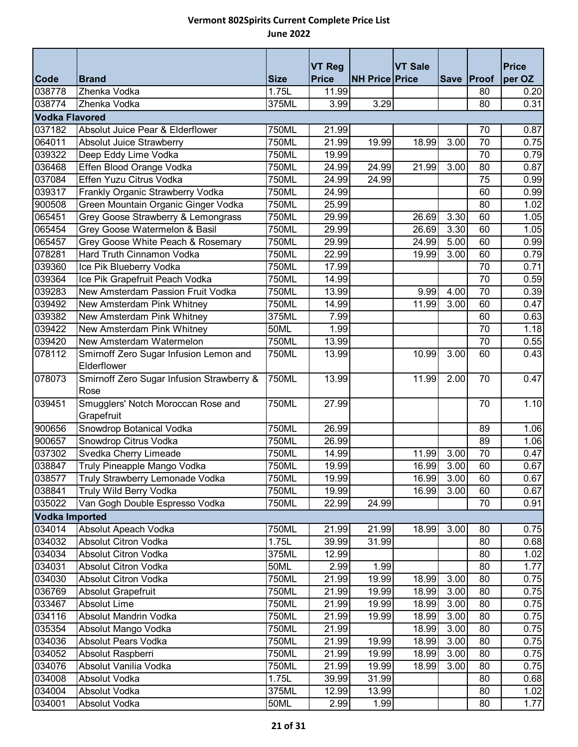|                       |                                                       |              | <b>VT Reg</b> |                       | <b>VT Sale</b> |      |                 | <b>Price</b> |
|-----------------------|-------------------------------------------------------|--------------|---------------|-----------------------|----------------|------|-----------------|--------------|
| Code                  | <b>Brand</b>                                          | <b>Size</b>  | <b>Price</b>  | <b>NH Price Price</b> |                |      | Save Proof      | per OZ       |
| 038778                | Zhenka Vodka                                          | 1.75L        | 11.99         |                       |                |      | 80              | 0.20         |
| 038774                | Zhenka Vodka                                          | 375ML        | 3.99          | 3.29                  |                |      | 80              | 0.31         |
| <b>Vodka Flavored</b> |                                                       |              |               |                       |                |      |                 |              |
| 037182                | Absolut Juice Pear & Elderflower                      | 750ML        | 21.99         |                       |                |      | 70              | 0.87         |
| 064011                | Absolut Juice Strawberry                              | 750ML        | 21.99         | 19.99                 | 18.99          | 3.00 | 70              | 0.75         |
| 039322                | Deep Eddy Lime Vodka                                  | 750ML        | 19.99         |                       |                |      | 70              | 0.79         |
| 036468                | Effen Blood Orange Vodka                              | 750ML        | 24.99         | 24.99                 | 21.99          | 3.00 | 80              | 0.87         |
| 037084                | Effen Yuzu Citrus Vodka                               | 750ML        | 24.99         | 24.99                 |                |      | 75              | 0.99         |
| 039317                | Frankly Organic Strawberry Vodka                      | 750ML        | 24.99         |                       |                |      | 60              | 0.99         |
| 900508                | Green Mountain Organic Ginger Vodka                   | 750ML        | 25.99         |                       |                |      | 80              | 1.02         |
| 065451                | Grey Goose Strawberry & Lemongrass                    | 750ML        | 29.99         |                       | 26.69          | 3.30 | 60              | 1.05         |
| 065454                | Grey Goose Watermelon & Basil                         | 750ML        | 29.99         |                       | 26.69          | 3.30 | 60              | 1.05         |
| 065457                | Grey Goose White Peach & Rosemary                     | 750ML        | 29.99         |                       | 24.99          | 5.00 | 60              | 0.99         |
| 078281                | Hard Truth Cinnamon Vodka                             | 750ML        | 22.99         |                       | 19.99          | 3.00 | 60              | 0.79         |
| 039360                | Ice Pik Blueberry Vodka                               | 750ML        | 17.99         |                       |                |      | 70              | 0.71         |
| 039364                | Ice Pik Grapefruit Peach Vodka                        | 750ML        | 14.99         |                       |                |      | $\overline{70}$ | 0.59         |
| 039283                | New Amsterdam Passion Fruit Vodka                     | 750ML        | 13.99         |                       | 9.99           | 4.00 | 70              | 0.39         |
| 039492                | New Amsterdam Pink Whitney                            | 750ML        | 14.99         |                       | 11.99          | 3.00 | 60              | 0.47         |
| 039382                | New Amsterdam Pink Whitney                            | 375ML        | 7.99          |                       |                |      | 60              | 0.63         |
| 039422                | New Amsterdam Pink Whitney                            | 50ML         | 1.99          |                       |                |      | 70              | 1.18         |
| 039420                | New Amsterdam Watermelon                              | 750ML        | 13.99         |                       |                |      | $\overline{70}$ | 0.55         |
| 078112                | Smirnoff Zero Sugar Infusion Lemon and<br>Elderflower | <b>750ML</b> | 13.99         |                       | 10.99          | 3.00 | 60              | 0.43         |
| 078073                | Smirnoff Zero Sugar Infusion Strawberry &<br>Rose     | 750ML        | 13.99         |                       | 11.99          | 2.00 | 70              | 0.47         |
| 039451                | Smugglers' Notch Moroccan Rose and<br>Grapefruit      | 750ML        | 27.99         |                       |                |      | 70              | 1.10         |
| 900656                | Snowdrop Botanical Vodka                              | 750ML        | 26.99         |                       |                |      | 89              | 1.06         |
| 900657                | Snowdrop Citrus Vodka                                 | 750ML        | 26.99         |                       |                |      | 89              | 1.06         |
| 037302                | Svedka Cherry Limeade                                 | 750ML        | 14.99         |                       | 11.99          | 3.00 | 70              | 0.47         |
| 038847                | Truly Pineapple Mango Vodka                           | 750ML        | 19.99         |                       | 16.99          | 3.00 | 60              | 0.67         |
| 038577                | Truly Strawberry Lemonade Vodka                       | 750ML        | 19.99         |                       | 16.99          | 3.00 | 60              | 0.67         |
| 038841                | Truly Wild Berry Vodka                                | 750ML        | 19.99         |                       | 16.99          | 3.00 | 60              | 0.67         |
| 035022                | Van Gogh Double Espresso Vodka                        | 750ML        | 22.99         | 24.99                 |                |      | 70              | 0.91         |
| <b>Vodka Imported</b> |                                                       |              |               |                       |                |      |                 |              |
| 034014                | Absolut Apeach Vodka                                  | 750ML        | 21.99         | 21.99                 | 18.99          | 3.00 | 80              | 0.75         |
| 034032                | Absolut Citron Vodka                                  | 1.75L        | 39.99         | 31.99                 |                |      | 80              | 0.68         |
| 034034                | Absolut Citron Vodka                                  | 375ML        | 12.99         |                       |                |      | 80              | 1.02         |
| 034031                | Absolut Citron Vodka                                  | 50ML         | 2.99          | 1.99                  |                |      | 80              | 1.77         |
| 034030                | Absolut Citron Vodka                                  | 750ML        | 21.99         | 19.99                 | 18.99          | 3.00 | 80              | 0.75         |
| 036769                | Absolut Grapefruit                                    | 750ML        | 21.99         | 19.99                 | 18.99          | 3.00 | 80              | 0.75         |
| 033467                | Absolut Lime                                          | 750ML        | 21.99         | 19.99                 | 18.99          | 3.00 | 80              | 0.75         |
| 034116                | Absolut Mandrin Vodka                                 | 750ML        | 21.99         | 19.99                 | 18.99          | 3.00 | 80              | 0.75         |
| 035354                | Absolut Mango Vodka                                   | 750ML        | 21.99         |                       | 18.99          | 3.00 | 80              | 0.75         |
| 034036                | Absolut Pears Vodka                                   | 750ML        | 21.99         | 19.99                 | 18.99          | 3.00 | 80              | 0.75         |
| 034052                | Absolut Raspberri                                     | 750ML        | 21.99         | 19.99                 | 18.99          | 3.00 | 80              | 0.75         |
| 034076                | Absolut Vanilia Vodka                                 | 750ML        | 21.99         | 19.99                 | 18.99          | 3.00 | 80              | 0.75         |
| 034008                | Absolut Vodka                                         | 1.75L        | 39.99         | 31.99                 |                |      | 80              | 0.68         |
| 034004                | Absolut Vodka                                         | 375ML        | 12.99         | 13.99                 |                |      | 80              | 1.02         |
| 034001                | Absolut Vodka                                         | 50ML         | 2.99          | 1.99                  |                |      | 80              | 1.77         |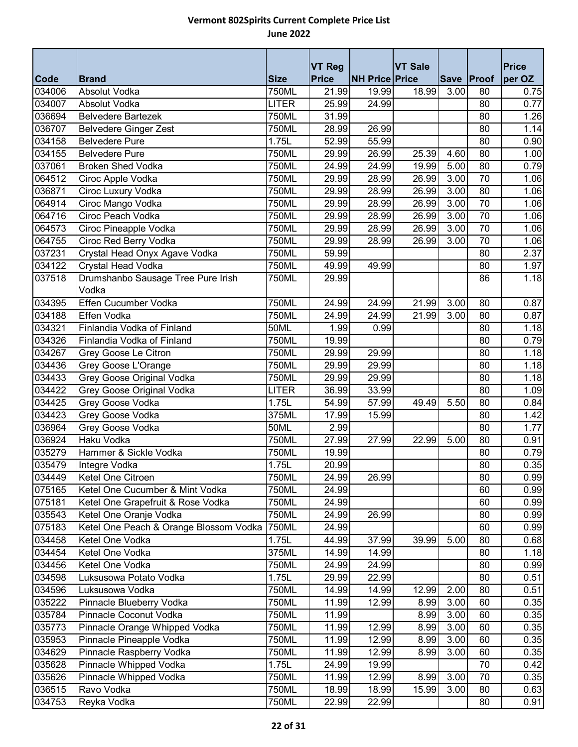| <b>Code</b> | <b>Brand</b>                           | <b>Size</b>  | <b>VT Reg</b><br><b>Price</b> | <b>NH Price Price</b> | <b>VT Sale</b> |      | Save Proof      | <b>Price</b><br>per OZ |
|-------------|----------------------------------------|--------------|-------------------------------|-----------------------|----------------|------|-----------------|------------------------|
| 034006      | Absolut Vodka                          | 750ML        | 21.99                         | 19.99                 | 18.99          | 3.00 | 80              | 0.75                   |
| 034007      | Absolut Vodka                          | <b>LITER</b> | 25.99                         | 24.99                 |                |      | 80              | 0.77                   |
| 036694      | <b>Belvedere Bartezek</b>              | 750ML        | 31.99                         |                       |                |      | 80              | 1.26                   |
| 036707      | <b>Belvedere Ginger Zest</b>           | 750ML        | 28.99                         | 26.99                 |                |      | 80              | 1.14                   |
| 034158      | <b>Belvedere Pure</b>                  | 1.75L        | 52.99                         | 55.99                 |                |      | 80              | 0.90                   |
| 034155      | <b>Belvedere Pure</b>                  | 750ML        | 29.99                         | 26.99                 | 25.39          | 4.60 | 80              | 1.00                   |
| 037061      | <b>Broken Shed Vodka</b>               | 750ML        | 24.99                         | 24.99                 | 19.99          | 5.00 | 80              | 0.79                   |
| 064512      | Ciroc Apple Vodka                      | 750ML        | 29.99                         | 28.99                 | 26.99          | 3.00 | 70              | 1.06                   |
| 036871      | Ciroc Luxury Vodka                     | 750ML        | 29.99                         | 28.99                 | 26.99          | 3.00 | 80              | 1.06                   |
| 064914      | Ciroc Mango Vodka                      | 750ML        | 29.99                         | 28.99                 | 26.99          | 3.00 | 70              | 1.06                   |
| 064716      | Ciroc Peach Vodka                      | 750ML        | 29.99                         | 28.99                 | 26.99          | 3.00 | 70              | 1.06                   |
| 064573      | Ciroc Pineapple Vodka                  | 750ML        | 29.99                         | 28.99                 | 26.99          | 3.00 | $\overline{70}$ | 1.06                   |
| 064755      | Ciroc Red Berry Vodka                  | 750ML        | 29.99                         | 28.99                 | 26.99          | 3.00 | 70              | 1.06                   |
| 037231      | Crystal Head Onyx Agave Vodka          | 750ML        | 59.99                         |                       |                |      | 80              | 2.37                   |
| 034122      | Crystal Head Vodka                     | 750ML        | 49.99                         | 49.99                 |                |      | 80              | 1.97                   |
| 037518      | Drumshanbo Sausage Tree Pure Irish     | 750ML        | 29.99                         |                       |                |      | 86              | 1.18                   |
|             | Vodka                                  |              |                               |                       |                |      |                 |                        |
| 034395      | Effen Cucumber Vodka                   | 750ML        | 24.99                         | 24.99                 | 21.99          | 3.00 | 80              | 0.87                   |
| 034188      | Effen Vodka                            | 750ML        | 24.99                         | 24.99                 | 21.99          | 3.00 | 80              | 0.87                   |
| 034321      | Finlandia Vodka of Finland             | 50ML         | 1.99                          | 0.99                  |                |      | 80              | 1.18                   |
| 034326      | Finlandia Vodka of Finland             | 750ML        | 19.99                         |                       |                |      | 80              | 0.79                   |
| 034267      | Grey Goose Le Citron                   | 750ML        | 29.99                         | 29.99                 |                |      | 80              | 1.18                   |
| 034436      | Grey Goose L'Orange                    | 750ML        | 29.99                         | 29.99                 |                |      | 80              | 1.18                   |
| 034433      | Grey Goose Original Vodka              | 750ML        | 29.99                         | 29.99                 |                |      | 80              | 1.18                   |
| 034422      | Grey Goose Original Vodka              | <b>LITER</b> | 36.99                         | 33.99                 |                |      | 80              | 1.09                   |
| 034425      | Grey Goose Vodka                       | 1.75L        | 54.99                         | 57.99                 | 49.49          | 5.50 | 80              | 0.84                   |
| 034423      | Grey Goose Vodka                       | 375ML        | 17.99                         | 15.99                 |                |      | 80              | 1.42                   |
| 036964      | Grey Goose Vodka                       | 50ML         | 2.99                          |                       |                |      | 80              | 1.77                   |
| 036924      | <b>Haku Vodka</b>                      | 750ML        | 27.99                         | 27.99                 | 22.99          | 5.00 | 80              | 0.91                   |
| 035279      | Hammer & Sickle Vodka                  | 750ML        | 19.99                         |                       |                |      | 80              | 0.79                   |
| 035479      | Integre Vodka                          | 1.75L        | 20.99                         |                       |                |      | 80              | 0.35                   |
| 034449      | Ketel One Citroen                      | <b>750ML</b> | 24.99                         | 26.99                 |                |      | 80              | 0.99                   |
| 075165      | Ketel One Cucumber & Mint Vodka        | 750ML        | 24.99                         |                       |                |      | 60              | 0.99                   |
| 075181      | Ketel One Grapefruit & Rose Vodka      | 750ML        | 24.99                         |                       |                |      | 60              | 0.99                   |
| 035543      | Ketel One Oranje Vodka                 | 750ML        | 24.99                         | 26.99                 |                |      | 80              | 0.99                   |
| 075183      | Ketel One Peach & Orange Blossom Vodka | 750ML        | 24.99                         |                       |                |      | 60              | 0.99                   |
| 034458      | Ketel One Vodka                        | 1.75L        | 44.99                         | 37.99                 | 39.99          | 5.00 | 80              | 0.68                   |
| 034454      | Ketel One Vodka                        | 375ML        | 14.99                         | 14.99                 |                |      | 80              | 1.18                   |
| 034456      | Ketel One Vodka                        | 750ML        | 24.99                         | 24.99                 |                |      | 80              | 0.99                   |
| 034598      | Luksusowa Potato Vodka                 | 1.75L        | 29.99                         | 22.99                 |                |      | 80              | 0.51                   |
| 034596      | Luksusowa Vodka                        | 750ML        | 14.99                         | 14.99                 | 12.99          | 2.00 | 80              | 0.51                   |
| 035222      | Pinnacle Blueberry Vodka               | 750ML        | 11.99                         | 12.99                 | 8.99           | 3.00 | 60              | 0.35                   |
| 035784      | Pinnacle Coconut Vodka                 | 750ML        | 11.99                         |                       | 8.99           | 3.00 | 60              | 0.35                   |
| 035773      | Pinnacle Orange Whipped Vodka          | 750ML        | 11.99                         | 12.99                 | 8.99           | 3.00 | 60              | 0.35                   |
| 035953      | Pinnacle Pineapple Vodka               | 750ML        | 11.99                         | 12.99                 | 8.99           | 3.00 | 60              | 0.35                   |
| 034629      | Pinnacle Raspberry Vodka               | 750ML        | 11.99                         | 12.99                 | 8.99           | 3.00 | 60              | 0.35                   |
| 035628      | Pinnacle Whipped Vodka                 | 1.75L        | 24.99                         | 19.99                 |                |      | 70              | 0.42                   |
| 035626      | Pinnacle Whipped Vodka                 | 750ML        | 11.99                         | 12.99                 | 8.99           | 3.00 | 70              | 0.35                   |
| 036515      | Ravo Vodka                             | 750ML        | 18.99                         | 18.99                 | 15.99          | 3.00 | 80              | 0.63                   |
| 034753      | Reyka Vodka                            | 750ML        | 22.99                         | 22.99                 |                |      | 80              | 0.91                   |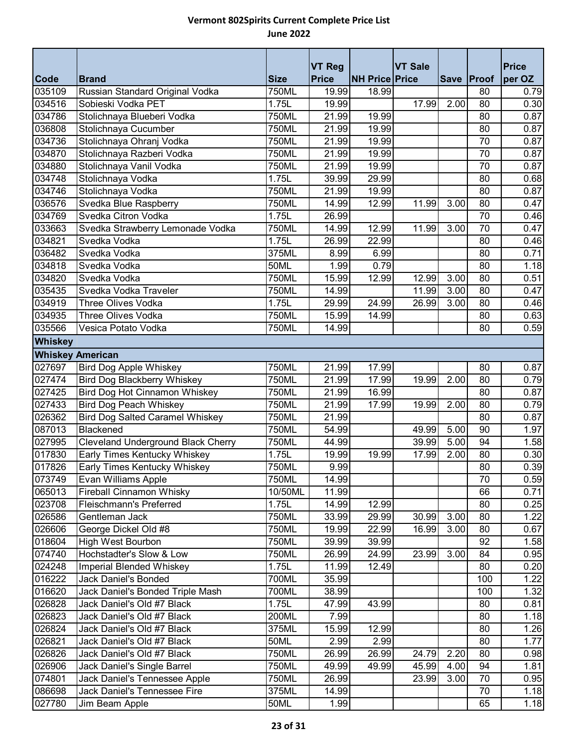|                         |                                           |             | <b>VT Reg</b> |                       | <b>VT Sale</b> |      |            | <b>Price</b> |  |
|-------------------------|-------------------------------------------|-------------|---------------|-----------------------|----------------|------|------------|--------------|--|
| Code                    | <b>Brand</b>                              | <b>Size</b> | <b>Price</b>  | <b>NH Price Price</b> |                |      | Save Proof | per OZ       |  |
| 035109                  | Russian Standard Original Vodka           | 750ML       | 19.99         | 18.99                 |                |      | 80         | 0.79         |  |
| 034516                  | Sobieski Vodka PET                        | 1.75L       | 19.99         |                       | 17.99          | 2.00 | 80         | 0.30         |  |
| 034786                  | Stolichnaya Blueberi Vodka                | 750ML       | 21.99         | 19.99                 |                |      | 80         | 0.87         |  |
| 036808                  | Stolichnaya Cucumber                      | 750ML       | 21.99         | 19.99                 |                |      | 80         | 0.87         |  |
| 034736                  | Stolichnaya Ohranj Vodka                  | 750ML       | 21.99         | 19.99                 |                |      | 70         | 0.87         |  |
| 034870                  | Stolichnaya Razberi Vodka                 | 750ML       | 21.99         | 19.99                 |                |      | 70         | 0.87         |  |
| 034880                  | Stolichnaya Vanil Vodka                   | 750ML       | 21.99         | 19.99                 |                |      | 70         | 0.87         |  |
| 034748                  | Stolichnaya Vodka                         | 1.75L       | 39.99         | 29.99                 |                |      | 80         | 0.68         |  |
| 034746                  | Stolichnaya Vodka                         | 750ML       | 21.99         | 19.99                 |                |      | 80         | 0.87         |  |
| 036576                  | Svedka Blue Raspberry                     | 750ML       | 14.99         | 12.99                 | 11.99          | 3.00 | 80         | 0.47         |  |
| 034769                  | Svedka Citron Vodka                       | 1.75L       | 26.99         |                       |                |      | 70         | 0.46         |  |
| 033663                  | Svedka Strawberry Lemonade Vodka          | 750ML       | 14.99         | 12.99                 | 11.99          | 3.00 | 70         | 0.47         |  |
| 034821                  | Svedka Vodka                              | 1.75L       | 26.99         | 22.99                 |                |      | 80         | 0.46         |  |
| 036482                  | Svedka Vodka                              | 375ML       | 8.99          | 6.99                  |                |      | 80         | 0.71         |  |
| 034818                  | Svedka Vodka                              | 50ML        | 1.99          | 0.79                  |                |      | 80         | 1.18         |  |
| 034820                  | Svedka Vodka                              | 750ML       | 15.99         | 12.99                 | 12.99          | 3.00 | 80         | 0.51         |  |
| 035435                  | Svedka Vodka Traveler                     | 750ML       | 14.99         |                       | 11.99          | 3.00 | 80         | 0.47         |  |
| 034919                  | Three Olives Vodka                        | 1.75L       | 29.99         | 24.99                 | 26.99          | 3.00 | 80         | 0.46         |  |
| 034935                  | <b>Three Olives Vodka</b>                 | 750ML       | 15.99         | 14.99                 |                |      | 80         | 0.63         |  |
| 035566                  | Vesica Potato Vodka                       | 750ML       | 14.99         |                       |                |      | 80         | 0.59         |  |
| <b>Whiskey</b>          |                                           |             |               |                       |                |      |            |              |  |
| <b>Whiskey American</b> |                                           |             |               |                       |                |      |            |              |  |
| 027697                  | <b>Bird Dog Apple Whiskey</b>             | 750ML       | 21.99         | 17.99                 |                |      | 80         | 0.87         |  |
| 027474                  | <b>Bird Dog Blackberry Whiskey</b>        | 750ML       | 21.99         | 17.99                 | 19.99          | 2.00 | 80         | 0.79         |  |
| 027425                  | Bird Dog Hot Cinnamon Whiskey             | 750ML       | 21.99         | 16.99                 |                |      | 80         | 0.87         |  |
| 027433                  | <b>Bird Dog Peach Whiskey</b>             | 750ML       | 21.99         | 17.99                 | 19.99          | 2.00 | 80         | 0.79         |  |
| 026362                  | <b>Bird Dog Salted Caramel Whiskey</b>    | 750ML       | 21.99         |                       |                |      | 80         | 0.87         |  |
| 087013                  | Blackened                                 | 750ML       | 54.99         |                       | 49.99          | 5.00 | 90         | 1.97         |  |
| 027995                  | <b>Cleveland Underground Black Cherry</b> | 750ML       | 44.99         |                       | 39.99          | 5.00 | 94         | 1.58         |  |
| 017830                  | Early Times Kentucky Whiskey              | 1.75L       | 19.99         | 19.99                 | 17.99          | 2.00 | 80         | 0.30         |  |
| 017826                  | Early Times Kentucky Whiskey              | 750ML       | 9.99          |                       |                |      | 80         | 0.39         |  |
| 073749                  | Evan Williams Apple                       | 750ML       | 14.99         |                       |                |      | 70         | 0.59         |  |
| 065013                  | <b>Fireball Cinnamon Whisky</b>           | 10/50ML     | 11.99         |                       |                |      | 66         | 0.71         |  |
| 023708                  | Fleischmann's Preferred                   | 1.75L       | 14.99         | 12.99                 |                |      | 80         | 0.25         |  |
| 026586                  | Gentleman Jack                            | 750ML       | 33.99         | 29.99                 | 30.99          | 3.00 | 80         | 1.22         |  |
| 026606                  | George Dickel Old #8                      | 750ML       | 19.99         | 22.99                 | 16.99          | 3.00 | 80         | 0.67         |  |
| 018604                  | High West Bourbon                         | 750ML       | 39.99         | 39.99                 |                |      | 92         | 1.58         |  |
| 074740                  | Hochstadter's Slow & Low                  | 750ML       | 26.99         | 24.99                 | 23.99          | 3.00 | 84         | 0.95         |  |
| 024248                  | Imperial Blended Whiskey                  | 1.75L       | 11.99         | 12.49                 |                |      | 80         | 0.20         |  |
| 016222                  | Jack Daniel's Bonded                      | 700ML       | 35.99         |                       |                |      | 100        | 1.22         |  |
| 016620                  | Jack Daniel's Bonded Triple Mash          | 700ML       | 38.99         |                       |                |      | 100        | 1.32         |  |
| 026828                  | Jack Daniel's Old #7 Black                | 1.75L       | 47.99         | 43.99                 |                |      | 80         | 0.81         |  |
| 026823                  | Jack Daniel's Old #7 Black                | 200ML       | 7.99          |                       |                |      | 80         | 1.18         |  |
| 026824                  | Jack Daniel's Old #7 Black                | 375ML       | 15.99         | 12.99                 |                |      | 80         | 1.26         |  |
| 026821                  | Jack Daniel's Old #7 Black                | 50ML        | 2.99          | 2.99                  |                |      | 80         | 1.77         |  |
| 026826                  | Jack Daniel's Old #7 Black                | 750ML       | 26.99         | 26.99                 | 24.79          | 2.20 | 80         | 0.98         |  |
| 026906                  | Jack Daniel's Single Barrel               | 750ML       | 49.99         | 49.99                 | 45.99          | 4.00 | 94         | 1.81         |  |
| 074801                  | Jack Daniel's Tennessee Apple             | 750ML       | 26.99         |                       | 23.99          | 3.00 | 70         | 0.95         |  |
| 086698                  | Jack Daniel's Tennessee Fire              | 375ML       | 14.99         |                       |                |      | 70         | 1.18         |  |
| 027780                  | Jim Beam Apple                            | 50ML        | 1.99          |                       |                |      | 65         | 1.18         |  |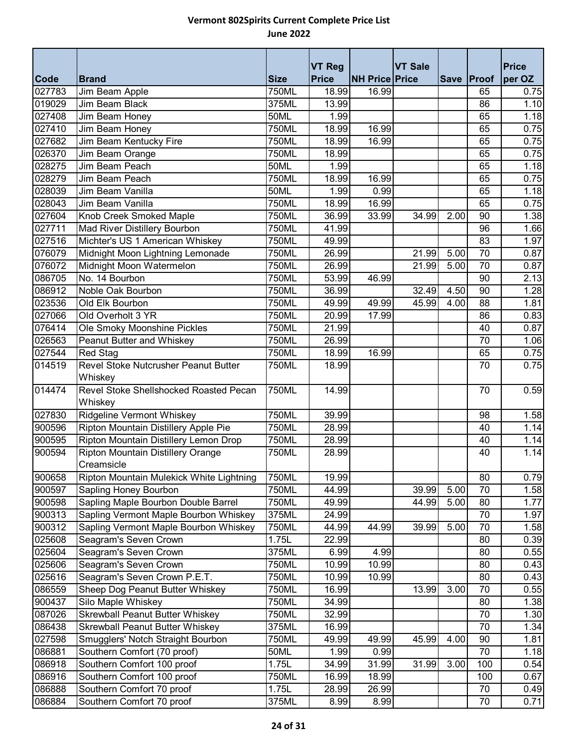|        |                                          |              | <b>VT Reg</b> |                       | <b>VT Sale</b> |            |     | <b>Price</b> |
|--------|------------------------------------------|--------------|---------------|-----------------------|----------------|------------|-----|--------------|
| Code   | <b>Brand</b>                             | <b>Size</b>  | <b>Price</b>  | <b>NH Price Price</b> |                | Save Proof |     | per OZ       |
| 027783 | Jim Beam Apple                           | 750ML        | 18.99         | 16.99                 |                |            | 65  | 0.75         |
| 019029 | Jim Beam Black                           | 375ML        | 13.99         |                       |                |            | 86  | 1.10         |
| 027408 | Jim Beam Honey                           | 50ML         | 1.99          |                       |                |            | 65  | 1.18         |
| 027410 | Jim Beam Honey                           | 750ML        | 18.99         | 16.99                 |                |            | 65  | 0.75         |
| 027682 | Jim Beam Kentucky Fire                   | 750ML        | 18.99         | 16.99                 |                |            | 65  | 0.75         |
| 026370 | Jim Beam Orange                          | 750ML        | 18.99         |                       |                |            | 65  | 0.75         |
| 028275 | Jim Beam Peach                           | 50ML         | 1.99          |                       |                |            | 65  | 1.18         |
| 028279 | Jim Beam Peach                           | <b>750ML</b> | 18.99         | 16.99                 |                |            | 65  | 0.75         |
| 028039 | Jim Beam Vanilla                         | 50ML         | 1.99          | 0.99                  |                |            | 65  | 1.18         |
| 028043 | Jim Beam Vanilla                         | 750ML        | 18.99         | 16.99                 |                |            | 65  | 0.75         |
| 027604 | Knob Creek Smoked Maple                  | 750ML        | 36.99         | 33.99                 | 34.99          | 2.00       | 90  | 1.38         |
| 027711 | Mad River Distillery Bourbon             | 750ML        | 41.99         |                       |                |            | 96  | 1.66         |
| 027516 | Michter's US 1 American Whiskey          | 750ML        | 49.99         |                       |                |            | 83  | 1.97         |
| 076079 | Midnight Moon Lightning Lemonade         | 750ML        | 26.99         |                       | 21.99          | 5.00       | 70  | 0.87         |
| 076072 | Midnight Moon Watermelon                 | 750ML        | 26.99         |                       | 21.99          | 5.00       | 70  | 0.87         |
| 086705 | No. 14 Bourbon                           | 750ML        | 53.99         | 46.99                 |                |            | 90  | 2.13         |
| 086912 | Noble Oak Bourbon                        | <b>750ML</b> | 36.99         |                       | 32.49          | 4.50       | 90  | 1.28         |
| 023536 | Old Elk Bourbon                          | 750ML        | 49.99         | 49.99                 | 45.99          | 4.00       | 88  | 1.81         |
| 027066 | Old Overholt 3 YR                        | 750ML        | 20.99         | 17.99                 |                |            | 86  | 0.83         |
| 076414 | Ole Smoky Moonshine Pickles              | 750ML        | 21.99         |                       |                |            | 40  | 0.87         |
| 026563 | Peanut Butter and Whiskey                | 750ML        | 26.99         |                       |                |            | 70  | 1.06         |
| 027544 | <b>Red Stag</b>                          | 750ML        | 18.99         | 16.99                 |                |            | 65  | 0.75         |
| 014519 | Revel Stoke Nutcrusher Peanut Butter     | 750ML        | 18.99         |                       |                |            | 70  | 0.75         |
|        | Whiskey                                  |              |               |                       |                |            |     |              |
| 014474 | Revel Stoke Shellshocked Roasted Pecan   | 750ML        | 14.99         |                       |                |            | 70  | 0.59         |
|        | Whiskey                                  |              |               |                       |                |            |     |              |
| 027830 | <b>Ridgeline Vermont Whiskey</b>         | <b>750ML</b> | 39.99         |                       |                |            | 98  | 1.58         |
| 900596 | Ripton Mountain Distillery Apple Pie     | 750ML        | 28.99         |                       |                |            | 40  | 1.14         |
| 900595 | Ripton Mountain Distillery Lemon Drop    | 750ML        | 28.99         |                       |                |            | 40  | 1.14         |
| 900594 | Ripton Mountain Distillery Orange        | 750ML        | 28.99         |                       |                |            | 40  | 1.14         |
|        | Creamsicle                               |              |               |                       |                |            |     |              |
| 900658 | Ripton Mountain Mulekick White Lightning | 750ML        | 19.99         |                       |                |            | 80  | 0.79         |
| 900597 | Sapling Honey Bourbon                    | 750ML        | 44.99         |                       | 39.99          | 5.00       | 70  | 1.58         |
| 900598 | Sapling Maple Bourbon Double Barrel      | 750ML        | 49.99         |                       | 44.99          | 5.00       | 80  | 1.77         |
| 900313 | Sapling Vermont Maple Bourbon Whiskey    | 375ML        | 24.99         |                       |                |            | 70  | 1.97         |
| 900312 | Sapling Vermont Maple Bourbon Whiskey    | 750ML        | 44.99         | 44.99                 | 39.99          | 5.00       | 70  | 1.58         |
| 025608 | Seagram's Seven Crown                    | 1.75L        | 22.99         |                       |                |            | 80  | 0.39         |
| 025604 | Seagram's Seven Crown                    | 375ML        | 6.99          | 4.99                  |                |            | 80  | 0.55         |
| 025606 | Seagram's Seven Crown                    | 750ML        | 10.99         | 10.99                 |                |            | 80  | 0.43         |
| 025616 | Seagram's Seven Crown P.E.T.             | 750ML        | 10.99         | 10.99                 |                |            | 80  | 0.43         |
| 086559 | Sheep Dog Peanut Butter Whiskey          | 750ML        | 16.99         |                       | 13.99          | 3.00       | 70  | 0.55         |
| 900437 | Silo Maple Whiskey                       | 750ML        | 34.99         |                       |                |            | 80  | 1.38         |
| 087026 | <b>Skrewball Peanut Butter Whiskey</b>   | 750ML        | 32.99         |                       |                |            | 70  | 1.30         |
| 086438 | <b>Skrewball Peanut Butter Whiskey</b>   | 375ML        | 16.99         |                       |                |            | 70  | 1.34         |
| 027598 | Smugglers' Notch Straight Bourbon        | 750ML        | 49.99         | 49.99                 | 45.99          | 4.00       | 90  | 1.81         |
| 086881 | Southern Comfort (70 proof)              | 50ML         | 1.99          | 0.99                  |                |            | 70  | 1.18         |
| 086918 | Southern Comfort 100 proof               | 1.75L        | 34.99         | 31.99                 | 31.99          | 3.00       | 100 | 0.54         |
| 086916 | Southern Comfort 100 proof               | 750ML        | 16.99         | 18.99                 |                |            | 100 | 0.67         |
| 086888 | Southern Comfort 70 proof                | 1.75L        | 28.99         | 26.99                 |                |            | 70  | 0.49         |
| 086884 | Southern Comfort 70 proof                | 375ML        | 8.99          | 8.99                  |                |            | 70  | 0.71         |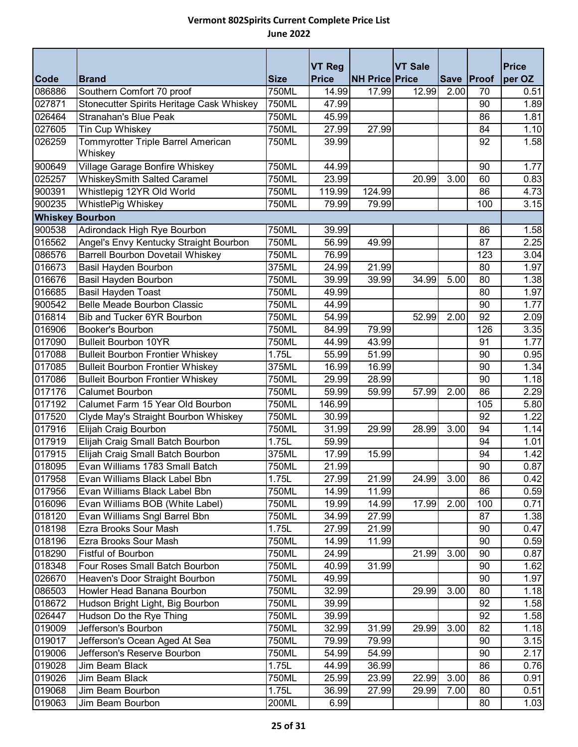|                        |                                                                           |                       | <b>VT Reg</b>  |                       | <b>VT Sale</b> |             |          | <b>Price</b> |
|------------------------|---------------------------------------------------------------------------|-----------------------|----------------|-----------------------|----------------|-------------|----------|--------------|
| Code                   | <b>Brand</b>                                                              | <b>Size</b>           | <b>Price</b>   | <b>NH Price Price</b> |                | <b>Save</b> | Proof    | per OZ       |
| 086886                 | Southern Comfort 70 proof                                                 | <b>750ML</b><br>750ML | 14.99          | 17.99                 | 12.99          | 2.00        | 70<br>90 | 0.51         |
| 027871                 | Stonecutter Spirits Heritage Cask Whiskey<br><b>Stranahan's Blue Peak</b> |                       | 47.99          |                       |                |             |          | 1.89         |
| 026464                 |                                                                           | 750ML                 | 45.99          |                       |                |             | 86       | 1.81         |
| 027605<br>026259       | Tin Cup Whiskey<br>Tommyrotter Triple Barrel American                     | 750ML<br>750ML        | 27.99<br>39.99 | 27.99                 |                |             | 84<br>92 | 1.10<br>1.58 |
|                        | Whiskey                                                                   |                       |                |                       |                |             |          |              |
| 900649                 | Village Garage Bonfire Whiskey                                            | 750ML                 | 44.99          |                       |                |             | 90       | 1.77         |
| 025257                 | <b>WhiskeySmith Salted Caramel</b>                                        | 750ML                 | 23.99          |                       | 20.99          | 3.00        | 60       | 0.83         |
| 900391                 | Whistlepig 12YR Old World                                                 | 750ML                 | 119.99         | 124.99                |                |             | 86       | 4.73         |
| 900235                 | WhistlePig Whiskey                                                        | 750ML                 | 79.99          | 79.99                 |                |             | 100      | 3.15         |
| <b>Whiskey Bourbon</b> |                                                                           |                       |                |                       |                |             |          |              |
| 900538                 | Adirondack High Rye Bourbon                                               | 750ML                 | 39.99          |                       |                |             | 86       | 1.58         |
| 016562                 | Angel's Envy Kentucky Straight Bourbon                                    | 750ML                 | 56.99          | 49.99                 |                |             | 87       | 2.25         |
| 086576                 | <b>Barrell Bourbon Dovetail Whiskey</b>                                   | 750ML                 | 76.99          |                       |                |             | 123      | 3.04         |
| 016673                 | Basil Hayden Bourbon                                                      | 375ML                 | 24.99          | 21.99                 |                |             | 80       | 1.97         |
| 016676                 | Basil Hayden Bourbon                                                      | 750ML                 | 39.99          | 39.99                 | 34.99          | 5.00        | 80       | 1.38         |
| 016685                 | <b>Basil Hayden Toast</b>                                                 | 750ML                 | 49.99          |                       |                |             | 80       | 1.97         |
| 900542                 | <b>Belle Meade Bourbon Classic</b>                                        | 750ML                 | 44.99          |                       |                |             | 90       | 1.77         |
| 016814                 | Bib and Tucker 6YR Bourbon                                                | 750ML                 | 54.99          |                       | 52.99          | 2.00        | 92       | 2.09         |
| 016906                 | <b>Booker's Bourbon</b>                                                   | 750ML                 | 84.99          | 79.99                 |                |             | 126      | 3.35         |
| 017090                 | <b>Bulleit Bourbon 10YR</b>                                               | 750ML                 | 44.99          | 43.99                 |                |             | 91       | 1.77         |
| 017088                 | <b>Bulleit Bourbon Frontier Whiskey</b>                                   | 1.75L                 | 55.99          | 51.99                 |                |             | 90       | 0.95         |
| 017085                 | <b>Bulleit Bourbon Frontier Whiskey</b>                                   | 375ML                 | 16.99          | 16.99                 |                |             | 90       | 1.34         |
| 017086                 | <b>Bulleit Bourbon Frontier Whiskey</b>                                   | 750ML                 | 29.99          | 28.99                 |                |             | 90       | 1.18         |
| 017176                 | <b>Calumet Bourbon</b>                                                    | 750ML                 | 59.99          | 59.99                 | 57.99          | 2.00        | 86       | 2.29         |
| 017192                 | Calumet Farm 15 Year Old Bourbon                                          | 750ML                 | 146.99         |                       |                |             | 105      | 5.80         |
| 017520                 | Clyde May's Straight Bourbon Whiskey                                      | 750ML                 | 30.99          |                       |                |             | 92       | 1.22         |
| 017916                 | Elijah Craig Bourbon                                                      | 750ML                 | 31.99          | 29.99                 | 28.99          | 3.00        | 94       | 1.14         |
| 017919                 | Elijah Craig Small Batch Bourbon                                          | 1.75L                 | 59.99          |                       |                |             | 94       | 1.01         |
| 017915                 | Elijah Craig Small Batch Bourbon                                          | 375ML                 | 17.99          | 15.99                 |                |             | 94       | 1.42         |
| 018095                 | Evan Williams 1783 Small Batch                                            | 750ML                 | 21.99          |                       |                |             | 90       | 0.87         |
| 017958                 | Evan Williams Black Label Bbn                                             | 1.75L                 | 27.99          | 21.99                 | 24.99          | 3.00        | 86       | 0.42         |
| 017956                 | Evan Williams Black Label Bbn                                             | 750ML                 | 14.99          | 11.99                 |                |             | 86       | 0.59         |
| 016096                 | Evan Williams BOB (White Label)                                           | 750ML                 | 19.99          | 14.99                 | 17.99          | 2.00        | 100      | 0.71         |
| 018120                 | Evan Williams Sngl Barrel Bbn                                             | 750ML                 | 34.99          | 27.99                 |                |             | 87       | 1.38         |
| 018198                 | Ezra Brooks Sour Mash                                                     | 1.75L                 | 27.99          | 21.99                 |                |             | 90       | 0.47         |
| 018196                 | Ezra Brooks Sour Mash                                                     | 750ML                 | 14.99          | 11.99                 |                |             | 90       | 0.59         |
| 018290                 | Fistful of Bourbon                                                        | 750ML                 | 24.99          |                       | 21.99          | 3.00        | 90       | 0.87         |
| 018348                 | Four Roses Small Batch Bourbon                                            | 750ML                 | 40.99          | 31.99                 |                |             | 90       | 1.62         |
| 026670                 | Heaven's Door Straight Bourbon                                            | 750ML                 | 49.99          |                       |                |             | 90       | 1.97         |
| 086503                 | Howler Head Banana Bourbon                                                | 750ML                 | 32.99          |                       | 29.99          | 3.00        | 80       | 1.18         |
| 018672                 | Hudson Bright Light, Big Bourbon                                          | 750ML                 | 39.99          |                       |                |             | 92       | 1.58         |
| 026447                 | Hudson Do the Rye Thing                                                   | 750ML                 | 39.99          |                       |                |             | 92       | 1.58         |
| 019009                 | Jefferson's Bourbon                                                       | 750ML                 | 32.99          | 31.99                 | 29.99          | 3.00        | 82       | 1.18         |
| 019017                 | Jefferson's Ocean Aged At Sea                                             | 750ML                 | 79.99          | 79.99                 |                |             | 90       | 3.15         |
| 019006                 | Jefferson's Reserve Bourbon                                               | 750ML                 | 54.99          | 54.99                 |                |             | 90       | 2.17         |
| 019028                 | Jim Beam Black                                                            | 1.75L                 | 44.99          | 36.99                 |                |             | 86       | 0.76         |
| 019026                 | Jim Beam Black                                                            | 750ML                 | 25.99          | 23.99                 | 22.99          | 3.00        | 86       | 0.91         |
| 019068                 | Jim Beam Bourbon                                                          | 1.75L                 | 36.99          | 27.99                 | 29.99          | 7.00        | 80       | 0.51         |
| 019063                 | Jim Beam Bourbon                                                          | 200ML                 | 6.99           |                       |                |             | 80       | 1.03         |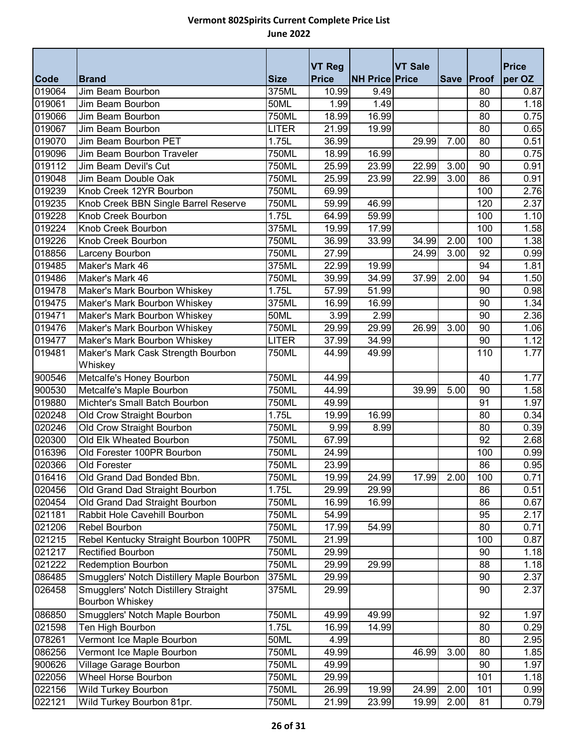|             |                                           |              | <b>VT Reg</b> |                       | <b>VT Sale</b> |             |       | <b>Price</b> |
|-------------|-------------------------------------------|--------------|---------------|-----------------------|----------------|-------------|-------|--------------|
| <b>Code</b> | <b>Brand</b>                              | <b>Size</b>  | <b>Price</b>  | <b>NH Price Price</b> |                | <b>Save</b> | Proof | per OZ       |
| 019064      | Jim Beam Bourbon                          | 375ML        | 10.99         | 9.49                  |                |             | 80    | 0.87         |
| 019061      | Jim Beam Bourbon                          | 50ML         | 1.99          | 1.49                  |                |             | 80    | 1.18         |
| 019066      | Jim Beam Bourbon                          | 750ML        | 18.99         | 16.99                 |                |             | 80    | 0.75         |
| 019067      | Jim Beam Bourbon                          | <b>LITER</b> | 21.99         | 19.99                 |                |             | 80    | 0.65         |
| 019070      | <b>Jim Beam Bourbon PET</b>               | 1.75L        | 36.99         |                       | 29.99          | 7.00        | 80    | 0.51         |
| 019096      | Jim Beam Bourbon Traveler                 | 750ML        | 18.99         | 16.99                 |                |             | 80    | 0.75         |
| 019112      | Jim Beam Devil's Cut                      | 750ML        | 25.99         | 23.99                 | 22.99          | 3.00        | 90    | 0.91         |
| 019048      | Jim Beam Double Oak                       | 750ML        | 25.99         | 23.99                 | 22.99          | 3.00        | 86    | 0.91         |
| 019239      | Knob Creek 12YR Bourbon                   | 750ML        | 69.99         |                       |                |             | 100   | 2.76         |
| 019235      | Knob Creek BBN Single Barrel Reserve      | 750ML        | 59.99         | 46.99                 |                |             | 120   | 2.37         |
| 019228      | Knob Creek Bourbon                        | 1.75L        | 64.99         | 59.99                 |                |             | 100   | 1.10         |
| 019224      | Knob Creek Bourbon                        | 375ML        | 19.99         | 17.99                 |                |             | 100   | 1.58         |
| 019226      | Knob Creek Bourbon                        | 750ML        | 36.99         | 33.99                 | 34.99          | 2.00        | 100   | 1.38         |
| 018856      | Larceny Bourbon                           | 750ML        | 27.99         |                       | 24.99          | 3.00        | 92    | 0.99         |
| 019485      | Maker's Mark 46                           | 375ML        | 22.99         | 19.99                 |                |             | 94    | 1.81         |
| 019486      | Maker's Mark 46                           | 750ML        | 39.99         | 34.99                 | 37.99          | 2.00        | 94    | 1.50         |
| 019478      | Maker's Mark Bourbon Whiskey              | 1.75L        | 57.99         | 51.99                 |                |             | 90    | 0.98         |
| 019475      | Maker's Mark Bourbon Whiskey              | 375ML        | 16.99         | 16.99                 |                |             | 90    | 1.34         |
| 019471      | Maker's Mark Bourbon Whiskey              | 50ML         | 3.99          | 2.99                  |                |             | 90    | 2.36         |
| 019476      | Maker's Mark Bourbon Whiskey              | 750ML        | 29.99         | 29.99                 | 26.99          | 3.00        | 90    | 1.06         |
| 019477      | Maker's Mark Bourbon Whiskey              | <b>LITER</b> | 37.99         | 34.99                 |                |             | 90    | 1.12         |
| 019481      | Maker's Mark Cask Strength Bourbon        | 750ML        | 44.99         | 49.99                 |                |             | 110   | 1.77         |
|             | Whiskey                                   |              |               |                       |                |             |       |              |
| 900546      | Metcalfe's Honey Bourbon                  | 750ML        | 44.99         |                       |                |             | 40    | 1.77         |
| 900530      | Metcalfe's Maple Bourbon                  | 750ML        | 44.99         |                       | 39.99          | 5.00        | 90    | 1.58         |
| 019880      | Michter's Small Batch Bourbon             | 750ML        | 49.99         |                       |                |             | 91    | 1.97         |
| 020248      | Old Crow Straight Bourbon                 | 1.75L        | 19.99         | 16.99                 |                |             | 80    | 0.34         |
| 020246      | Old Crow Straight Bourbon                 | 750ML        | 9.99          | 8.99                  |                |             | 80    | 0.39         |
| 020300      | Old Elk Wheated Bourbon                   | 750ML        | 67.99         |                       |                |             | 92    | 2.68         |
| 016396      | Old Forester 100PR Bourbon                | 750ML        | 24.99         |                       |                |             | 100   | 0.99         |
| 020366      | Old Forester                              | 750ML        | 23.99         |                       |                |             | 86    | 0.95         |
| 016416      | Old Grand Dad Bonded Bbn.                 | 750ML        | 19.99         | 24.99                 | 17.99          | 2.00        | 100   | 0.71         |
| 020456      | Old Grand Dad Straight Bourbon            | 1.75L        | 29.99         | 29.99                 |                |             | 86    | 0.51         |
| 020454      | Old Grand Dad Straight Bourbon            | 750ML        | 16.99         | 16.99                 |                |             | 86    | 0.67         |
| 021181      | Rabbit Hole Cavehill Bourbon              | 750ML        | 54.99         |                       |                |             | 95    | 2.17         |
| 021206      | Rebel Bourbon                             | 750ML        | 17.99         | 54.99                 |                |             | 80    | 0.71         |
| 021215      | Rebel Kentucky Straight Bourbon 100PR     | 750ML        | 21.99         |                       |                |             | 100   | 0.87         |
| 021217      | <b>Rectified Bourbon</b>                  | 750ML        | 29.99         |                       |                |             | 90    | 1.18         |
| 021222      | <b>Redemption Bourbon</b>                 | 750ML        | 29.99         | 29.99                 |                |             | 88    | 1.18         |
| 086485      | Smugglers' Notch Distillery Maple Bourbon | 375ML        | 29.99         |                       |                |             | 90    | 2.37         |
| 026458      | Smugglers' Notch Distillery Straight      | 375ML        | 29.99         |                       |                |             | 90    | 2.37         |
|             | Bourbon Whiskey                           |              |               |                       |                |             |       |              |
| 086850      | Smugglers' Notch Maple Bourbon            | 750ML        | 49.99         | 49.99                 |                |             | 92    | 1.97         |
| 021598      | Ten High Bourbon                          | 1.75L        | 16.99         | 14.99                 |                |             | 80    | 0.29         |
| 078261      | Vermont Ice Maple Bourbon                 | 50ML         | 4.99          |                       |                |             | 80    | 2.95         |
| 086256      | Vermont Ice Maple Bourbon                 | 750ML        | 49.99         |                       | 46.99          | 3.00        | 80    | 1.85         |
| 900626      | Village Garage Bourbon                    | 750ML        | 49.99         |                       |                |             | 90    | 1.97         |
| 022056      | Wheel Horse Bourbon                       | 750ML        | 29.99         |                       |                |             | 101   | 1.18         |
| 022156      | Wild Turkey Bourbon                       | 750ML        | 26.99         | 19.99                 | 24.99          | 2.00        | 101   | 0.99         |
| 022121      | Wild Turkey Bourbon 81pr.                 | 750ML        | 21.99         | 23.99                 | 19.99          | 2.00        | 81    | 0.79         |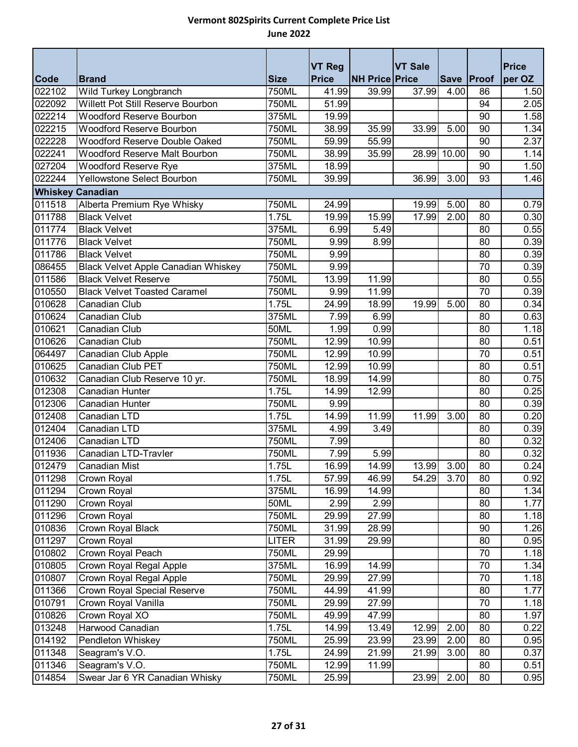|                         |                                                                           |                      | <b>VT Reg</b>         |                       | <b>VT Sale</b> |            |          | <b>Price</b> |
|-------------------------|---------------------------------------------------------------------------|----------------------|-----------------------|-----------------------|----------------|------------|----------|--------------|
| <b>Code</b><br>022102   | <b>Brand</b>                                                              | <b>Size</b><br>750ML | <b>Price</b><br>41.99 | <b>NH Price Price</b> | 37.99          | Save Proof |          | per OZ       |
| 022092                  | Wild Turkey Longbranch<br>Willett Pot Still Reserve Bourbon               | 750ML                | 51.99                 | 39.99                 |                | 4.00       | 86<br>94 | 1.50<br>2.05 |
| 022214                  | <b>Woodford Reserve Bourbon</b>                                           | 375ML                | 19.99                 |                       |                |            | 90       |              |
|                         | <b>Woodford Reserve Bourbon</b>                                           |                      | 38.99                 | 35.99                 |                |            | 90       | 1.58         |
| 022215<br>022228        | Woodford Reserve Double Oaked                                             | 750ML<br>750ML       | 59.99                 |                       | 33.99          | 5.00       | 90       | 1.34<br>2.37 |
| 022241                  | Woodford Reserve Malt Bourbon                                             | 750ML                | 38.99                 | 55.99<br>35.99        | 28.99          | 10.00      | 90       | 1.14         |
| 027204                  | <b>Woodford Reserve Rye</b>                                               | 375ML                | 18.99                 |                       |                |            | 90       | 1.50         |
| 022244                  | Yellowstone Select Bourbon                                                |                      |                       |                       |                | 3.00       | 93       |              |
|                         |                                                                           | 750ML                | 39.99                 |                       | 36.99          |            |          | 1.46         |
| <b>Whiskey Canadian</b> |                                                                           |                      |                       |                       |                |            |          |              |
| 011518                  | Alberta Premium Rye Whisky                                                | 750ML                | 24.99                 |                       | 19.99          | 5.00       | 80       | 0.79         |
| 011788                  | <b>Black Velvet</b>                                                       | 1.75L                | 19.99                 | 15.99                 | 17.99          | 2.00       | 80       | 0.30         |
| 011774                  | <b>Black Velvet</b>                                                       | 375ML                | 6.99                  | 5.49                  |                |            | 80       | 0.55         |
| 011776                  | <b>Black Velvet</b>                                                       | 750ML                | 9.99                  | 8.99                  |                |            | 80       | 0.39         |
| 011786                  | <b>Black Velvet</b>                                                       | 750ML                | 9.99                  |                       |                |            | 80       | 0.39         |
| 086455                  | <b>Black Velvet Apple Canadian Whiskey</b><br><b>Black Velvet Reserve</b> | 750ML                | 9.99                  |                       |                |            | 70       | 0.39         |
| 011586                  |                                                                           | <b>750ML</b>         | 13.99                 | 11.99                 |                |            | 80       | 0.55         |
| 010550                  | <b>Black Velvet Toasted Caramel</b>                                       | 750ML                | 9.99                  | 11.99                 |                |            | 70       | 0.39         |
| 010628                  | Canadian Club                                                             | 1.75L<br>375ML       | 24.99                 | 18.99                 | 19.99          | 5.00       | 80       | 0.34         |
| 010624                  | Canadian Club                                                             |                      | 7.99                  | 6.99                  |                |            | 80       | 0.63         |
| 010621                  | Canadian Club                                                             | <b>50ML</b>          | 1.99                  | 0.99                  |                |            | 80       | 1.18         |
| 010626                  | Canadian Club                                                             | 750ML                | 12.99                 | 10.99                 |                |            | 80       | 0.51         |
| 064497                  | Canadian Club Apple                                                       | 750ML                | 12.99                 | 10.99                 |                |            | 70       | 0.51         |
| 010625                  | Canadian Club PET                                                         | 750ML                | 12.99                 | 10.99                 |                |            | 80       | 0.51         |
| 010632<br>012308        | Canadian Club Reserve 10 yr.<br><b>Canadian Hunter</b>                    | 750ML<br>1.75L       | 18.99<br>14.99        | 14.99<br>12.99        |                |            | 80<br>80 | 0.75<br>0.25 |
| 012306                  | <b>Canadian Hunter</b>                                                    | 750ML                | 9.99                  |                       |                |            | 80       | 0.39         |
| 012408                  | Canadian LTD                                                              | 1.75L                |                       | 11.99                 |                | 3.00       | 80       |              |
| 012404                  | Canadian LTD                                                              | 375ML                | 14.99                 | 3.49                  | 11.99          |            | 80       | 0.20<br>0.39 |
| 012406                  | Canadian LTD                                                              | 750ML                | 4.99                  |                       |                |            | 80       |              |
| 011936                  | Canadian LTD-Travler                                                      | 750ML                | 7.99<br>7.99          | 5.99                  |                |            | 80       | 0.32<br>0.32 |
| 012479                  | Canadian Mist                                                             | 1.75L                | 16.99                 | 14.99                 | 13.99          | 3.00       | 80       | 0.24         |
| 011298                  |                                                                           | 1.75L                |                       | 46.99                 |                | 3.70       | 80       |              |
| 011294                  | Crown Royal                                                               |                      | 57.99                 | 14.99                 | 54.29          |            | 80       | 0.92         |
| 011290                  | Crown Royal                                                               | 375ML                | 16.99<br>2.99         | 2.99                  |                |            |          | 1.34<br>1.77 |
| 011296                  | Crown Royal<br>Crown Royal                                                | 50ML<br>750ML        | 29.99                 | 27.99                 |                |            | 80<br>80 | 1.18         |
| 010836                  | Crown Royal Black                                                         | 750ML                | 31.99                 | 28.99                 |                |            | 90       | 1.26         |
| 011297                  | Crown Royal                                                               | <b>LITER</b>         | 31.99                 | 29.99                 |                |            | 80       | 0.95         |
| 010802                  | Crown Royal Peach                                                         | 750ML                | 29.99                 |                       |                |            | 70       | 1.18         |
| 010805                  | Crown Royal Regal Apple                                                   | 375ML                | 16.99                 | 14.99                 |                |            | 70       | 1.34         |
| 010807                  | Crown Royal Regal Apple                                                   | 750ML                | 29.99                 | 27.99                 |                |            | 70       | 1.18         |
| 011366                  | Crown Royal Special Reserve                                               | 750ML                | 44.99                 | 41.99                 |                |            | 80       | 1.77         |
| 010791                  | Crown Royal Vanilla                                                       | 750ML                | 29.99                 | 27.99                 |                |            | 70       | 1.18         |
| 010826                  | Crown Royal XO                                                            | 750ML                | 49.99                 | 47.99                 |                |            | 80       | 1.97         |
| 013248                  | Harwood Canadian                                                          | 1.75L                | 14.99                 | 13.49                 | 12.99          | 2.00       | 80       |              |
| 014192                  | Pendleton Whiskey                                                         | 750ML                | 25.99                 | 23.99                 | 23.99          | 2.00       | 80       | 0.22<br>0.95 |
| 011348                  | Seagram's V.O.                                                            | 1.75L                | 24.99                 | 21.99                 | 21.99          | 3.00       | 80       | 0.37         |
| 011346                  | Seagram's V.O.                                                            | 750ML                | 12.99                 | 11.99                 |                |            | 80       | 0.51         |
| 014854                  | Swear Jar 6 YR Canadian Whisky                                            | 750ML                | 25.99                 |                       | 23.99          | 2.00       | 80       | 0.95         |
|                         |                                                                           |                      |                       |                       |                |            |          |              |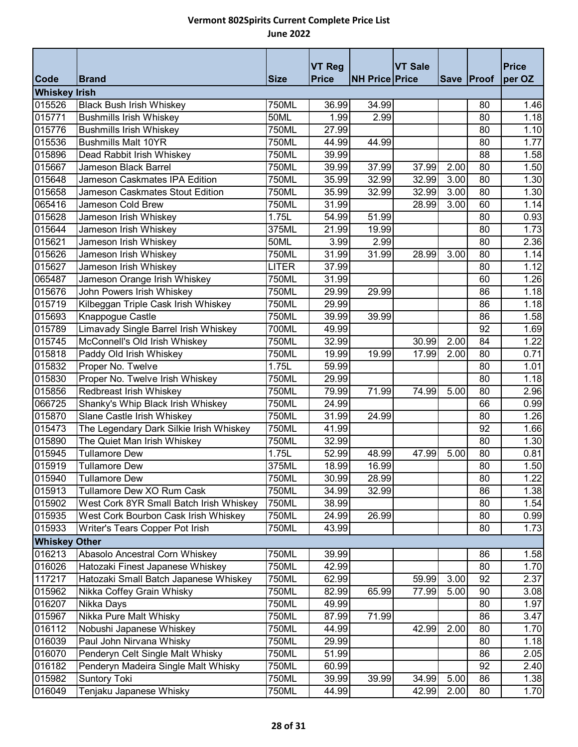|                      |                                         |              | <b>VT Reg</b> |                       | <b>VT Sale</b> |      |            | <b>Price</b> |
|----------------------|-----------------------------------------|--------------|---------------|-----------------------|----------------|------|------------|--------------|
| <b>Code</b>          | <b>Brand</b>                            | <b>Size</b>  | <b>Price</b>  | <b>NH Price Price</b> |                |      | Save Proof | per OZ       |
| <b>Whiskey Irish</b> |                                         |              |               |                       |                |      |            |              |
| 015526               | <b>Black Bush Irish Whiskey</b>         | <b>750ML</b> | 36.99         | 34.99                 |                |      | 80         | 1.46         |
| 015771               | <b>Bushmills Irish Whiskey</b>          | 50ML         | 1.99          | 2.99                  |                |      | 80         | 1.18         |
| 015776               | <b>Bushmills Irish Whiskey</b>          | 750ML        | 27.99         |                       |                |      | 80         | 1.10         |
| 015536               | <b>Bushmills Malt 10YR</b>              | 750ML        | 44.99         | 44.99                 |                |      | 80         | 1.77         |
| 015896               | Dead Rabbit Irish Whiskey               | <b>750ML</b> | 39.99         |                       |                |      | 88         | 1.58         |
| 015667               | Jameson Black Barrel                    | 750ML        | 39.99         | 37.99                 | 37.99          | 2.00 | 80         | 1.50         |
| 015648               | Jameson Caskmates IPA Edition           | 750ML        | 35.99         | 32.99                 | 32.99          | 3.00 | 80         | 1.30         |
| 015658               | Jameson Caskmates Stout Edition         | 750ML        | 35.99         | 32.99                 | 32.99          | 3.00 | 80         | 1.30         |
| 065416               | Jameson Cold Brew                       | 750ML        | 31.99         |                       | 28.99          | 3.00 | 60         | 1.14         |
| 015628               | Jameson Irish Whiskey                   | 1.75L        | 54.99         | 51.99                 |                |      | 80         | 0.93         |
| 015644               | Jameson Irish Whiskey                   | 375ML        | 21.99         | 19.99                 |                |      | 80         | 1.73         |
| 015621               | Jameson Irish Whiskey                   | 50ML         | 3.99          | 2.99                  |                |      | 80         | 2.36         |
| 015626               | Jameson Irish Whiskey                   | 750ML        | 31.99         | 31.99                 | 28.99          | 3.00 | 80         | 1.14         |
| 015627               | Jameson Irish Whiskey                   | <b>LITER</b> | 37.99         |                       |                |      | 80         | 1.12         |
| 065487               | Jameson Orange Irish Whiskey            | 750ML        | 31.99         |                       |                |      | 60         | 1.26         |
| 015676               | John Powers Irish Whiskey               | 750ML        | 29.99         | 29.99                 |                |      | 86         | 1.18         |
| 015719               | Kilbeggan Triple Cask Irish Whiskey     | 750ML        | 29.99         |                       |                |      | 86         | 1.18         |
| 015693               | Knappogue Castle                        | 750ML        | 39.99         | 39.99                 |                |      | 86         | 1.58         |
| 015789               | Limavady Single Barrel Irish Whiskey    | 700ML        | 49.99         |                       |                |      | 92         | 1.69         |
| 015745               | McConnell's Old Irish Whiskey           | 750ML        | 32.99         |                       | 30.99          | 2.00 | 84         | 1.22         |
| 015818               | Paddy Old Irish Whiskey                 | 750ML        | 19.99         | 19.99                 | 17.99          | 2.00 | 80         | 0.71         |
| 015832               | Proper No. Twelve                       | 1.75L        | 59.99         |                       |                |      | 80         | 1.01         |
| 015830               | Proper No. Twelve Irish Whiskey         | 750ML        | 29.99         |                       |                |      | 80         | 1.18         |
| 015856               | Redbreast Irish Whiskey                 | 750ML        | 79.99         | 71.99                 | 74.99          | 5.00 | 80         | 2.96         |
| 066725               | Shanky's Whip Black Irish Whiskey       | 750ML        | 24.99         |                       |                |      | 66         | 0.99         |
| 015870               | Slane Castle Irish Whiskey              | 750ML        | 31.99         | 24.99                 |                |      | 80         | 1.26         |
| 015473               | The Legendary Dark Silkie Irish Whiskey | 750ML        | 41.99         |                       |                |      | 92         | 1.66         |
| 015890               | The Quiet Man Irish Whiskey             | 750ML        | 32.99         |                       |                |      | 80         | 1.30         |
| 015945               | <b>Tullamore Dew</b>                    | 1.75L        | 52.99         | 48.99                 | 47.99          | 5.00 | 80         | 0.81         |
| 015919               | <b>Tullamore Dew</b>                    | 375ML        | 18.99         | 16.99                 |                |      | 80         | 1.50         |
| 015940               | <b>Tullamore Dew</b>                    | 750ML        | 30.99         | 28.99                 |                |      | 80         | 1.22         |
| 015913               | Tullamore Dew XO Rum Cask               | 750ML        | 34.99         | 32.99                 |                |      | 86         | 1.38         |
| 015902               | West Cork 8YR Small Batch Irish Whiskey | 750ML        | 38.99         |                       |                |      | 80         | 1.54         |
| 015935               | West Cork Bourbon Cask Irish Whiskey    | 750ML        | 24.99         | 26.99                 |                |      | 80         | 0.99         |
| 015933               | Writer's Tears Copper Pot Irish         | 750ML        | 43.99         |                       |                |      | 80         | 1.73         |
| <b>Whiskey Other</b> |                                         |              |               |                       |                |      |            |              |
| 016213               | Abasolo Ancestral Corn Whiskey          | 750ML        | 39.99         |                       |                |      | 86         | 1.58         |
| 016026               | Hatozaki Finest Japanese Whiskey        | 750ML        | 42.99         |                       |                |      | 80         | 1.70         |
| 117217               | Hatozaki Small Batch Japanese Whiskey   | 750ML        | 62.99         |                       | 59.99          | 3.00 | 92         | 2.37         |
| 015962               | Nikka Coffey Grain Whisky               | 750ML        | 82.99         | 65.99                 | 77.99          | 5.00 | 90         | 3.08         |
| 016207               | Nikka Days                              | 750ML        | 49.99         |                       |                |      | 80         | 1.97         |
| 015967               | Nikka Pure Malt Whisky                  | 750ML        | 87.99         | 71.99                 |                |      | 86         | 3.47         |
| 016112               | Nobushi Japanese Whiskey                | 750ML        | 44.99         |                       | 42.99          | 2.00 | 80         | 1.70         |
| 016039               | Paul John Nirvana Whisky                | 750ML        | 29.99         |                       |                |      | 80         | 1.18         |
| 016070               | Penderyn Celt Single Malt Whisky        | 750ML        | 51.99         |                       |                |      | 86         | 2.05         |
| 016182               | Penderyn Madeira Single Malt Whisky     | 750ML        | 60.99         |                       |                |      | 92         | 2.40         |
| 015982               | <b>Suntory Toki</b>                     | 750ML        | 39.99         | 39.99                 | 34.99          | 5.00 | 86         | 1.38         |
| 016049               | Tenjaku Japanese Whisky                 | 750ML        | 44.99         |                       | 42.99          | 2.00 | 80         | 1.70         |
|                      |                                         |              |               |                       |                |      |            |              |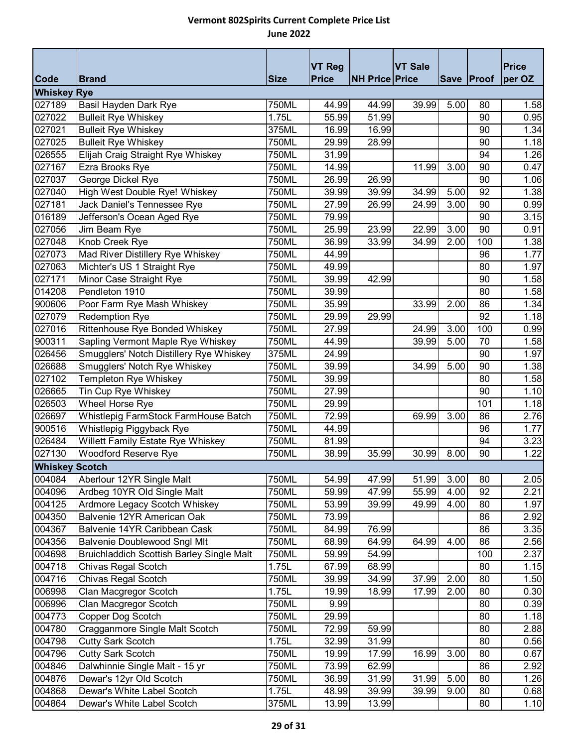|                       |                                                  |             | <b>VT Reg</b> |                       | <b>VT Sale</b> |      |            | <b>Price</b> |
|-----------------------|--------------------------------------------------|-------------|---------------|-----------------------|----------------|------|------------|--------------|
| <b>Code</b>           | <b>Brand</b>                                     | <b>Size</b> | <b>Price</b>  | <b>NH Price Price</b> |                |      | Save Proof | per OZ       |
| <b>Whiskey Rye</b>    |                                                  |             |               |                       |                |      |            |              |
| 027189                | Basil Hayden Dark Rye                            | 750ML       | 44.99         | 44.99                 | 39.99          | 5.00 | 80         | 1.58         |
| 027022                | <b>Bulleit Rye Whiskey</b>                       | 1.75L       | 55.99         | 51.99                 |                |      | 90         | 0.95         |
| 027021                | <b>Bulleit Rye Whiskey</b>                       | 375ML       | 16.99         | 16.99                 |                |      | 90         | 1.34         |
| 027025                | <b>Bulleit Rye Whiskey</b>                       | 750ML       | 29.99         | 28.99                 |                |      | 90         | 1.18         |
| 026555                | Elijah Craig Straight Rye Whiskey                | 750ML       | 31.99         |                       |                |      | 94         | 1.26         |
| 027167                | Ezra Brooks Rye                                  | 750ML       | 14.99         |                       | 11.99          | 3.00 | 90         | 0.47         |
| 027037                | George Dickel Rye                                | 750ML       | 26.99         | 26.99                 |                |      | 90         | 1.06         |
| 027040                | High West Double Rye! Whiskey                    | 750ML       | 39.99         | 39.99                 | 34.99          | 5.00 | 92         | 1.38         |
| 027181                | Jack Daniel's Tennessee Rye                      | 750ML       | 27.99         | 26.99                 | 24.99          | 3.00 | 90         | 0.99         |
| 016189                | Jefferson's Ocean Aged Rye                       | 750ML       | 79.99         |                       |                |      | 90         | 3.15         |
| 027056                | Jim Beam Rye                                     | 750ML       | 25.99         | 23.99                 | 22.99          | 3.00 | 90         | 0.91         |
| 027048                | Knob Creek Rye                                   | 750ML       | 36.99         | 33.99                 | 34.99          | 2.00 | 100        | 1.38         |
| 027073                | Mad River Distillery Rye Whiskey                 | 750ML       | 44.99         |                       |                |      | 96         | 1.77         |
| 027063                | Michter's US 1 Straight Rye                      | 750ML       | 49.99         |                       |                |      | 80         | 1.97         |
| 027171                | Minor Case Straight Rye                          | 750ML       | 39.99         | 42.99                 |                |      | 90         | 1.58         |
| 014208                | Pendleton 1910                                   | 750ML       | 39.99         |                       |                |      | 80         | 1.58         |
| 900606                | Poor Farm Rye Mash Whiskey                       | 750ML       | 35.99         |                       | 33.99          | 2.00 | 86         | 1.34         |
| 027079                | <b>Redemption Rye</b>                            | 750ML       | 29.99         | 29.99                 |                |      | 92         | 1.18         |
| 027016                | Rittenhouse Rye Bonded Whiskey                   | 750ML       | 27.99         |                       | 24.99          | 3.00 | 100        | 0.99         |
| 900311                | Sapling Vermont Maple Rye Whiskey                | 750ML       | 44.99         |                       | 39.99          | 5.00 | 70         | 1.58         |
| 026456                | Smugglers' Notch Distillery Rye Whiskey          | 375ML       | 24.99         |                       |                |      | 90         | 1.97         |
| 026688                | Smugglers' Notch Rye Whiskey                     | 750ML       | 39.99         |                       | 34.99          | 5.00 | 90         | 1.38         |
| 027102                | Templeton Rye Whiskey                            | 750ML       | 39.99         |                       |                |      | 80         | 1.58         |
| 026665                | Tin Cup Rye Whiskey                              | 750ML       | 27.99         |                       |                |      | 90         | 1.10         |
| 026503                | Wheel Horse Rye                                  | 750ML       | 29.99         |                       |                |      | 101        | 1.18         |
| 026697                | Whistlepig FarmStock FarmHouse Batch             | 750ML       | 72.99         |                       | 69.99          | 3.00 | 86         | 2.76         |
| 900516                | Whistlepig Piggyback Rye                         | 750ML       | 44.99         |                       |                |      | 96         | 1.77         |
| 026484                | Willett Family Estate Rye Whiskey                | 750ML       | 81.99         |                       |                |      | 94         | 3.23         |
| 027130                | Woodford Reserve Rye                             | 750ML       | 38.99         | 35.99                 | 30.99          | 8.00 | 90         | 1.22         |
| <b>Whiskey Scotch</b> |                                                  |             |               |                       |                |      |            |              |
| 004084                | Aberlour 12YR Single Malt                        | 750ML       | 54.99         | 47.99                 | 51.99          | 3.00 | 80         | 2.05         |
| 004096                | Ardbeg 10YR Old Single Malt                      | 750ML       | 59.99         | 47.99                 | 55.99          | 4.00 | 92         | 2.21         |
| 004125                | Ardmore Legacy Scotch Whiskey                    | 750ML       | 53.99         | 39.99                 | 49.99          | 4.00 | 80         | 1.97         |
| 004350                | Balvenie 12YR American Oak                       | 750ML       | 73.99         |                       |                |      | 86         | 2.92         |
| 004367                | Balvenie 14YR Caribbean Cask                     | 750ML       | 84.99         | 76.99                 |                |      | 86         | 3.35         |
| 004356                | <b>Balvenie Doublewood Sngl Mlt</b>              | 750ML       | 68.99         | 64.99                 | 64.99          | 4.00 | 86         | 2.56         |
| 004698                | <b>Bruichladdich Scottish Barley Single Malt</b> | 750ML       | 59.99         | 54.99                 |                |      | 100        | 2.37         |
| 004718                | Chivas Regal Scotch                              | 1.75L       | 67.99         | 68.99                 |                |      | 80         | 1.15         |
| 004716                | Chivas Regal Scotch                              | 750ML       | 39.99         | 34.99                 | 37.99          | 2.00 | 80         | 1.50         |
| 006998                | Clan Macgregor Scotch                            | 1.75L       | 19.99         | 18.99                 | 17.99          | 2.00 | 80         | 0.30         |
| 006996                | Clan Macgregor Scotch                            | 750ML       | 9.99          |                       |                |      | 80         | 0.39         |
| 004773                | Copper Dog Scotch                                | 750ML       | 29.99         |                       |                |      | 80         | 1.18         |
| 004780                | Cragganmore Single Malt Scotch                   | 750ML       | 72.99         | 59.99                 |                |      | 80         | 2.88         |
| 004798                | <b>Cutty Sark Scotch</b>                         | 1.75L       | 32.99         | 31.99                 |                |      | 80         | 0.56         |
| 004796                | <b>Cutty Sark Scotch</b>                         | 750ML       | 19.99         | 17.99                 | 16.99          | 3.00 | 80         | 0.67         |
| 004846                | Dalwhinnie Single Malt - 15 yr                   | 750ML       | 73.99         | 62.99                 |                |      | 86         | 2.92         |
| 004876                | Dewar's 12yr Old Scotch                          | 750ML       | 36.99         | 31.99                 | 31.99          | 5.00 | 80         | 1.26         |
| 004868                | Dewar's White Label Scotch                       | 1.75L       | 48.99         | 39.99                 | 39.99          | 9.00 | 80         | 0.68         |
| 004864                | Dewar's White Label Scotch                       | 375ML       | 13.99         | 13.99                 |                |      | 80         | 1.10         |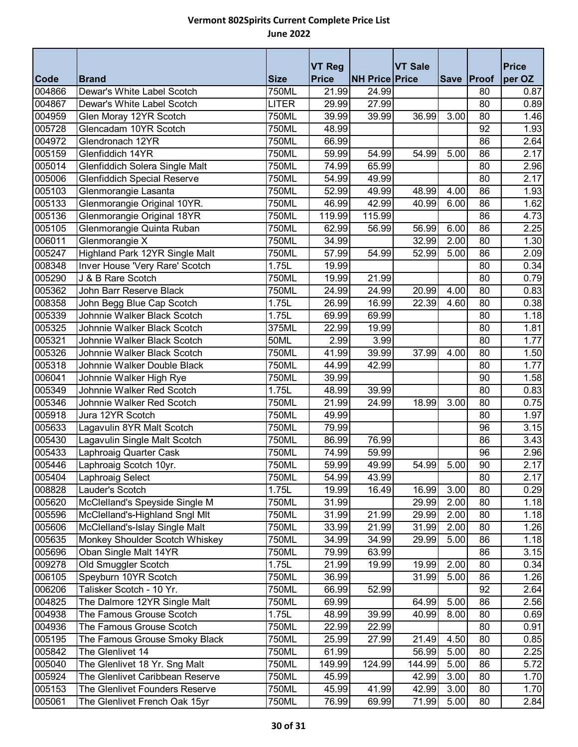|             |                                                                   |              |                               |                       |                |      |            | <b>Price</b> |
|-------------|-------------------------------------------------------------------|--------------|-------------------------------|-----------------------|----------------|------|------------|--------------|
| <b>Code</b> | <b>Brand</b>                                                      | <b>Size</b>  | <b>VT Reg</b><br><b>Price</b> | <b>NH Price Price</b> | <b>VT Sale</b> |      | Save Proof | per OZ       |
| 004866      | Dewar's White Label Scotch                                        | 750ML        | 21.99                         | 24.99                 |                |      | 80         | 0.87         |
| 004867      | Dewar's White Label Scotch                                        | <b>LITER</b> | 29.99                         | 27.99                 |                |      | 80         | 0.89         |
| 004959      | Glen Moray 12YR Scotch                                            | 750ML        | 39.99                         | 39.99                 | 36.99          | 3.00 | 80         | 1.46         |
| 005728      | Glencadam 10YR Scotch                                             | 750ML        | 48.99                         |                       |                |      | 92         | 1.93         |
| 004972      | Glendronach 12YR                                                  | 750ML        | 66.99                         |                       |                |      | 86         | 2.64         |
| 005159      | Glenfiddich 14YR                                                  | 750ML        | 59.99                         | 54.99                 | 54.99          | 5.00 | 86         | 2.17         |
| 005014      | Glenfiddich Solera Single Malt                                    | 750ML        | 74.99                         | 65.99                 |                |      | 80         | 2.96         |
| 005006      | <b>Glenfiddich Special Reserve</b>                                | 750ML        | 54.99                         | 49.99                 |                |      | 80         | 2.17         |
| 005103      | Glenmorangie Lasanta                                              | 750ML        | 52.99                         | 49.99                 | 48.99          | 4.00 | 86         | 1.93         |
| 005133      | Glenmorangie Original 10YR.                                       | 750ML        | 46.99                         | 42.99                 | 40.99          | 6.00 | 86         | 1.62         |
| 005136      | Glenmorangie Original 18YR                                        | 750ML        | 119.99                        | 115.99                |                |      | 86         | 4.73         |
| 005105      | Glenmorangie Quinta Ruban                                         | 750ML        | 62.99                         | 56.99                 | 56.99          | 6.00 | 86         | 2.25         |
| 006011      | Glenmorangie $\overline{X}$                                       | 750ML        | 34.99                         |                       | 32.99          | 2.00 | 80         | 1.30         |
| 005247      | Highland Park 12YR Single Malt                                    | 750ML        | 57.99                         | 54.99                 | 52.99          | 5.00 | 86         | 2.09         |
| 008348      | Inver House 'Very Rare' Scotch                                    | 1.75L        | 19.99                         |                       |                |      | 80         | 0.34         |
| 005290      | J & B Rare Scotch                                                 | 750ML        | 19.99                         | 21.99                 |                |      | 80         | 0.79         |
| 005362      | John Barr Reserve Black                                           | 750ML        | 24.99                         | 24.99                 | 20.99          | 4.00 | 80         | 0.83         |
| 008358      | John Begg Blue Cap Scotch                                         | 1.75L        | 26.99                         | 16.99                 | 22.39          | 4.60 | 80         | 0.38         |
| 005339      | Johnnie Walker Black Scotch                                       | 1.75L        | 69.99                         | 69.99                 |                |      | 80         | 1.18         |
| 005325      | Johnnie Walker Black Scotch                                       | 375ML        | 22.99                         | 19.99                 |                |      | 80         | 1.81         |
| 005321      | Johnnie Walker Black Scotch                                       | <b>50ML</b>  | 2.99                          | 3.99                  |                |      | 80         | 1.77         |
| 005326      | Johnnie Walker Black Scotch                                       | 750ML        | 41.99                         | 39.99                 | 37.99          | 4.00 | 80         | 1.50         |
| 005318      | Johnnie Walker Double Black                                       | 750ML        | 44.99                         | 42.99                 |                |      | 80         | 1.77         |
| 006041      | Johnnie Walker High Rye                                           | 750ML        | 39.99                         |                       |                |      | 90         | 1.58         |
| 005349      | Johnnie Walker Red Scotch                                         | 1.75L        | 48.99                         | 39.99                 |                |      | 80         | 0.83         |
| 005346      | Johnnie Walker Red Scotch                                         | 750ML        | 21.99                         | 24.99                 | 18.99          | 3.00 | 80         | 0.75         |
| 005918      | Jura 12YR Scotch                                                  | 750ML        | 49.99                         |                       |                |      | 80         | 1.97         |
| 005633      | Lagavulin 8YR Malt Scotch                                         | 750ML        | 79.99                         |                       |                |      | 96         | 3.15         |
| 005430      | Lagavulin Single Malt Scotch                                      | 750ML        | 86.99                         | 76.99                 |                |      | 86         | 3.43         |
| 005433      | Laphroaig Quarter Cask                                            | 750ML        | 74.99                         | 59.99                 |                |      | 96         | 2.96         |
| 005446      | Laphroaig Scotch 10yr.                                            | 750ML        | 59.99                         | 49.99                 | 54.99          | 5.00 | 90         | 2.17         |
| 005404      | Laphroaig Select                                                  | 750ML        | 54.99                         | 43.99                 |                |      | 80         | 2.17         |
| 008828      | Lauder's Scotch                                                   | 1.75L        | 19.99                         | 16.49                 | 16.99          | 3.00 | 80         | 0.29         |
| 005620      | McClelland's Speyside Single M                                    | 750ML        | 31.99                         |                       | 29.99          | 2.00 | 80         | 1.18         |
| 005596      | McClelland's-Highland Sngl Mlt                                    | 750ML        | 31.99                         | 21.99                 | 29.99          | 2.00 | 80         | 1.18         |
| 005606      | McClelland's-Islay Single Malt                                    | 750ML        | 33.99                         | 21.99                 | 31.99          | 2.00 | 80         | 1.26         |
| 005635      | Monkey Shoulder Scotch Whiskey                                    | 750ML        | 34.99                         | 34.99                 | 29.99          | 5.00 | 86         | 1.18         |
| 005696      | Oban Single Malt 14YR                                             | 750ML        | 79.99                         | 63.99                 |                |      | 86         | 3.15         |
| 009278      | Old Smuggler Scotch                                               | 1.75L        | 21.99                         | 19.99                 | 19.99          | 2.00 | 80         | 0.34         |
| 006105      | Speyburn 10YR Scotch                                              | 750ML        | 36.99                         |                       | 31.99          | 5.00 | 86         | 1.26         |
| 006206      | Talisker Scotch - 10 Yr.                                          | 750ML        | 66.99                         | 52.99                 |                |      | 92         | 2.64         |
| 004825      | The Dalmore 12YR Single Malt                                      | 750ML        | 69.99                         |                       | 64.99          | 5.00 | 86         | 2.56         |
| 004938      | The Famous Grouse Scotch                                          | 1.75L        | 48.99                         | 39.99                 | 40.99          | 8.00 | 80         | 0.69         |
| 004936      | The Famous Grouse Scotch                                          | 750ML        | 22.99                         | 22.99                 |                |      | 80         | 0.91         |
| 005195      | The Famous Grouse Smoky Black                                     | 750ML        | 25.99                         | 27.99                 | 21.49          | 4.50 | 80         | 0.85         |
| 005842      | The Glenlivet 14                                                  | 750ML        | 61.99                         |                       | 56.99          | 5.00 | 80         | 2.25         |
| 005040      | The Glenlivet 18 Yr. Sng Malt                                     | 750ML        | 149.99                        | 124.99                | 144.99         | 5.00 | 86         | 5.72         |
| 005924      | The Glenlivet Caribbean Reserve<br>The Glenlivet Founders Reserve | 750ML        | 45.99                         |                       | 42.99          | 3.00 | 80         | 1.70         |
| 005153      |                                                                   | 750ML        | 45.99                         | 41.99                 | 42.99          | 3.00 | 80         | 1.70         |
| 005061      | The Glenlivet French Oak 15yr                                     | 750ML        | 76.99                         | 69.99                 | 71.99          | 5.00 | 80         | 2.84         |